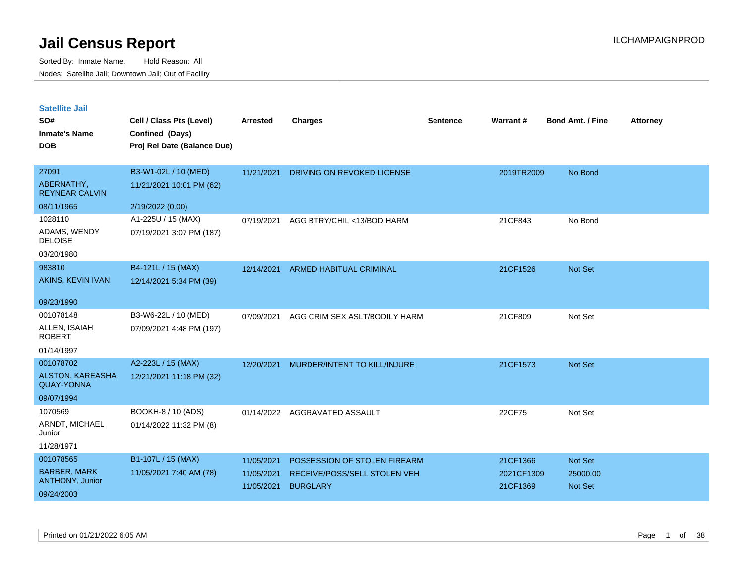| <b>Satellite Jail</b> |  |
|-----------------------|--|
|                       |  |

| SO#<br><b>Inmate's Name</b><br><b>DOB</b>                               | Cell / Class Pts (Level)<br>Confined (Days)<br>Proj Rel Date (Balance Due) | Arrested                               | <b>Charges</b>                                                                  | Sentence | Warrant#                           | <b>Bond Amt. / Fine</b>                      | <b>Attorney</b> |
|-------------------------------------------------------------------------|----------------------------------------------------------------------------|----------------------------------------|---------------------------------------------------------------------------------|----------|------------------------------------|----------------------------------------------|-----------------|
| 27091<br>ABERNATHY,<br><b>REYNEAR CALVIN</b>                            | B3-W1-02L / 10 (MED)<br>11/21/2021 10:01 PM (62)                           | 11/21/2021                             | DRIVING ON REVOKED LICENSE                                                      |          | 2019TR2009                         | No Bond                                      |                 |
| 08/11/1965<br>1028110<br>ADAMS, WENDY<br><b>DELOISE</b><br>03/20/1980   | 2/19/2022 (0.00)<br>A1-225U / 15 (MAX)<br>07/19/2021 3:07 PM (187)         | 07/19/2021                             | AGG BTRY/CHIL <13/BOD HARM                                                      |          | 21CF843                            | No Bond                                      |                 |
| 983810<br>AKINS, KEVIN IVAN<br>09/23/1990                               | B4-121L / 15 (MAX)<br>12/14/2021 5:34 PM (39)                              | 12/14/2021                             | <b>ARMED HABITUAL CRIMINAL</b>                                                  |          | 21CF1526                           | Not Set                                      |                 |
| 001078148<br>ALLEN, ISAIAH<br><b>ROBERT</b><br>01/14/1997               | B3-W6-22L / 10 (MED)<br>07/09/2021 4:48 PM (197)                           | 07/09/2021                             | AGG CRIM SEX ASLT/BODILY HARM                                                   |          | 21CF809                            | Not Set                                      |                 |
| 001078702<br><b>ALSTON, KAREASHA</b><br><b>QUAY-YONNA</b><br>09/07/1994 | A2-223L / 15 (MAX)<br>12/21/2021 11:18 PM (32)                             | 12/20/2021                             | MURDER/INTENT TO KILL/INJURE                                                    |          | 21CF1573                           | Not Set                                      |                 |
| 1070569<br>ARNDT, MICHAEL<br>Junior<br>11/28/1971                       | BOOKH-8 / 10 (ADS)<br>01/14/2022 11:32 PM (8)                              | 01/14/2022                             | AGGRAVATED ASSAULT                                                              |          | 22CF75                             | Not Set                                      |                 |
| 001078565<br><b>BARBER, MARK</b><br>ANTHONY, Junior<br>09/24/2003       | B1-107L / 15 (MAX)<br>11/05/2021 7:40 AM (78)                              | 11/05/2021<br>11/05/2021<br>11/05/2021 | POSSESSION OF STOLEN FIREARM<br>RECEIVE/POSS/SELL STOLEN VEH<br><b>BURGLARY</b> |          | 21CF1366<br>2021CF1309<br>21CF1369 | <b>Not Set</b><br>25000.00<br><b>Not Set</b> |                 |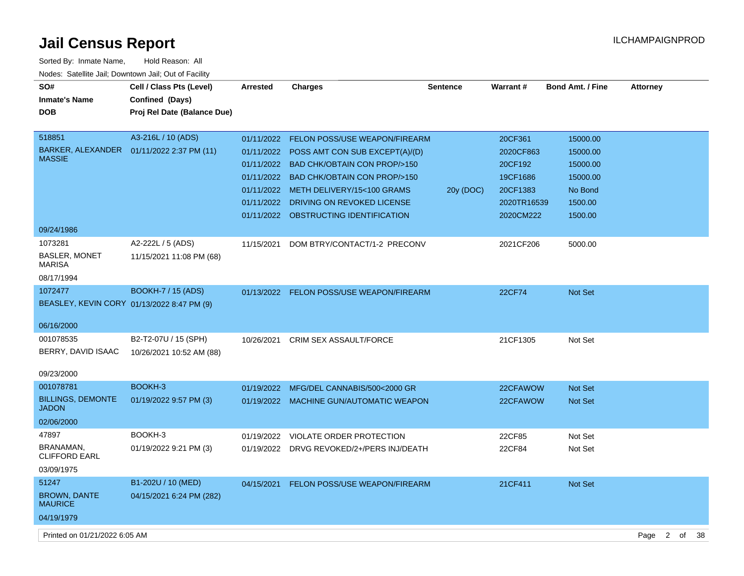| Sorted By: Inmate Name,                               | Hold Reason: All            |                 |                                           |                 |             |                         |                 |  |
|-------------------------------------------------------|-----------------------------|-----------------|-------------------------------------------|-----------------|-------------|-------------------------|-----------------|--|
| Nodes: Satellite Jail; Downtown Jail; Out of Facility |                             |                 |                                           |                 |             |                         |                 |  |
| SO#                                                   | Cell / Class Pts (Level)    | <b>Arrested</b> | <b>Charges</b>                            | <b>Sentence</b> | Warrant#    | <b>Bond Amt. / Fine</b> | <b>Attorney</b> |  |
| <b>Inmate's Name</b>                                  | Confined (Days)             |                 |                                           |                 |             |                         |                 |  |
| <b>DOB</b>                                            | Proj Rel Date (Balance Due) |                 |                                           |                 |             |                         |                 |  |
|                                                       |                             |                 |                                           |                 |             |                         |                 |  |
| 518851                                                | A3-216L / 10 (ADS)          | 01/11/2022      | <b>FELON POSS/USE WEAPON/FIREARM</b>      |                 | 20CF361     | 15000.00                |                 |  |
| BARKER, ALEXANDER                                     | 01/11/2022 2:37 PM (11)     | 01/11/2022      | POSS AMT CON SUB EXCEPT(A)/(D)            |                 | 2020CF863   | 15000.00                |                 |  |
| <b>MASSIE</b>                                         |                             | 01/11/2022      | <b>BAD CHK/OBTAIN CON PROP/&gt;150</b>    |                 | 20CF192     | 15000.00                |                 |  |
|                                                       |                             |                 | 01/11/2022 BAD CHK/OBTAIN CON PROP/>150   |                 | 19CF1686    | 15000.00                |                 |  |
|                                                       |                             | 01/11/2022      | METH DELIVERY/15<100 GRAMS                | 20y (DOC)       | 20CF1383    | No Bond                 |                 |  |
|                                                       |                             | 01/11/2022      | DRIVING ON REVOKED LICENSE                |                 | 2020TR16539 | 1500.00                 |                 |  |
|                                                       |                             |                 | 01/11/2022 OBSTRUCTING IDENTIFICATION     |                 | 2020CM222   | 1500.00                 |                 |  |
| 09/24/1986                                            |                             |                 |                                           |                 |             |                         |                 |  |
| 1073281                                               | A2-222L / 5 (ADS)           | 11/15/2021      | DOM BTRY/CONTACT/1-2 PRECONV              |                 | 2021CF206   | 5000.00                 |                 |  |
| <b>BASLER, MONET</b><br>MARISA                        | 11/15/2021 11:08 PM (68)    |                 |                                           |                 |             |                         |                 |  |
| 08/17/1994                                            |                             |                 |                                           |                 |             |                         |                 |  |
| 1072477                                               | <b>BOOKH-7 / 15 (ADS)</b>   |                 | 01/13/2022 FELON POSS/USE WEAPON/FIREARM  |                 | 22CF74      | Not Set                 |                 |  |
| BEASLEY, KEVIN CORY 01/13/2022 8:47 PM (9)            |                             |                 |                                           |                 |             |                         |                 |  |
|                                                       |                             |                 |                                           |                 |             |                         |                 |  |
| 06/16/2000                                            |                             |                 |                                           |                 |             |                         |                 |  |
| 001078535                                             | B2-T2-07U / 15 (SPH)        | 10/26/2021      | <b>CRIM SEX ASSAULT/FORCE</b>             |                 | 21CF1305    | Not Set                 |                 |  |
| BERRY, DAVID ISAAC                                    | 10/26/2021 10:52 AM (88)    |                 |                                           |                 |             |                         |                 |  |
|                                                       |                             |                 |                                           |                 |             |                         |                 |  |
| 09/23/2000                                            |                             |                 |                                           |                 |             |                         |                 |  |
| 001078781                                             | BOOKH-3                     | 01/19/2022      | MFG/DEL CANNABIS/500<2000 GR              |                 | 22CFAWOW    | Not Set                 |                 |  |
| <b>BILLINGS, DEMONTE</b><br>JADON                     | 01/19/2022 9:57 PM (3)      | 01/19/2022      | <b>MACHINE GUN/AUTOMATIC WEAPON</b>       |                 | 22CFAWOW    | <b>Not Set</b>          |                 |  |
| 02/06/2000                                            |                             |                 |                                           |                 |             |                         |                 |  |
| 47897                                                 | BOOKH-3                     | 01/19/2022      | VIOLATE ORDER PROTECTION                  |                 | 22CF85      | Not Set                 |                 |  |
| BRANAMAN,                                             | 01/19/2022 9:21 PM (3)      |                 | 01/19/2022 DRVG REVOKED/2+/PERS INJ/DEATH |                 | 22CF84      | Not Set                 |                 |  |
| <b>CLIFFORD EARL</b>                                  |                             |                 |                                           |                 |             |                         |                 |  |
| 03/09/1975                                            |                             |                 |                                           |                 |             |                         |                 |  |
| 51247                                                 | B1-202U / 10 (MED)          | 04/15/2021      | <b>FELON POSS/USE WEAPON/FIREARM</b>      |                 | 21CF411     | <b>Not Set</b>          |                 |  |
| <b>BROWN, DANTE</b><br>MAURICE                        | 04/15/2021 6:24 PM (282)    |                 |                                           |                 |             |                         |                 |  |
| 04/19/1979                                            |                             |                 |                                           |                 |             |                         |                 |  |
|                                                       |                             |                 |                                           |                 |             |                         |                 |  |

Printed on 01/21/2022 6:05 AM Page 2 of 38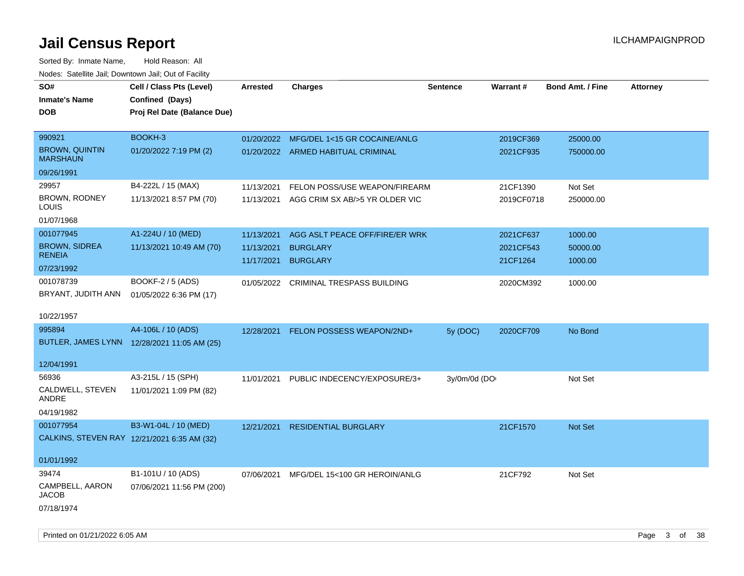| roaco. Catolino cali, Downtown cali, Out of Facility |                                             |                 |                                           |                 |            |                         |                 |
|------------------------------------------------------|---------------------------------------------|-----------------|-------------------------------------------|-----------------|------------|-------------------------|-----------------|
| SO#                                                  | Cell / Class Pts (Level)                    | <b>Arrested</b> | <b>Charges</b>                            | <b>Sentence</b> | Warrant#   | <b>Bond Amt. / Fine</b> | <b>Attorney</b> |
| <b>Inmate's Name</b>                                 | Confined (Days)                             |                 |                                           |                 |            |                         |                 |
| DOB                                                  | Proj Rel Date (Balance Due)                 |                 |                                           |                 |            |                         |                 |
|                                                      |                                             |                 |                                           |                 |            |                         |                 |
| 990921                                               | BOOKH-3                                     | 01/20/2022      | MFG/DEL 1<15 GR COCAINE/ANLG              |                 | 2019CF369  | 25000.00                |                 |
| <b>BROWN, QUINTIN</b><br><b>MARSHAUN</b>             | 01/20/2022 7:19 PM (2)                      |                 | 01/20/2022 ARMED HABITUAL CRIMINAL        |                 | 2021CF935  | 750000.00               |                 |
| 09/26/1991                                           |                                             |                 |                                           |                 |            |                         |                 |
| 29957                                                | B4-222L / 15 (MAX)                          | 11/13/2021      | FELON POSS/USE WEAPON/FIREARM             |                 | 21CF1390   | Not Set                 |                 |
| BROWN, RODNEY<br>LOUIS                               | 11/13/2021 8:57 PM (70)                     |                 | 11/13/2021 AGG CRIM SX AB/>5 YR OLDER VIC |                 | 2019CF0718 | 250000.00               |                 |
| 01/07/1968                                           |                                             |                 |                                           |                 |            |                         |                 |
| 001077945                                            | A1-224U / 10 (MED)                          | 11/13/2021      | AGG ASLT PEACE OFF/FIRE/ER WRK            |                 | 2021CF637  | 1000.00                 |                 |
| <b>BROWN, SIDREA</b>                                 | 11/13/2021 10:49 AM (70)                    | 11/13/2021      | <b>BURGLARY</b>                           |                 | 2021CF543  | 50000.00                |                 |
| <b>RENEIA</b>                                        |                                             | 11/17/2021      | <b>BURGLARY</b>                           |                 | 21CF1264   | 1000.00                 |                 |
| 07/23/1992                                           |                                             |                 |                                           |                 |            |                         |                 |
| 001078739                                            | BOOKF-2 / 5 (ADS)                           | 01/05/2022      | <b>CRIMINAL TRESPASS BUILDING</b>         |                 | 2020CM392  | 1000.00                 |                 |
| BRYANT, JUDITH ANN                                   | 01/05/2022 6:36 PM (17)                     |                 |                                           |                 |            |                         |                 |
| 10/22/1957                                           |                                             |                 |                                           |                 |            |                         |                 |
| 995894                                               | A4-106L / 10 (ADS)                          | 12/28/2021      | FELON POSSESS WEAPON/2ND+                 | 5y (DOC)        | 2020CF709  | No Bond                 |                 |
|                                                      | BUTLER, JAMES LYNN 12/28/2021 11:05 AM (25) |                 |                                           |                 |            |                         |                 |
| 12/04/1991                                           |                                             |                 |                                           |                 |            |                         |                 |
| 56936                                                | A3-215L / 15 (SPH)                          | 11/01/2021      | PUBLIC INDECENCY/EXPOSURE/3+              | 3y/0m/0d (DO    |            | Not Set                 |                 |
| CALDWELL, STEVEN<br>ANDRE                            | 11/01/2021 1:09 PM (82)                     |                 |                                           |                 |            |                         |                 |
| 04/19/1982                                           |                                             |                 |                                           |                 |            |                         |                 |
| 001077954                                            | B3-W1-04L / 10 (MED)                        | 12/21/2021      | <b>RESIDENTIAL BURGLARY</b>               |                 | 21CF1570   | <b>Not Set</b>          |                 |
| CALKINS, STEVEN RAY 12/21/2021 6:35 AM (32)          |                                             |                 |                                           |                 |            |                         |                 |
|                                                      |                                             |                 |                                           |                 |            |                         |                 |
| 01/01/1992                                           |                                             |                 |                                           |                 |            |                         |                 |
| 39474                                                | B1-101U / 10 (ADS)                          | 07/06/2021      | MFG/DEL 15<100 GR HEROIN/ANLG             |                 | 21CF792    | Not Set                 |                 |
| CAMPBELL, AARON<br><b>JACOB</b>                      | 07/06/2021 11:56 PM (200)                   |                 |                                           |                 |            |                         |                 |
| 07/18/1974                                           |                                             |                 |                                           |                 |            |                         |                 |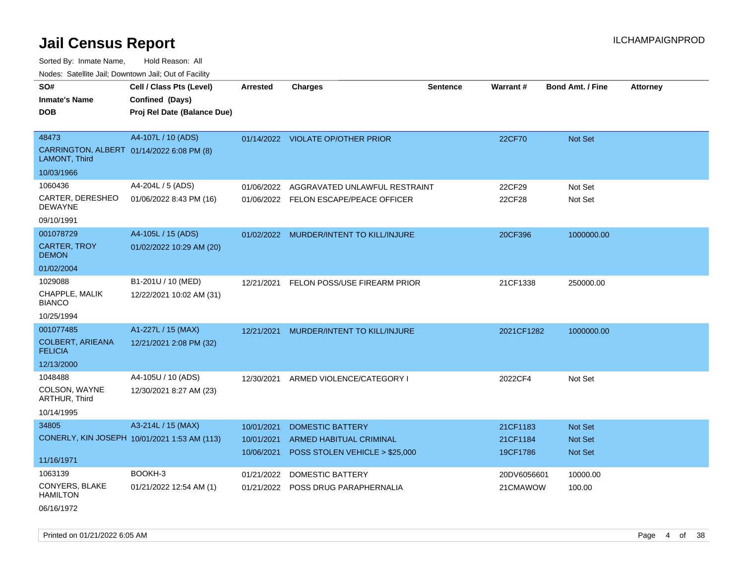Sorted By: Inmate Name, Hold Reason: All

Nodes: Satellite Jail; Downtown Jail; Out of Facility

| SO#<br><b>Inmate's Name</b>                                | Cell / Class Pts (Level)<br>Confined (Days)  | <b>Arrested</b> | <b>Charges</b>                          | <b>Sentence</b> | <b>Warrant#</b> | <b>Bond Amt. / Fine</b> | <b>Attorney</b> |
|------------------------------------------------------------|----------------------------------------------|-----------------|-----------------------------------------|-----------------|-----------------|-------------------------|-----------------|
| <b>DOB</b>                                                 | Proj Rel Date (Balance Due)                  |                 |                                         |                 |                 |                         |                 |
| 48473                                                      | A4-107L / 10 (ADS)                           |                 | 01/14/2022 VIOLATE OP/OTHER PRIOR       |                 | 22CF70          | <b>Not Set</b>          |                 |
| CARRINGTON, ALBERT 01/14/2022 6:08 PM (8)<br>LAMONT, Third |                                              |                 |                                         |                 |                 |                         |                 |
| 10/03/1966                                                 |                                              |                 |                                         |                 |                 |                         |                 |
| 1060436                                                    | A4-204L / 5 (ADS)                            | 01/06/2022      | AGGRAVATED UNLAWFUL RESTRAINT           |                 | 22CF29          | Not Set                 |                 |
| CARTER, DERESHEO<br><b>DEWAYNE</b>                         | 01/06/2022 8:43 PM (16)                      |                 | 01/06/2022 FELON ESCAPE/PEACE OFFICER   |                 | 22CF28          | Not Set                 |                 |
| 09/10/1991                                                 |                                              |                 |                                         |                 |                 |                         |                 |
| 001078729                                                  | A4-105L / 15 (ADS)                           |                 | 01/02/2022 MURDER/INTENT TO KILL/INJURE |                 | 20CF396         | 1000000.00              |                 |
| <b>CARTER, TROY</b><br><b>DEMON</b>                        | 01/02/2022 10:29 AM (20)                     |                 |                                         |                 |                 |                         |                 |
| 01/02/2004                                                 |                                              |                 |                                         |                 |                 |                         |                 |
| 1029088                                                    | B1-201U / 10 (MED)                           | 12/21/2021      | FELON POSS/USE FIREARM PRIOR            |                 | 21CF1338        | 250000.00               |                 |
| CHAPPLE, MALIK<br><b>BIANCO</b>                            | 12/22/2021 10:02 AM (31)                     |                 |                                         |                 |                 |                         |                 |
| 10/25/1994                                                 |                                              |                 |                                         |                 |                 |                         |                 |
| 001077485                                                  | A1-227L / 15 (MAX)                           | 12/21/2021      | MURDER/INTENT TO KILL/INJURE            |                 | 2021CF1282      | 1000000.00              |                 |
| <b>COLBERT, ARIEANA</b><br><b>FELICIA</b>                  | 12/21/2021 2:08 PM (32)                      |                 |                                         |                 |                 |                         |                 |
| 12/13/2000                                                 |                                              |                 |                                         |                 |                 |                         |                 |
| 1048488                                                    | A4-105U / 10 (ADS)                           |                 | 12/30/2021 ARMED VIOLENCE/CATEGORY I    |                 | 2022CF4         | Not Set                 |                 |
| COLSON, WAYNE<br>ARTHUR, Third                             | 12/30/2021 8:27 AM (23)                      |                 |                                         |                 |                 |                         |                 |
| 10/14/1995                                                 |                                              |                 |                                         |                 |                 |                         |                 |
| 34805                                                      | A3-214L / 15 (MAX)                           | 10/01/2021      | <b>DOMESTIC BATTERY</b>                 |                 | 21CF1183        | <b>Not Set</b>          |                 |
|                                                            | CONERLY, KIN JOSEPH 10/01/2021 1:53 AM (113) | 10/01/2021      | ARMED HABITUAL CRIMINAL                 |                 | 21CF1184        | Not Set                 |                 |
| 11/16/1971                                                 |                                              | 10/06/2021      | POSS STOLEN VEHICLE > \$25,000          |                 | 19CF1786        | <b>Not Set</b>          |                 |
| 1063139                                                    | BOOKH-3                                      | 01/21/2022      | <b>DOMESTIC BATTERY</b>                 |                 | 20DV6056601     | 10000.00                |                 |
| CONYERS, BLAKE<br><b>HAMILTON</b>                          | 01/21/2022 12:54 AM (1)                      |                 | 01/21/2022 POSS DRUG PARAPHERNALIA      |                 | 21CMAWOW        | 100.00                  |                 |
| 06/16/1972                                                 |                                              |                 |                                         |                 |                 |                         |                 |

Printed on 01/21/2022 6:05 AM Page 4 of 38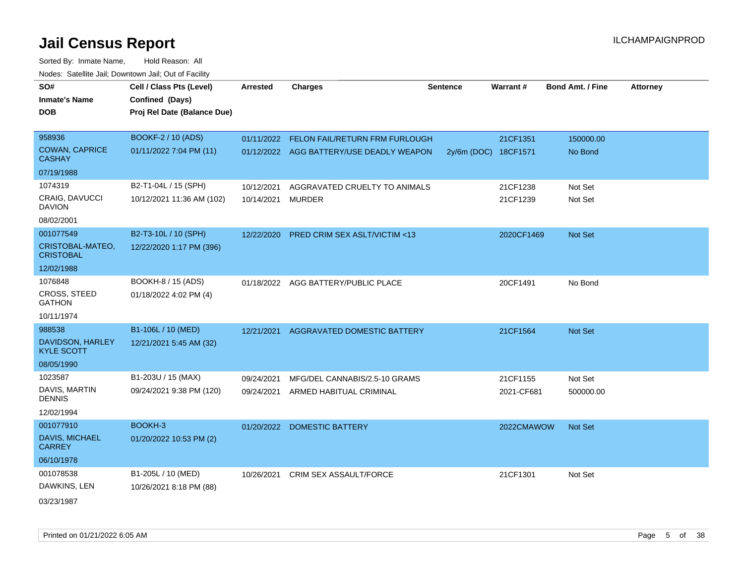| SO#                                   | Cell / Class Pts (Level)    | Arrested   | <b>Charges</b>                            | <b>Sentence</b> | Warrant#             | <b>Bond Amt. / Fine</b> | <b>Attorney</b> |
|---------------------------------------|-----------------------------|------------|-------------------------------------------|-----------------|----------------------|-------------------------|-----------------|
| <b>Inmate's Name</b>                  | Confined (Days)             |            |                                           |                 |                      |                         |                 |
| <b>DOB</b>                            | Proj Rel Date (Balance Due) |            |                                           |                 |                      |                         |                 |
|                                       |                             |            |                                           |                 |                      |                         |                 |
| 958936                                | <b>BOOKF-2 / 10 (ADS)</b>   |            | 01/11/2022 FELON FAIL/RETURN FRM FURLOUGH |                 | 21CF1351             | 150000.00               |                 |
| COWAN, CAPRICE<br><b>CASHAY</b>       | 01/11/2022 7:04 PM (11)     |            | 01/12/2022 AGG BATTERY/USE DEADLY WEAPON  |                 | 2y/6m (DOC) 18CF1571 | No Bond                 |                 |
| 07/19/1988                            |                             |            |                                           |                 |                      |                         |                 |
| 1074319                               | B2-T1-04L / 15 (SPH)        | 10/12/2021 | AGGRAVATED CRUELTY TO ANIMALS             |                 | 21CF1238             | Not Set                 |                 |
| CRAIG, DAVUCCI<br><b>DAVION</b>       | 10/12/2021 11:36 AM (102)   | 10/14/2021 | <b>MURDER</b>                             |                 | 21CF1239             | Not Set                 |                 |
| 08/02/2001                            |                             |            |                                           |                 |                      |                         |                 |
| 001077549                             | B2-T3-10L / 10 (SPH)        | 12/22/2020 | <b>PRED CRIM SEX ASLT/VICTIM &lt;13</b>   |                 | 2020CF1469           | Not Set                 |                 |
| CRISTOBAL-MATEO,<br><b>CRISTOBAL</b>  | 12/22/2020 1:17 PM (396)    |            |                                           |                 |                      |                         |                 |
| 12/02/1988                            |                             |            |                                           |                 |                      |                         |                 |
| 1076848                               | BOOKH-8 / 15 (ADS)          |            | 01/18/2022 AGG BATTERY/PUBLIC PLACE       |                 | 20CF1491             | No Bond                 |                 |
| CROSS, STEED<br><b>GATHON</b>         | 01/18/2022 4:02 PM (4)      |            |                                           |                 |                      |                         |                 |
| 10/11/1974                            |                             |            |                                           |                 |                      |                         |                 |
| 988538                                | B1-106L / 10 (MED)          | 12/21/2021 | AGGRAVATED DOMESTIC BATTERY               |                 | 21CF1564             | Not Set                 |                 |
| DAVIDSON, HARLEY<br><b>KYLE SCOTT</b> | 12/21/2021 5:45 AM (32)     |            |                                           |                 |                      |                         |                 |
| 08/05/1990                            |                             |            |                                           |                 |                      |                         |                 |
| 1023587                               | B1-203U / 15 (MAX)          | 09/24/2021 | MFG/DEL CANNABIS/2.5-10 GRAMS             |                 | 21CF1155             | Not Set                 |                 |
| DAVIS, MARTIN<br><b>DENNIS</b>        | 09/24/2021 9:38 PM (120)    | 09/24/2021 | ARMED HABITUAL CRIMINAL                   |                 | 2021-CF681           | 500000.00               |                 |
| 12/02/1994                            |                             |            |                                           |                 |                      |                         |                 |
| 001077910                             | BOOKH-3                     |            | 01/20/2022 DOMESTIC BATTERY               |                 | 2022CMAWOW           | Not Set                 |                 |
| DAVIS, MICHAEL<br><b>CARREY</b>       | 01/20/2022 10:53 PM (2)     |            |                                           |                 |                      |                         |                 |
| 06/10/1978                            |                             |            |                                           |                 |                      |                         |                 |
| 001078538                             | B1-205L / 10 (MED)          | 10/26/2021 | CRIM SEX ASSAULT/FORCE                    |                 | 21CF1301             | Not Set                 |                 |
| DAWKINS, LEN                          | 10/26/2021 8:18 PM (88)     |            |                                           |                 |                      |                         |                 |
| 03/23/1987                            |                             |            |                                           |                 |                      |                         |                 |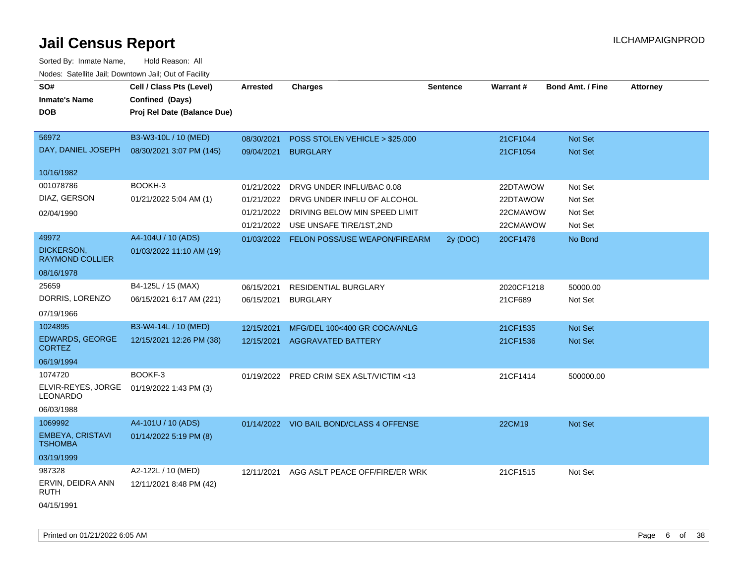| SO#<br><b>Inmate's Name</b>               | Cell / Class Pts (Level)<br>Confined (Days) | <b>Arrested</b> | <b>Charges</b>                           | <b>Sentence</b> | <b>Warrant#</b> | <b>Bond Amt. / Fine</b> | <b>Attorney</b> |
|-------------------------------------------|---------------------------------------------|-----------------|------------------------------------------|-----------------|-----------------|-------------------------|-----------------|
| <b>DOB</b>                                | Proj Rel Date (Balance Due)                 |                 |                                          |                 |                 |                         |                 |
| 56972                                     | B3-W3-10L / 10 (MED)                        | 08/30/2021      | POSS STOLEN VEHICLE > \$25,000           |                 | 21CF1044        | Not Set                 |                 |
| DAY, DANIEL JOSEPH                        | 08/30/2021 3:07 PM (145)                    | 09/04/2021      | <b>BURGLARY</b>                          |                 | 21CF1054        | Not Set                 |                 |
| 10/16/1982                                |                                             |                 |                                          |                 |                 |                         |                 |
| 001078786                                 | BOOKH-3                                     | 01/21/2022      | DRVG UNDER INFLU/BAC 0.08                |                 | 22DTAWOW        | Not Set                 |                 |
| DIAZ, GERSON                              | 01/21/2022 5:04 AM (1)                      | 01/21/2022      | DRVG UNDER INFLU OF ALCOHOL              |                 | 22DTAWOW        | Not Set                 |                 |
| 02/04/1990                                |                                             |                 | 01/21/2022 DRIVING BELOW MIN SPEED LIMIT |                 | 22CMAWOW        | Not Set                 |                 |
|                                           |                                             |                 | 01/21/2022 USE UNSAFE TIRE/1ST,2ND       |                 | 22CMAWOW        | Not Set                 |                 |
| 49972                                     | A4-104U / 10 (ADS)                          |                 | 01/03/2022 FELON POSS/USE WEAPON/FIREARM | 2y (DOC)        | 20CF1476        | No Bond                 |                 |
| DICKERSON,<br><b>RAYMOND COLLIER</b>      | 01/03/2022 11:10 AM (19)                    |                 |                                          |                 |                 |                         |                 |
| 08/16/1978                                |                                             |                 |                                          |                 |                 |                         |                 |
| 25659                                     | B4-125L / 15 (MAX)                          | 06/15/2021      | <b>RESIDENTIAL BURGLARY</b>              |                 | 2020CF1218      | 50000.00                |                 |
| DORRIS, LORENZO                           | 06/15/2021 6:17 AM (221)                    | 06/15/2021      | <b>BURGLARY</b>                          |                 | 21CF689         | Not Set                 |                 |
| 07/19/1966                                |                                             |                 |                                          |                 |                 |                         |                 |
| 1024895                                   | B3-W4-14L / 10 (MED)                        | 12/15/2021      | MFG/DEL 100<400 GR COCA/ANLG             |                 | 21CF1535        | Not Set                 |                 |
| <b>EDWARDS, GEORGE</b><br><b>CORTEZ</b>   | 12/15/2021 12:26 PM (38)                    |                 | 12/15/2021 AGGRAVATED BATTERY            |                 | 21CF1536        | Not Set                 |                 |
| 06/19/1994                                |                                             |                 |                                          |                 |                 |                         |                 |
| 1074720                                   | BOOKF-3                                     | 01/19/2022      | PRED CRIM SEX ASLT/VICTIM <13            |                 | 21CF1414        | 500000.00               |                 |
| ELVIR-REYES, JORGE<br>LEONARDO            | 01/19/2022 1:43 PM (3)                      |                 |                                          |                 |                 |                         |                 |
| 06/03/1988                                |                                             |                 |                                          |                 |                 |                         |                 |
| 1069992                                   | A4-101U / 10 (ADS)                          |                 | 01/14/2022 VIO BAIL BOND/CLASS 4 OFFENSE |                 | 22CM19          | Not Set                 |                 |
| <b>EMBEYA, CRISTAVI</b><br><b>TSHOMBA</b> | 01/14/2022 5:19 PM (8)                      |                 |                                          |                 |                 |                         |                 |
| 03/19/1999                                |                                             |                 |                                          |                 |                 |                         |                 |
| 987328                                    | A2-122L / 10 (MED)                          | 12/11/2021      | AGG ASLT PEACE OFF/FIRE/ER WRK           |                 | 21CF1515        | Not Set                 |                 |
| ERVIN, DEIDRA ANN<br>RUTH                 | 12/11/2021 8:48 PM (42)                     |                 |                                          |                 |                 |                         |                 |
| 04/15/1991                                |                                             |                 |                                          |                 |                 |                         |                 |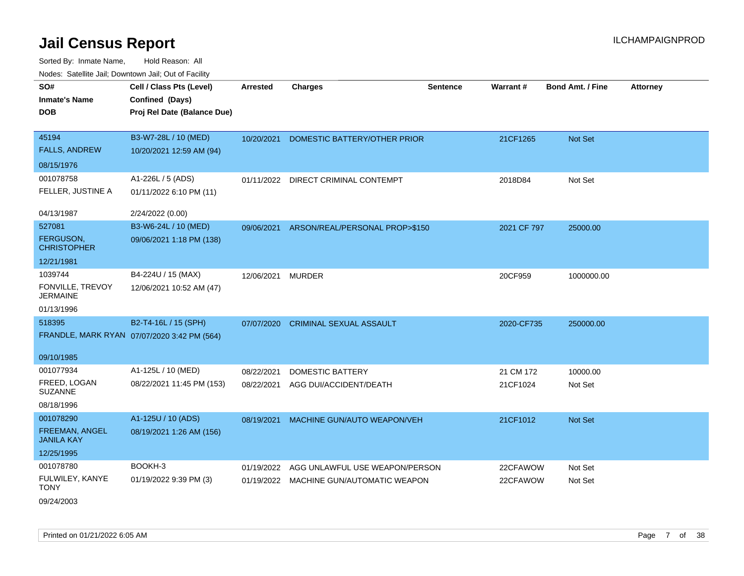| SO#<br><b>Inmate's Name</b>                                    | Cell / Class Pts (Level)<br>Confined (Days)                         | Arrested                 | <b>Charges</b>                                                            | <b>Sentence</b> | <b>Warrant#</b>       | <b>Bond Amt. / Fine</b> | <b>Attorney</b> |
|----------------------------------------------------------------|---------------------------------------------------------------------|--------------------------|---------------------------------------------------------------------------|-----------------|-----------------------|-------------------------|-----------------|
| <b>DOB</b>                                                     | Proj Rel Date (Balance Due)                                         |                          |                                                                           |                 |                       |                         |                 |
| 45194<br><b>FALLS, ANDREW</b><br>08/15/1976                    | B3-W7-28L / 10 (MED)<br>10/20/2021 12:59 AM (94)                    | 10/20/2021               | DOMESTIC BATTERY/OTHER PRIOR                                              |                 | 21CF1265              | Not Set                 |                 |
| 001078758<br>FELLER, JUSTINE A                                 | A1-226L / 5 (ADS)<br>01/11/2022 6:10 PM (11)                        |                          | 01/11/2022 DIRECT CRIMINAL CONTEMPT                                       |                 | 2018D84               | Not Set                 |                 |
| 04/13/1987                                                     | 2/24/2022 (0.00)                                                    |                          |                                                                           |                 |                       |                         |                 |
| 527081<br>FERGUSON,<br><b>CHRISTOPHER</b><br>12/21/1981        | B3-W6-24L / 10 (MED)<br>09/06/2021 1:18 PM (138)                    | 09/06/2021               | ARSON/REAL/PERSONAL PROP>\$150                                            |                 | 2021 CF 797           | 25000.00                |                 |
| 1039744<br>FONVILLE, TREVOY<br><b>JERMAINE</b>                 | B4-224U / 15 (MAX)<br>12/06/2021 10:52 AM (47)                      | 12/06/2021 MURDER        |                                                                           |                 | 20CF959               | 1000000.00              |                 |
| 01/13/1996                                                     |                                                                     |                          |                                                                           |                 |                       |                         |                 |
| 518395                                                         | B2-T4-16L / 15 (SPH)<br>FRANDLE, MARK RYAN 07/07/2020 3:42 PM (564) | 07/07/2020               | <b>CRIMINAL SEXUAL ASSAULT</b>                                            |                 | 2020-CF735            | 250000.00               |                 |
| 09/10/1985                                                     |                                                                     |                          |                                                                           |                 |                       |                         |                 |
| 001077934<br>FREED, LOGAN<br><b>SUZANNE</b><br>08/18/1996      | A1-125L / 10 (MED)<br>08/22/2021 11:45 PM (153)                     | 08/22/2021<br>08/22/2021 | <b>DOMESTIC BATTERY</b><br>AGG DUI/ACCIDENT/DEATH                         |                 | 21 CM 172<br>21CF1024 | 10000.00<br>Not Set     |                 |
| 001078290<br>FREEMAN, ANGEL<br><b>JANILA KAY</b><br>12/25/1995 | A1-125U / 10 (ADS)<br>08/19/2021 1:26 AM (156)                      | 08/19/2021               | MACHINE GUN/AUTO WEAPON/VEH                                               |                 | 21CF1012              | Not Set                 |                 |
| 001078780<br>FULWILEY, KANYE<br><b>TONY</b><br>09/24/2003      | BOOKH-3<br>01/19/2022 9:39 PM (3)                                   | 01/19/2022               | AGG UNLAWFUL USE WEAPON/PERSON<br>01/19/2022 MACHINE GUN/AUTOMATIC WEAPON |                 | 22CFAWOW<br>22CFAWOW  | Not Set<br>Not Set      |                 |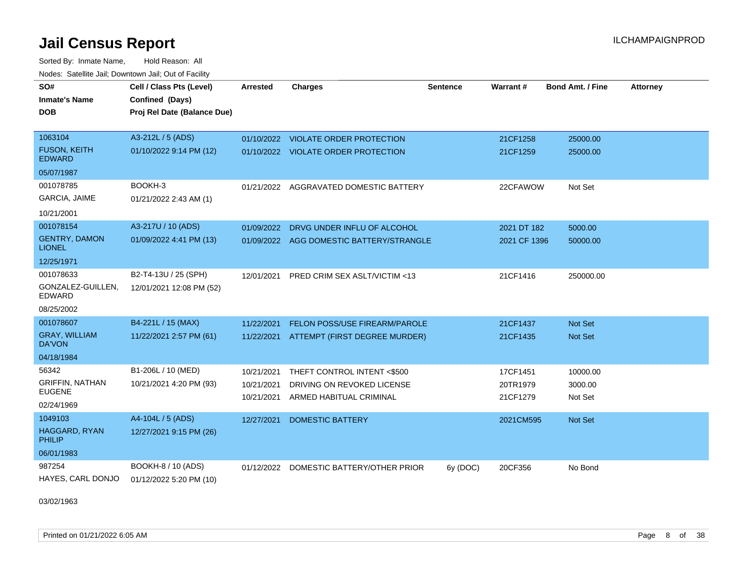Sorted By: Inmate Name, Hold Reason: All Nodes: Satellite Jail; Downtown Jail; Out of Facility

| SO#                                   | Cell / Class Pts (Level)    | Arrested   | <b>Charges</b>                           | <b>Sentence</b> | Warrant#     | <b>Bond Amt. / Fine</b> | <b>Attorney</b> |
|---------------------------------------|-----------------------------|------------|------------------------------------------|-----------------|--------------|-------------------------|-----------------|
| <b>Inmate's Name</b>                  | Confined (Days)             |            |                                          |                 |              |                         |                 |
| <b>DOB</b>                            | Proj Rel Date (Balance Due) |            |                                          |                 |              |                         |                 |
|                                       |                             |            |                                          |                 |              |                         |                 |
| 1063104                               | A3-212L / 5 (ADS)           |            | 01/10/2022 VIOLATE ORDER PROTECTION      |                 | 21CF1258     | 25000.00                |                 |
| <b>FUSON, KEITH</b><br><b>EDWARD</b>  | 01/10/2022 9:14 PM (12)     |            | 01/10/2022 VIOLATE ORDER PROTECTION      |                 | 21CF1259     | 25000.00                |                 |
| 05/07/1987                            |                             |            |                                          |                 |              |                         |                 |
| 001078785                             | BOOKH-3                     | 01/21/2022 | AGGRAVATED DOMESTIC BATTERY              |                 | 22CFAWOW     | Not Set                 |                 |
| <b>GARCIA, JAIME</b>                  | 01/21/2022 2:43 AM (1)      |            |                                          |                 |              |                         |                 |
| 10/21/2001                            |                             |            |                                          |                 |              |                         |                 |
| 001078154                             | A3-217U / 10 (ADS)          | 01/09/2022 | DRVG UNDER INFLU OF ALCOHOL              |                 | 2021 DT 182  | 5000.00                 |                 |
| <b>GENTRY, DAMON</b><br><b>LIONEL</b> | 01/09/2022 4:41 PM (13)     |            | 01/09/2022 AGG DOMESTIC BATTERY/STRANGLE |                 | 2021 CF 1396 | 50000.00                |                 |
| 12/25/1971                            |                             |            |                                          |                 |              |                         |                 |
| 001078633                             | B2-T4-13U / 25 (SPH)        | 12/01/2021 | PRED CRIM SEX ASLT/VICTIM <13            |                 | 21CF1416     | 250000.00               |                 |
| GONZALEZ-GUILLEN.<br>EDWARD           | 12/01/2021 12:08 PM (52)    |            |                                          |                 |              |                         |                 |
| 08/25/2002                            |                             |            |                                          |                 |              |                         |                 |
| 001078607                             | B4-221L / 15 (MAX)          | 11/22/2021 | FELON POSS/USE FIREARM/PAROLE            |                 | 21CF1437     | Not Set                 |                 |
| <b>GRAY, WILLIAM</b><br><b>DA'VON</b> | 11/22/2021 2:57 PM (61)     | 11/22/2021 | ATTEMPT (FIRST DEGREE MURDER)            |                 | 21CF1435     | Not Set                 |                 |
| 04/18/1984                            |                             |            |                                          |                 |              |                         |                 |
| 56342                                 | B1-206L / 10 (MED)          | 10/21/2021 | THEFT CONTROL INTENT <\$500              |                 | 17CF1451     | 10000.00                |                 |
| <b>GRIFFIN, NATHAN</b>                | 10/21/2021 4:20 PM (93)     | 10/21/2021 | DRIVING ON REVOKED LICENSE               |                 | 20TR1979     | 3000.00                 |                 |
| <b>EUGENE</b>                         |                             | 10/21/2021 | ARMED HABITUAL CRIMINAL                  |                 | 21CF1279     | Not Set                 |                 |
| 02/24/1969                            |                             |            |                                          |                 |              |                         |                 |
| 1049103                               | A4-104L / 5 (ADS)           | 12/27/2021 | <b>DOMESTIC BATTERY</b>                  |                 | 2021CM595    | Not Set                 |                 |
| <b>HAGGARD, RYAN</b><br>PHILIP        | 12/27/2021 9:15 PM (26)     |            |                                          |                 |              |                         |                 |
| 06/01/1983                            |                             |            |                                          |                 |              |                         |                 |
| 987254                                | BOOKH-8 / 10 (ADS)          | 01/12/2022 | DOMESTIC BATTERY/OTHER PRIOR             | 6y (DOC)        | 20CF356      | No Bond                 |                 |
| HAYES, CARL DONJO                     | 01/12/2022 5:20 PM (10)     |            |                                          |                 |              |                         |                 |

03/02/1963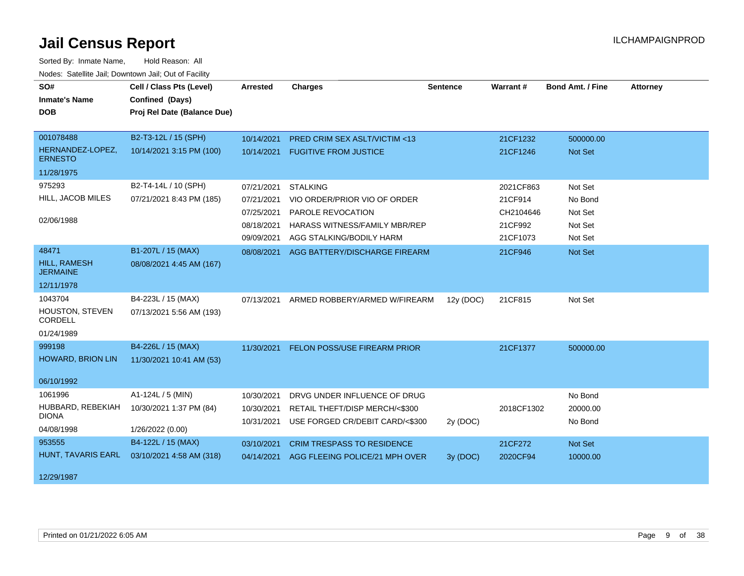| SO#<br><b>Inmate's Name</b><br><b>DOB</b> | Cell / Class Pts (Level)<br>Confined (Days)<br>Proj Rel Date (Balance Due) | <b>Arrested</b> | <b>Charges</b>                       | <b>Sentence</b> | Warrant#   | <b>Bond Amt. / Fine</b> | <b>Attorney</b> |
|-------------------------------------------|----------------------------------------------------------------------------|-----------------|--------------------------------------|-----------------|------------|-------------------------|-----------------|
|                                           |                                                                            |                 |                                      |                 |            |                         |                 |
| 001078488                                 | B2-T3-12L / 15 (SPH)                                                       | 10/14/2021      | PRED CRIM SEX ASLT/VICTIM <13        |                 | 21CF1232   | 500000.00               |                 |
| HERNANDEZ-LOPEZ,<br><b>ERNESTO</b>        | 10/14/2021 3:15 PM (100)                                                   | 10/14/2021      | <b>FUGITIVE FROM JUSTICE</b>         |                 | 21CF1246   | <b>Not Set</b>          |                 |
| 11/28/1975                                |                                                                            |                 |                                      |                 |            |                         |                 |
| 975293                                    | B2-T4-14L / 10 (SPH)                                                       | 07/21/2021      | <b>STALKING</b>                      |                 | 2021CF863  | Not Set                 |                 |
| HILL, JACOB MILES                         | 07/21/2021 8:43 PM (185)                                                   | 07/21/2021      | VIO ORDER/PRIOR VIO OF ORDER         |                 | 21CF914    | No Bond                 |                 |
|                                           |                                                                            | 07/25/2021      | PAROLE REVOCATION                    |                 | CH2104646  | Not Set                 |                 |
| 02/06/1988                                |                                                                            | 08/18/2021      | <b>HARASS WITNESS/FAMILY MBR/REP</b> |                 | 21CF992    | Not Set                 |                 |
|                                           |                                                                            | 09/09/2021      | AGG STALKING/BODILY HARM             |                 | 21CF1073   | Not Set                 |                 |
| 48471                                     | B1-207L / 15 (MAX)                                                         | 08/08/2021      | AGG BATTERY/DISCHARGE FIREARM        |                 | 21CF946    | Not Set                 |                 |
| <b>HILL, RAMESH</b><br><b>JERMAINE</b>    | 08/08/2021 4:45 AM (167)                                                   |                 |                                      |                 |            |                         |                 |
| 12/11/1978                                |                                                                            |                 |                                      |                 |            |                         |                 |
| 1043704                                   | B4-223L / 15 (MAX)                                                         | 07/13/2021      | ARMED ROBBERY/ARMED W/FIREARM        | 12y (DOC)       | 21CF815    | Not Set                 |                 |
| HOUSTON, STEVEN<br>CORDELL                | 07/13/2021 5:56 AM (193)                                                   |                 |                                      |                 |            |                         |                 |
| 01/24/1989                                |                                                                            |                 |                                      |                 |            |                         |                 |
| 999198                                    | B4-226L / 15 (MAX)                                                         | 11/30/2021      | FELON POSS/USE FIREARM PRIOR         |                 | 21CF1377   | 500000.00               |                 |
| <b>HOWARD, BRION LIN</b>                  | 11/30/2021 10:41 AM (53)                                                   |                 |                                      |                 |            |                         |                 |
| 06/10/1992                                |                                                                            |                 |                                      |                 |            |                         |                 |
| 1061996                                   | A1-124L / 5 (MIN)                                                          | 10/30/2021      | DRVG UNDER INFLUENCE OF DRUG         |                 |            | No Bond                 |                 |
| HUBBARD, REBEKIAH                         | 10/30/2021 1:37 PM (84)                                                    | 10/30/2021      | RETAIL THEFT/DISP MERCH/<\$300       |                 | 2018CF1302 | 20000.00                |                 |
| <b>DIONA</b>                              |                                                                            | 10/31/2021      | USE FORGED CR/DEBIT CARD/<\$300      | 2y (DOC)        |            | No Bond                 |                 |
| 04/08/1998                                | 1/26/2022 (0.00)                                                           |                 |                                      |                 |            |                         |                 |
| 953555                                    | B4-122L / 15 (MAX)                                                         | 03/10/2021      | <b>CRIM TRESPASS TO RESIDENCE</b>    |                 | 21CF272    | Not Set                 |                 |
| HUNT, TAVARIS EARL                        | 03/10/2021 4:58 AM (318)                                                   | 04/14/2021      | AGG FLEEING POLICE/21 MPH OVER       | 3y (DOC)        | 2020CF94   | 10000.00                |                 |
| 12/29/1987                                |                                                                            |                 |                                      |                 |            |                         |                 |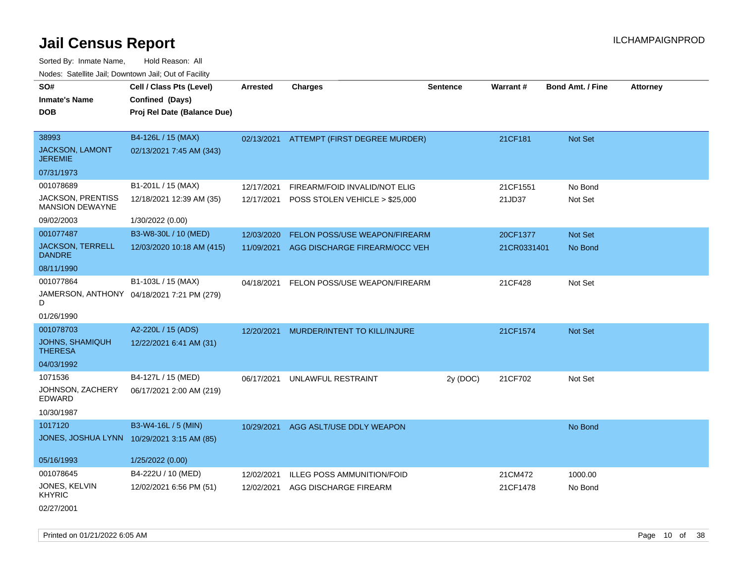Sorted By: Inmate Name, Hold Reason: All Nodes: Satellite Jail; Downtown Jail; Out of Facility

| SO#<br><b>Inmate's Name</b><br><b>DOB</b>   | Cell / Class Pts (Level)<br>Confined (Days)<br>Proj Rel Date (Balance Due) | <b>Arrested</b> | <b>Charges</b>                       | Sentence | <b>Warrant#</b> | Bond Amt. / Fine | <b>Attorney</b> |
|---------------------------------------------|----------------------------------------------------------------------------|-----------------|--------------------------------------|----------|-----------------|------------------|-----------------|
| 38993<br>JACKSON, LAMONT<br><b>JEREMIE</b>  | B4-126L / 15 (MAX)<br>02/13/2021 7:45 AM (343)                             | 02/13/2021      | <b>ATTEMPT (FIRST DEGREE MURDER)</b> |          | 21CF181         | Not Set          |                 |
| 07/31/1973                                  |                                                                            |                 |                                      |          |                 |                  |                 |
| 001078689                                   | B1-201L / 15 (MAX)                                                         | 12/17/2021      | FIREARM/FOID INVALID/NOT ELIG        |          | 21CF1551        | No Bond          |                 |
| JACKSON, PRENTISS<br><b>MANSION DEWAYNE</b> | 12/18/2021 12:39 AM (35)                                                   | 12/17/2021      | POSS STOLEN VEHICLE > \$25,000       |          | 21JD37          | Not Set          |                 |
| 09/02/2003                                  | 1/30/2022 (0.00)                                                           |                 |                                      |          |                 |                  |                 |
| 001077487                                   | B3-W8-30L / 10 (MED)                                                       | 12/03/2020      | FELON POSS/USE WEAPON/FIREARM        |          | 20CF1377        | Not Set          |                 |
| <b>JACKSON, TERRELL</b><br><b>DANDRE</b>    | 12/03/2020 10:18 AM (415)                                                  | 11/09/2021      | AGG DISCHARGE FIREARM/OCC VEH        |          | 21CR0331401     | No Bond          |                 |
| 08/11/1990                                  |                                                                            |                 |                                      |          |                 |                  |                 |
| 001077864<br>D                              | B1-103L / 15 (MAX)<br>JAMERSON, ANTHONY 04/18/2021 7:21 PM (279)           | 04/18/2021      | FELON POSS/USE WEAPON/FIREARM        |          | 21CF428         | Not Set          |                 |
| 01/26/1990                                  |                                                                            |                 |                                      |          |                 |                  |                 |
| 001078703                                   | A2-220L / 15 (ADS)                                                         | 12/20/2021      | MURDER/INTENT TO KILL/INJURE         |          | 21CF1574        | <b>Not Set</b>   |                 |
| <b>JOHNS, SHAMIQUH</b><br><b>THERESA</b>    | 12/22/2021 6:41 AM (31)                                                    |                 |                                      |          |                 |                  |                 |
| 04/03/1992                                  |                                                                            |                 |                                      |          |                 |                  |                 |
| 1071536                                     | B4-127L / 15 (MED)                                                         | 06/17/2021      | UNLAWFUL RESTRAINT                   | 2y (DOC) | 21CF702         | Not Set          |                 |
| JOHNSON, ZACHERY<br><b>EDWARD</b>           | 06/17/2021 2:00 AM (219)                                                   |                 |                                      |          |                 |                  |                 |
| 10/30/1987                                  |                                                                            |                 |                                      |          |                 |                  |                 |
| 1017120                                     | B3-W4-16L / 5 (MIN)                                                        | 10/29/2021      | AGG ASLT/USE DDLY WEAPON             |          |                 | No Bond          |                 |
| JONES, JOSHUA LYNN                          | 10/29/2021 3:15 AM (85)                                                    |                 |                                      |          |                 |                  |                 |
| 05/16/1993                                  | 1/25/2022 (0.00)                                                           |                 |                                      |          |                 |                  |                 |
| 001078645                                   | B4-222U / 10 (MED)                                                         | 12/02/2021      | <b>ILLEG POSS AMMUNITION/FOID</b>    |          | 21CM472         | 1000.00          |                 |
| JONES, KELVIN<br><b>KHYRIC</b>              | 12/02/2021 6:56 PM (51)                                                    | 12/02/2021      | AGG DISCHARGE FIREARM                |          | 21CF1478        | No Bond          |                 |
| 02/27/2001                                  |                                                                            |                 |                                      |          |                 |                  |                 |

Printed on 01/21/2022 6:05 AM Page 10 of 38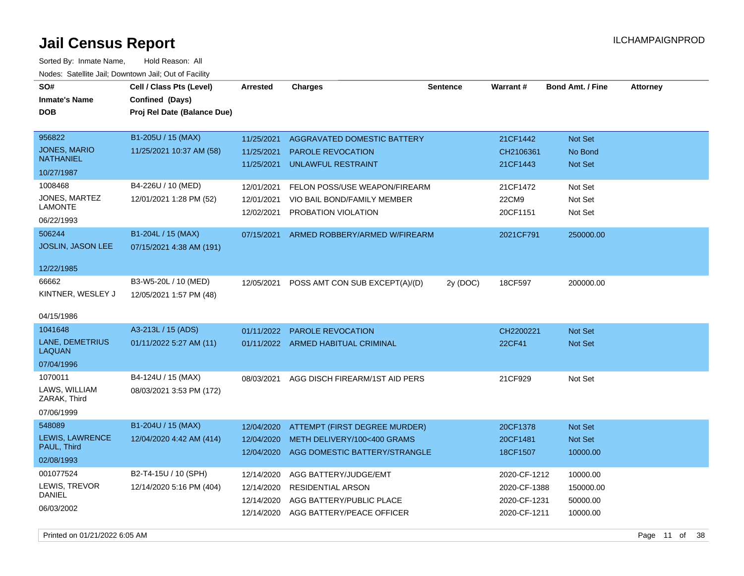| SO#<br><b>Inmate's Name</b><br><b>DOB</b> | Cell / Class Pts (Level)<br>Confined (Days)<br>Proj Rel Date (Balance Due) | Arrested   | <b>Charges</b>                     | <b>Sentence</b> | <b>Warrant#</b> | <b>Bond Amt. / Fine</b> | <b>Attorney</b> |
|-------------------------------------------|----------------------------------------------------------------------------|------------|------------------------------------|-----------------|-----------------|-------------------------|-----------------|
| 956822                                    | B1-205U / 15 (MAX)                                                         | 11/25/2021 | AGGRAVATED DOMESTIC BATTERY        |                 | 21CF1442        | Not Set                 |                 |
| <b>JONES, MARIO</b><br><b>NATHANIEL</b>   | 11/25/2021 10:37 AM (58)                                                   | 11/25/2021 | <b>PAROLE REVOCATION</b>           |                 | CH2106361       | No Bond                 |                 |
| 10/27/1987                                |                                                                            | 11/25/2021 | <b>UNLAWFUL RESTRAINT</b>          |                 | 21CF1443        | <b>Not Set</b>          |                 |
| 1008468                                   | B4-226U / 10 (MED)                                                         | 12/01/2021 | FELON POSS/USE WEAPON/FIREARM      |                 | 21CF1472        | Not Set                 |                 |
| JONES, MARTEZ<br><b>LAMONTE</b>           | 12/01/2021 1:28 PM (52)                                                    | 12/01/2021 | VIO BAIL BOND/FAMILY MEMBER        |                 | 22CM9           | Not Set                 |                 |
| 06/22/1993                                |                                                                            | 12/02/2021 | PROBATION VIOLATION                |                 | 20CF1151        | Not Set                 |                 |
| 506244                                    | B1-204L / 15 (MAX)                                                         | 07/15/2021 | ARMED ROBBERY/ARMED W/FIREARM      |                 | 2021CF791       | 250000.00               |                 |
| JOSLIN, JASON LEE                         | 07/15/2021 4:38 AM (191)                                                   |            |                                    |                 |                 |                         |                 |
| 12/22/1985                                |                                                                            |            |                                    |                 |                 |                         |                 |
| 66662                                     | B3-W5-20L / 10 (MED)                                                       | 12/05/2021 | POSS AMT CON SUB EXCEPT(A)/(D)     | 2y (DOC)        | 18CF597         | 200000.00               |                 |
| KINTNER, WESLEY J                         | 12/05/2021 1:57 PM (48)                                                    |            |                                    |                 |                 |                         |                 |
| 04/15/1986                                |                                                                            |            |                                    |                 |                 |                         |                 |
| 1041648                                   | A3-213L / 15 (ADS)                                                         | 01/11/2022 | PAROLE REVOCATION                  |                 | CH2200221       | Not Set                 |                 |
| <b>LANE, DEMETRIUS</b><br><b>LAQUAN</b>   | 01/11/2022 5:27 AM (11)                                                    |            | 01/11/2022 ARMED HABITUAL CRIMINAL |                 | 22CF41          | Not Set                 |                 |
| 07/04/1996                                |                                                                            |            |                                    |                 |                 |                         |                 |
| 1070011                                   | B4-124U / 15 (MAX)                                                         | 08/03/2021 | AGG DISCH FIREARM/1ST AID PERS     |                 | 21CF929         | Not Set                 |                 |
| LAWS, WILLIAM<br>ZARAK, Third             | 08/03/2021 3:53 PM (172)                                                   |            |                                    |                 |                 |                         |                 |
| 07/06/1999                                |                                                                            |            |                                    |                 |                 |                         |                 |
| 548089                                    | B1-204U / 15 (MAX)                                                         | 12/04/2020 | ATTEMPT (FIRST DEGREE MURDER)      |                 | 20CF1378        | Not Set                 |                 |
| LEWIS, LAWRENCE<br>PAUL, Third            | 12/04/2020 4:42 AM (414)                                                   | 12/04/2020 | METH DELIVERY/100<400 GRAMS        |                 | 20CF1481        | Not Set                 |                 |
| 02/08/1993                                |                                                                            | 12/04/2020 | AGG DOMESTIC BATTERY/STRANGLE      |                 | 18CF1507        | 10000.00                |                 |
| 001077524                                 | B2-T4-15U / 10 (SPH)                                                       | 12/14/2020 | AGG BATTERY/JUDGE/EMT              |                 | 2020-CF-1212    | 10000.00                |                 |
| LEWIS, TREVOR                             | 12/14/2020 5:16 PM (404)                                                   | 12/14/2020 | <b>RESIDENTIAL ARSON</b>           |                 | 2020-CF-1388    | 150000.00               |                 |
| <b>DANIEL</b>                             |                                                                            | 12/14/2020 | AGG BATTERY/PUBLIC PLACE           |                 | 2020-CF-1231    | 50000.00                |                 |
| 06/03/2002                                |                                                                            | 12/14/2020 | AGG BATTERY/PEACE OFFICER          |                 | 2020-CF-1211    | 10000.00                |                 |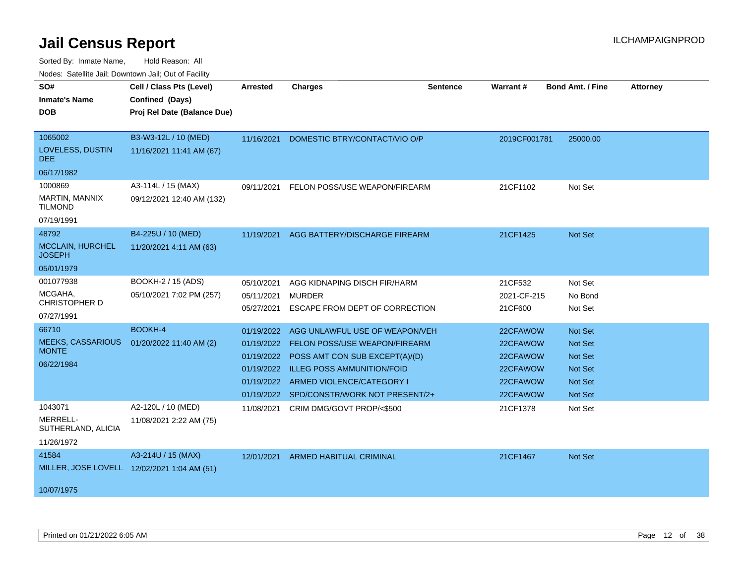| inodes. Satellite Jali, Downtown Jali, Out of Facility |                             |                 |                                   |                 |              |                         |                 |
|--------------------------------------------------------|-----------------------------|-----------------|-----------------------------------|-----------------|--------------|-------------------------|-----------------|
| SO#                                                    | Cell / Class Pts (Level)    | <b>Arrested</b> | <b>Charges</b>                    | <b>Sentence</b> | Warrant#     | <b>Bond Amt. / Fine</b> | <b>Attorney</b> |
| <b>Inmate's Name</b>                                   | Confined (Days)             |                 |                                   |                 |              |                         |                 |
| <b>DOB</b>                                             | Proj Rel Date (Balance Due) |                 |                                   |                 |              |                         |                 |
|                                                        |                             |                 |                                   |                 |              |                         |                 |
| 1065002                                                | B3-W3-12L / 10 (MED)        | 11/16/2021      | DOMESTIC BTRY/CONTACT/VIO O/P     |                 | 2019CF001781 | 25000.00                |                 |
| LOVELESS, DUSTIN<br>DEE.                               | 11/16/2021 11:41 AM (67)    |                 |                                   |                 |              |                         |                 |
| 06/17/1982                                             |                             |                 |                                   |                 |              |                         |                 |
| 1000869                                                | A3-114L / 15 (MAX)          | 09/11/2021      | FELON POSS/USE WEAPON/FIREARM     |                 | 21CF1102     | Not Set                 |                 |
| <b>MARTIN, MANNIX</b><br><b>TILMOND</b>                | 09/12/2021 12:40 AM (132)   |                 |                                   |                 |              |                         |                 |
| 07/19/1991                                             |                             |                 |                                   |                 |              |                         |                 |
| 48792                                                  | B4-225U / 10 (MED)          | 11/19/2021      | AGG BATTERY/DISCHARGE FIREARM     |                 | 21CF1425     | <b>Not Set</b>          |                 |
| <b>MCCLAIN, HURCHEL</b><br><b>JOSEPH</b>               | 11/20/2021 4:11 AM (63)     |                 |                                   |                 |              |                         |                 |
| 05/01/1979                                             |                             |                 |                                   |                 |              |                         |                 |
| 001077938                                              | BOOKH-2 / 15 (ADS)          | 05/10/2021      | AGG KIDNAPING DISCH FIR/HARM      |                 | 21CF532      | Not Set                 |                 |
| MCGAHA,                                                | 05/10/2021 7:02 PM (257)    | 05/11/2021      | <b>MURDER</b>                     |                 | 2021-CF-215  | No Bond                 |                 |
| CHRISTOPHER D                                          |                             | 05/27/2021      | ESCAPE FROM DEPT OF CORRECTION    |                 | 21CF600      | Not Set                 |                 |
| 07/27/1991                                             |                             |                 |                                   |                 |              |                         |                 |
| 66710                                                  | BOOKH-4                     | 01/19/2022      | AGG UNLAWFUL USE OF WEAPON/VEH    |                 | 22CFAWOW     | Not Set                 |                 |
| <b>MEEKS, CASSARIOUS</b><br><b>MONTE</b>               | 01/20/2022 11:40 AM (2)     | 01/19/2022      | FELON POSS/USE WEAPON/FIREARM     |                 | 22CFAWOW     | <b>Not Set</b>          |                 |
|                                                        |                             | 01/19/2022      | POSS AMT CON SUB EXCEPT(A)/(D)    |                 | 22CFAWOW     | <b>Not Set</b>          |                 |
| 06/22/1984                                             |                             | 01/19/2022      | <b>ILLEG POSS AMMUNITION/FOID</b> |                 | 22CFAWOW     | <b>Not Set</b>          |                 |
|                                                        |                             | 01/19/2022      | ARMED VIOLENCE/CATEGORY I         |                 | 22CFAWOW     | <b>Not Set</b>          |                 |
|                                                        |                             | 01/19/2022      | SPD/CONSTR/WORK NOT PRESENT/2+    |                 | 22CFAWOW     | Not Set                 |                 |
| 1043071                                                | A2-120L / 10 (MED)          | 11/08/2021      | CRIM DMG/GOVT PROP/<\$500         |                 | 21CF1378     | Not Set                 |                 |
| MERRELL-<br>SUTHERLAND, ALICIA                         | 11/08/2021 2:22 AM (75)     |                 |                                   |                 |              |                         |                 |
| 11/26/1972                                             |                             |                 |                                   |                 |              |                         |                 |
| 41584                                                  | A3-214U / 15 (MAX)          | 12/01/2021      | <b>ARMED HABITUAL CRIMINAL</b>    |                 | 21CF1467     | <b>Not Set</b>          |                 |
| MILLER, JOSE LOVELL 12/02/2021 1:04 AM (51)            |                             |                 |                                   |                 |              |                         |                 |
|                                                        |                             |                 |                                   |                 |              |                         |                 |
| 10/07/1975                                             |                             |                 |                                   |                 |              |                         |                 |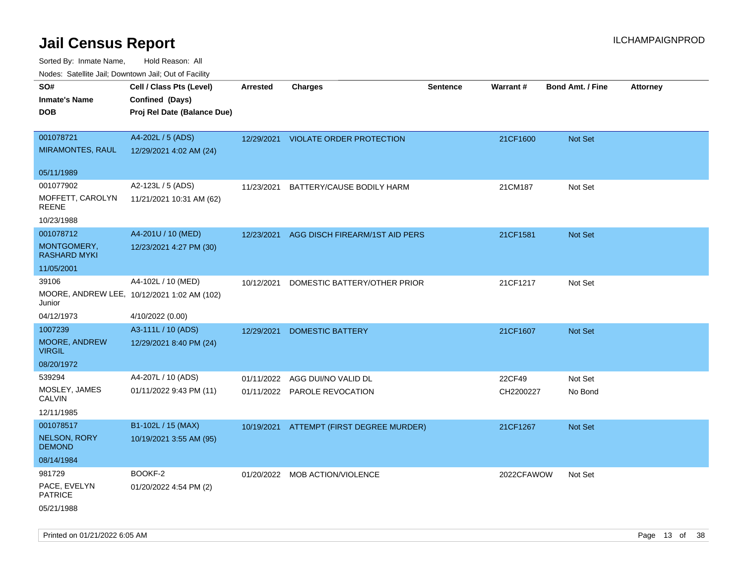Sorted By: Inmate Name, Hold Reason: All

| Nodes: Satellite Jail; Downtown Jail; Out of Facility |                                             |                 |                                 |                 |            |                  |                 |
|-------------------------------------------------------|---------------------------------------------|-----------------|---------------------------------|-----------------|------------|------------------|-----------------|
| SO#                                                   | Cell / Class Pts (Level)                    | <b>Arrested</b> | <b>Charges</b>                  | <b>Sentence</b> | Warrant #  | Bond Amt. / Fine | <b>Attorney</b> |
| <b>Inmate's Name</b>                                  | Confined (Days)                             |                 |                                 |                 |            |                  |                 |
| <b>DOB</b>                                            | Proj Rel Date (Balance Due)                 |                 |                                 |                 |            |                  |                 |
|                                                       |                                             |                 |                                 |                 |            |                  |                 |
| 001078721                                             | A4-202L / 5 (ADS)                           | 12/29/2021      | <b>VIOLATE ORDER PROTECTION</b> |                 | 21CF1600   | Not Set          |                 |
| <b>MIRAMONTES, RAUL</b>                               | 12/29/2021 4:02 AM (24)                     |                 |                                 |                 |            |                  |                 |
| 05/11/1989                                            |                                             |                 |                                 |                 |            |                  |                 |
| 001077902                                             | A2-123L / 5 (ADS)                           | 11/23/2021      | BATTERY/CAUSE BODILY HARM       |                 | 21CM187    | Not Set          |                 |
| MOFFETT, CAROLYN                                      | 11/21/2021 10:31 AM (62)                    |                 |                                 |                 |            |                  |                 |
| <b>REENE</b>                                          |                                             |                 |                                 |                 |            |                  |                 |
| 10/23/1988                                            |                                             |                 |                                 |                 |            |                  |                 |
| 001078712                                             | A4-201U / 10 (MED)                          | 12/23/2021      | AGG DISCH FIREARM/1ST AID PERS  |                 | 21CF1581   | Not Set          |                 |
| MONTGOMERY,<br><b>RASHARD MYKI</b>                    | 12/23/2021 4:27 PM (30)                     |                 |                                 |                 |            |                  |                 |
| 11/05/2001                                            |                                             |                 |                                 |                 |            |                  |                 |
| 39106                                                 | A4-102L / 10 (MED)                          | 10/12/2021      | DOMESTIC BATTERY/OTHER PRIOR    |                 | 21CF1217   | Not Set          |                 |
| Junior                                                | MOORE, ANDREW LEE, 10/12/2021 1:02 AM (102) |                 |                                 |                 |            |                  |                 |
| 04/12/1973                                            | 4/10/2022 (0.00)                            |                 |                                 |                 |            |                  |                 |
| 1007239                                               | A3-111L / 10 (ADS)                          | 12/29/2021      | <b>DOMESTIC BATTERY</b>         |                 | 21CF1607   | <b>Not Set</b>   |                 |
| MOORE, ANDREW<br><b>VIRGIL</b>                        | 12/29/2021 8:40 PM (24)                     |                 |                                 |                 |            |                  |                 |
| 08/20/1972                                            |                                             |                 |                                 |                 |            |                  |                 |
| 539294                                                | A4-207L / 10 (ADS)                          | 01/11/2022      | AGG DUI/NO VALID DL             |                 | 22CF49     | Not Set          |                 |
| MOSLEY, JAMES                                         | 01/11/2022 9:43 PM (11)                     |                 | 01/11/2022 PAROLE REVOCATION    |                 | CH2200227  | No Bond          |                 |
| <b>CALVIN</b>                                         |                                             |                 |                                 |                 |            |                  |                 |
| 12/11/1985                                            |                                             |                 |                                 |                 |            |                  |                 |
| 001078517                                             | B1-102L / 15 (MAX)                          | 10/19/2021      | ATTEMPT (FIRST DEGREE MURDER)   |                 | 21CF1267   | Not Set          |                 |
| NELSON, RORY<br><b>DEMOND</b>                         | 10/19/2021 3:55 AM (95)                     |                 |                                 |                 |            |                  |                 |
| 08/14/1984                                            |                                             |                 |                                 |                 |            |                  |                 |
| 981729                                                | BOOKF-2                                     | 01/20/2022      | <b>MOB ACTION/VIOLENCE</b>      |                 | 2022CFAWOW | Not Set          |                 |
| PACE, EVELYN<br><b>PATRICE</b>                        | 01/20/2022 4:54 PM (2)                      |                 |                                 |                 |            |                  |                 |
| 05/21/1988                                            |                                             |                 |                                 |                 |            |                  |                 |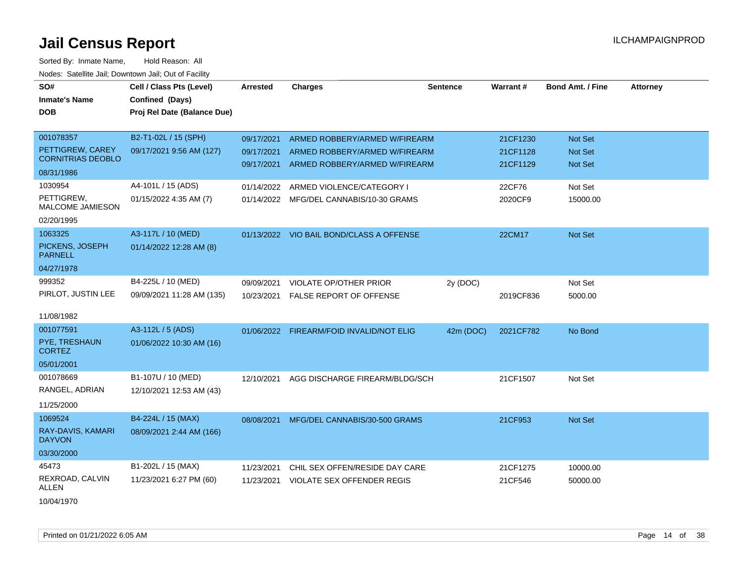| SO#                                          | Cell / Class Pts (Level)    | <b>Arrested</b> | <b>Charges</b>                           | <b>Sentence</b> | Warrant#  | <b>Bond Amt. / Fine</b> | <b>Attorney</b> |
|----------------------------------------------|-----------------------------|-----------------|------------------------------------------|-----------------|-----------|-------------------------|-----------------|
| <b>Inmate's Name</b>                         | Confined (Days)             |                 |                                          |                 |           |                         |                 |
| <b>DOB</b>                                   | Proj Rel Date (Balance Due) |                 |                                          |                 |           |                         |                 |
|                                              |                             |                 |                                          |                 |           |                         |                 |
| 001078357                                    | B2-T1-02L / 15 (SPH)        | 09/17/2021      | ARMED ROBBERY/ARMED W/FIREARM            |                 | 21CF1230  | Not Set                 |                 |
| PETTIGREW, CAREY<br><b>CORNITRIAS DEOBLO</b> | 09/17/2021 9:56 AM (127)    | 09/17/2021      | ARMED ROBBERY/ARMED W/FIREARM            |                 | 21CF1128  | Not Set                 |                 |
| 08/31/1986                                   |                             |                 | 09/17/2021 ARMED ROBBERY/ARMED W/FIREARM |                 | 21CF1129  | Not Set                 |                 |
| 1030954                                      | A4-101L / 15 (ADS)          | 01/14/2022      | ARMED VIOLENCE/CATEGORY I                |                 | 22CF76    | Not Set                 |                 |
| PETTIGREW,<br><b>MALCOME JAMIESON</b>        | 01/15/2022 4:35 AM (7)      |                 | 01/14/2022 MFG/DEL CANNABIS/10-30 GRAMS  |                 | 2020CF9   | 15000.00                |                 |
| 02/20/1995                                   |                             |                 |                                          |                 |           |                         |                 |
| 1063325                                      | A3-117L / 10 (MED)          |                 | 01/13/2022 VIO BAIL BOND/CLASS A OFFENSE |                 | 22CM17    | Not Set                 |                 |
| PICKENS, JOSEPH<br><b>PARNELL</b>            | 01/14/2022 12:28 AM (8)     |                 |                                          |                 |           |                         |                 |
| 04/27/1978                                   |                             |                 |                                          |                 |           |                         |                 |
| 999352                                       | B4-225L / 10 (MED)          | 09/09/2021      | <b>VIOLATE OP/OTHER PRIOR</b>            | 2y (DOC)        |           | Not Set                 |                 |
| PIRLOT, JUSTIN LEE                           | 09/09/2021 11:28 AM (135)   | 10/23/2021      | <b>FALSE REPORT OF OFFENSE</b>           |                 | 2019CF836 | 5000.00                 |                 |
| 11/08/1982                                   |                             |                 |                                          |                 |           |                         |                 |
| 001077591                                    | A3-112L / 5 (ADS)           |                 | 01/06/2022 FIREARM/FOID INVALID/NOT ELIG | 42m (DOC)       | 2021CF782 | No Bond                 |                 |
| PYE, TRESHAUN<br><b>CORTEZ</b>               | 01/06/2022 10:30 AM (16)    |                 |                                          |                 |           |                         |                 |
| 05/01/2001                                   |                             |                 |                                          |                 |           |                         |                 |
| 001078669                                    | B1-107U / 10 (MED)          | 12/10/2021      | AGG DISCHARGE FIREARM/BLDG/SCH           |                 | 21CF1507  | Not Set                 |                 |
| RANGEL, ADRIAN                               | 12/10/2021 12:53 AM (43)    |                 |                                          |                 |           |                         |                 |
| 11/25/2000                                   |                             |                 |                                          |                 |           |                         |                 |
| 1069524                                      | B4-224L / 15 (MAX)          |                 | 08/08/2021 MFG/DEL CANNABIS/30-500 GRAMS |                 | 21CF953   | <b>Not Set</b>          |                 |
| RAY-DAVIS, KAMARI<br><b>DAYVON</b>           | 08/09/2021 2:44 AM (166)    |                 |                                          |                 |           |                         |                 |
| 03/30/2000                                   |                             |                 |                                          |                 |           |                         |                 |
| 45473                                        | B1-202L / 15 (MAX)          | 11/23/2021      | CHIL SEX OFFEN/RESIDE DAY CARE           |                 | 21CF1275  | 10000.00                |                 |
| REXROAD, CALVIN<br>ALLEN                     | 11/23/2021 6:27 PM (60)     | 11/23/2021      | VIOLATE SEX OFFENDER REGIS               |                 | 21CF546   | 50000.00                |                 |
| 10/04/1970                                   |                             |                 |                                          |                 |           |                         |                 |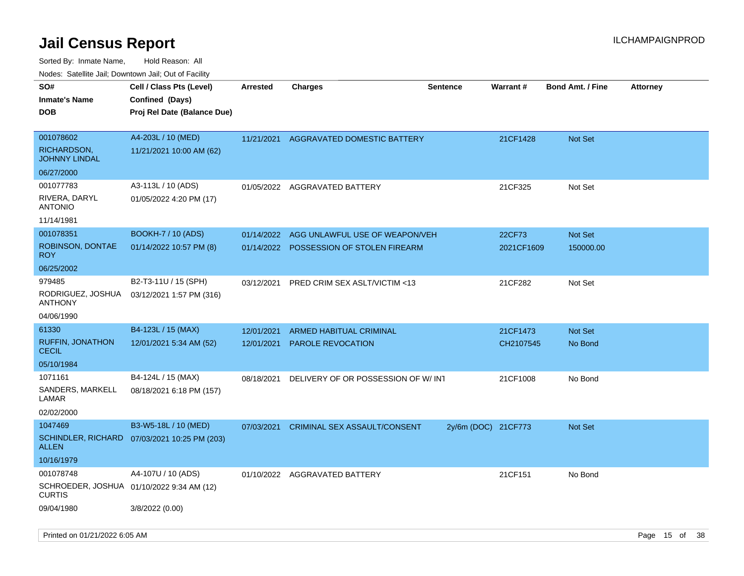| rouco. Calcinic Jan, Downtown Jan, Out of Facility |                                                                            |                 |                                         |                     |                 |                         |                 |
|----------------------------------------------------|----------------------------------------------------------------------------|-----------------|-----------------------------------------|---------------------|-----------------|-------------------------|-----------------|
| SO#<br>Inmate's Name<br><b>DOB</b>                 | Cell / Class Pts (Level)<br>Confined (Days)<br>Proj Rel Date (Balance Due) | <b>Arrested</b> | <b>Charges</b>                          | <b>Sentence</b>     | <b>Warrant#</b> | <b>Bond Amt. / Fine</b> | <b>Attorney</b> |
| 001078602<br>RICHARDSON,<br>JOHNNY LINDAL          | A4-203L / 10 (MED)<br>11/21/2021 10:00 AM (62)                             | 11/21/2021      | AGGRAVATED DOMESTIC BATTERY             |                     | 21CF1428        | <b>Not Set</b>          |                 |
| 06/27/2000                                         |                                                                            |                 |                                         |                     |                 |                         |                 |
| 001077783<br>RIVERA, DARYL<br>ANTONIO              | A3-113L / 10 (ADS)<br>01/05/2022 4:20 PM (17)                              |                 | 01/05/2022 AGGRAVATED BATTERY           |                     | 21CF325         | Not Set                 |                 |
| 11/14/1981                                         |                                                                            |                 |                                         |                     |                 |                         |                 |
| 001078351                                          | <b>BOOKH-7 / 10 (ADS)</b>                                                  | 01/14/2022      | AGG UNLAWFUL USE OF WEAPON/VEH          |                     | 22CF73          | <b>Not Set</b>          |                 |
| ROBINSON, DONTAE<br>ROY.                           | 01/14/2022 10:57 PM (8)                                                    |                 | 01/14/2022 POSSESSION OF STOLEN FIREARM |                     | 2021CF1609      | 150000.00               |                 |
| 06/25/2002                                         |                                                                            |                 |                                         |                     |                 |                         |                 |
| 979485                                             | B2-T3-11U / 15 (SPH)                                                       | 03/12/2021      | PRED CRIM SEX ASLT/VICTIM <13           |                     | 21CF282         | Not Set                 |                 |
| RODRIGUEZ, JOSHUA<br>ANTHONY                       | 03/12/2021 1:57 PM (316)                                                   |                 |                                         |                     |                 |                         |                 |
| 04/06/1990                                         |                                                                            |                 |                                         |                     |                 |                         |                 |
| 61330                                              | B4-123L / 15 (MAX)                                                         | 12/01/2021      | <b>ARMED HABITUAL CRIMINAL</b>          |                     | 21CF1473        | Not Set                 |                 |
| <b>RUFFIN, JONATHON</b><br>CECIL                   | 12/01/2021 5:34 AM (52)                                                    | 12/01/2021      | PAROLE REVOCATION                       |                     | CH2107545       | No Bond                 |                 |
| 05/10/1984                                         |                                                                            |                 |                                         |                     |                 |                         |                 |
| 1071161                                            | B4-124L / 15 (MAX)                                                         | 08/18/2021      | DELIVERY OF OR POSSESSION OF W/INT      |                     | 21CF1008        | No Bond                 |                 |
| SANDERS, MARKELL<br>LAMAR                          | 08/18/2021 6:18 PM (157)                                                   |                 |                                         |                     |                 |                         |                 |
| 02/02/2000                                         |                                                                            |                 |                                         |                     |                 |                         |                 |
| 1047469                                            | B3-W5-18L / 10 (MED)                                                       | 07/03/2021      | <b>CRIMINAL SEX ASSAULT/CONSENT</b>     | 2y/6m (DOC) 21CF773 |                 | <b>Not Set</b>          |                 |
| ALLEN                                              | SCHINDLER, RICHARD 07/03/2021 10:25 PM (203)                               |                 |                                         |                     |                 |                         |                 |
| 10/16/1979                                         |                                                                            |                 |                                         |                     |                 |                         |                 |
| 001078748<br>CURTIS                                | A4-107U / 10 (ADS)<br>SCHROEDER, JOSHUA 01/10/2022 9:34 AM (12)            | 01/10/2022      | AGGRAVATED BATTERY                      |                     | 21CF151         | No Bond                 |                 |
| 09/04/1980                                         | 3/8/2022 (0.00)                                                            |                 |                                         |                     |                 |                         |                 |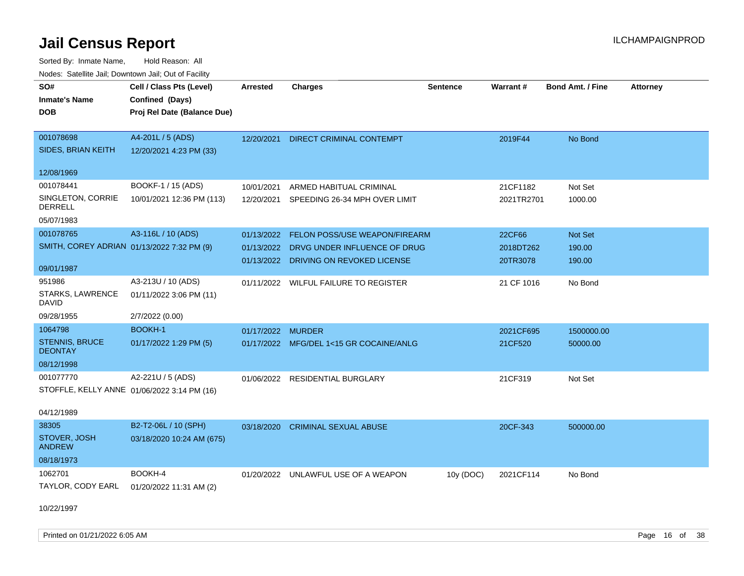Sorted By: Inmate Name, Hold Reason: All Nodes: Satellite Jail; Downtown Jail; Out of Facility

| rouco. Calcinic Jan, Downtown Jan, Out of Facility |                                             |                   |                                         |                 |            |                         |                 |
|----------------------------------------------------|---------------------------------------------|-------------------|-----------------------------------------|-----------------|------------|-------------------------|-----------------|
| SO#                                                | Cell / Class Pts (Level)                    | <b>Arrested</b>   | <b>Charges</b>                          | <b>Sentence</b> | Warrant#   | <b>Bond Amt. / Fine</b> | <b>Attorney</b> |
| <b>Inmate's Name</b>                               | Confined (Days)                             |                   |                                         |                 |            |                         |                 |
| <b>DOB</b>                                         | Proj Rel Date (Balance Due)                 |                   |                                         |                 |            |                         |                 |
|                                                    |                                             |                   |                                         |                 |            |                         |                 |
| 001078698                                          | A4-201L / 5 (ADS)                           | 12/20/2021        | <b>DIRECT CRIMINAL CONTEMPT</b>         |                 | 2019F44    | No Bond                 |                 |
| SIDES, BRIAN KEITH                                 | 12/20/2021 4:23 PM (33)                     |                   |                                         |                 |            |                         |                 |
|                                                    |                                             |                   |                                         |                 |            |                         |                 |
| 12/08/1969                                         |                                             |                   |                                         |                 |            |                         |                 |
| 001078441                                          | BOOKF-1 / 15 (ADS)                          | 10/01/2021        | ARMED HABITUAL CRIMINAL                 |                 | 21CF1182   | Not Set                 |                 |
| SINGLETON, CORRIE<br><b>DERRELL</b>                | 10/01/2021 12:36 PM (113)                   | 12/20/2021        | SPEEDING 26-34 MPH OVER LIMIT           |                 | 2021TR2701 | 1000.00                 |                 |
| 05/07/1983                                         |                                             |                   |                                         |                 |            |                         |                 |
| 001078765                                          | A3-116L / 10 (ADS)                          | 01/13/2022        | FELON POSS/USE WEAPON/FIREARM           |                 | 22CF66     | Not Set                 |                 |
| SMITH, COREY ADRIAN 01/13/2022 7:32 PM (9)         |                                             | 01/13/2022        | DRVG UNDER INFLUENCE OF DRUG            |                 | 2018DT262  | 190.00                  |                 |
|                                                    |                                             | 01/13/2022        | DRIVING ON REVOKED LICENSE              |                 | 20TR3078   | 190.00                  |                 |
| 09/01/1987                                         |                                             |                   |                                         |                 |            |                         |                 |
| 951986                                             | A3-213U / 10 (ADS)                          |                   | 01/11/2022 WILFUL FAILURE TO REGISTER   |                 | 21 CF 1016 | No Bond                 |                 |
| STARKS, LAWRENCE<br>DAVID                          | 01/11/2022 3:06 PM (11)                     |                   |                                         |                 |            |                         |                 |
| 09/28/1955                                         | 2/7/2022 (0.00)                             |                   |                                         |                 |            |                         |                 |
| 1064798                                            | <b>BOOKH-1</b>                              | 01/17/2022 MURDER |                                         |                 | 2021CF695  | 1500000.00              |                 |
| <b>STENNIS, BRUCE</b><br><b>DEONTAY</b>            | 01/17/2022 1:29 PM (5)                      |                   | 01/17/2022 MFG/DEL 1<15 GR COCAINE/ANLG |                 | 21CF520    | 50000.00                |                 |
| 08/12/1998                                         |                                             |                   |                                         |                 |            |                         |                 |
| 001077770                                          | A2-221U / 5 (ADS)                           |                   | 01/06/2022 RESIDENTIAL BURGLARY         |                 | 21CF319    | Not Set                 |                 |
|                                                    | STOFFLE, KELLY ANNE 01/06/2022 3:14 PM (16) |                   |                                         |                 |            |                         |                 |
|                                                    |                                             |                   |                                         |                 |            |                         |                 |
| 04/12/1989                                         |                                             |                   |                                         |                 |            |                         |                 |
| 38305                                              | B2-T2-06L / 10 (SPH)                        | 03/18/2020        | <b>CRIMINAL SEXUAL ABUSE</b>            |                 | 20CF-343   | 500000.00               |                 |
| STOVER, JOSH<br><b>ANDREW</b>                      | 03/18/2020 10:24 AM (675)                   |                   |                                         |                 |            |                         |                 |
| 08/18/1973                                         |                                             |                   |                                         |                 |            |                         |                 |
| 1062701                                            | BOOKH-4                                     |                   | 01/20/2022 UNLAWFUL USE OF A WEAPON     | 10y (DOC)       | 2021CF114  | No Bond                 |                 |
| TAYLOR, CODY EARL                                  | 01/20/2022 11:31 AM (2)                     |                   |                                         |                 |            |                         |                 |
|                                                    |                                             |                   |                                         |                 |            |                         |                 |
| 10/22/1997                                         |                                             |                   |                                         |                 |            |                         |                 |

Printed on 01/21/2022 6:05 AM Page 16 of 38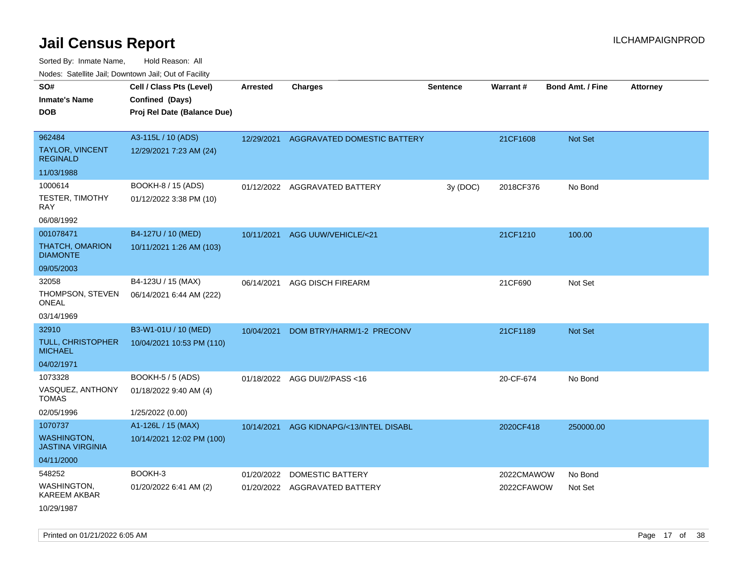Sorted By: Inmate Name, Hold Reason: All Nodes: Satellite Jail; Downtown Jail; Out of Facility

| Nodes: Satellite Jali, Downtown Jali, Out of Facility |                             |                 |                                         |                 |                 |                         |                 |
|-------------------------------------------------------|-----------------------------|-----------------|-----------------------------------------|-----------------|-----------------|-------------------------|-----------------|
| SO#                                                   | Cell / Class Pts (Level)    | <b>Arrested</b> | <b>Charges</b>                          | <b>Sentence</b> | <b>Warrant#</b> | <b>Bond Amt. / Fine</b> | <b>Attorney</b> |
| <b>Inmate's Name</b>                                  | Confined (Days)             |                 |                                         |                 |                 |                         |                 |
| <b>DOB</b>                                            | Proj Rel Date (Balance Due) |                 |                                         |                 |                 |                         |                 |
|                                                       |                             |                 |                                         |                 |                 |                         |                 |
| 962484                                                | A3-115L / 10 (ADS)          | 12/29/2021      | <b>AGGRAVATED DOMESTIC BATTERY</b>      |                 | 21CF1608        | Not Set                 |                 |
| TAYLOR, VINCENT<br><b>REGINALD</b>                    | 12/29/2021 7:23 AM (24)     |                 |                                         |                 |                 |                         |                 |
| 11/03/1988                                            |                             |                 |                                         |                 |                 |                         |                 |
| 1000614                                               | BOOKH-8 / 15 (ADS)          |                 | 01/12/2022 AGGRAVATED BATTERY           | 3y (DOC)        | 2018CF376       | No Bond                 |                 |
| <b>TESTER, TIMOTHY</b><br>RAY                         | 01/12/2022 3:38 PM (10)     |                 |                                         |                 |                 |                         |                 |
| 06/08/1992                                            |                             |                 |                                         |                 |                 |                         |                 |
| 001078471                                             | B4-127U / 10 (MED)          | 10/11/2021      | <b>AGG UUW/VEHICLE/&lt;21</b>           |                 | 21CF1210        | 100.00                  |                 |
| <b>THATCH, OMARION</b><br><b>DIAMONTE</b>             | 10/11/2021 1:26 AM (103)    |                 |                                         |                 |                 |                         |                 |
| 09/05/2003                                            |                             |                 |                                         |                 |                 |                         |                 |
| 32058                                                 | B4-123U / 15 (MAX)          | 06/14/2021      | AGG DISCH FIREARM                       |                 | 21CF690         | Not Set                 |                 |
| THOMPSON, STEVEN<br><b>ONEAL</b>                      | 06/14/2021 6:44 AM (222)    |                 |                                         |                 |                 |                         |                 |
| 03/14/1969                                            |                             |                 |                                         |                 |                 |                         |                 |
| 32910                                                 | B3-W1-01U / 10 (MED)        | 10/04/2021      | DOM BTRY/HARM/1-2 PRECONV               |                 | 21CF1189        | Not Set                 |                 |
| TULL, CHRISTOPHER<br><b>MICHAEL</b>                   | 10/04/2021 10:53 PM (110)   |                 |                                         |                 |                 |                         |                 |
| 04/02/1971                                            |                             |                 |                                         |                 |                 |                         |                 |
| 1073328                                               | <b>BOOKH-5 / 5 (ADS)</b>    |                 | 01/18/2022 AGG DUI/2/PASS<16            |                 | 20-CF-674       | No Bond                 |                 |
| VASQUEZ, ANTHONY<br><b>TOMAS</b>                      | 01/18/2022 9:40 AM (4)      |                 |                                         |                 |                 |                         |                 |
| 02/05/1996                                            | 1/25/2022 (0.00)            |                 |                                         |                 |                 |                         |                 |
| 1070737                                               | A1-126L / 15 (MAX)          |                 | 10/14/2021 AGG KIDNAPG/<13/INTEL DISABL |                 | 2020CF418       | 250000.00               |                 |
| <b>WASHINGTON,</b><br><b>JASTINA VIRGINIA</b>         | 10/14/2021 12:02 PM (100)   |                 |                                         |                 |                 |                         |                 |
| 04/11/2000                                            |                             |                 |                                         |                 |                 |                         |                 |
| 548252                                                | BOOKH-3                     | 01/20/2022      | <b>DOMESTIC BATTERY</b>                 |                 | 2022CMAWOW      | No Bond                 |                 |
| <b>WASHINGTON,</b><br><b>KAREEM AKBAR</b>             | 01/20/2022 6:41 AM (2)      |                 | 01/20/2022 AGGRAVATED BATTERY           |                 | 2022CFAWOW      | Not Set                 |                 |
| 10/29/1987                                            |                             |                 |                                         |                 |                 |                         |                 |

Printed on 01/21/2022 6:05 AM Page 17 of 38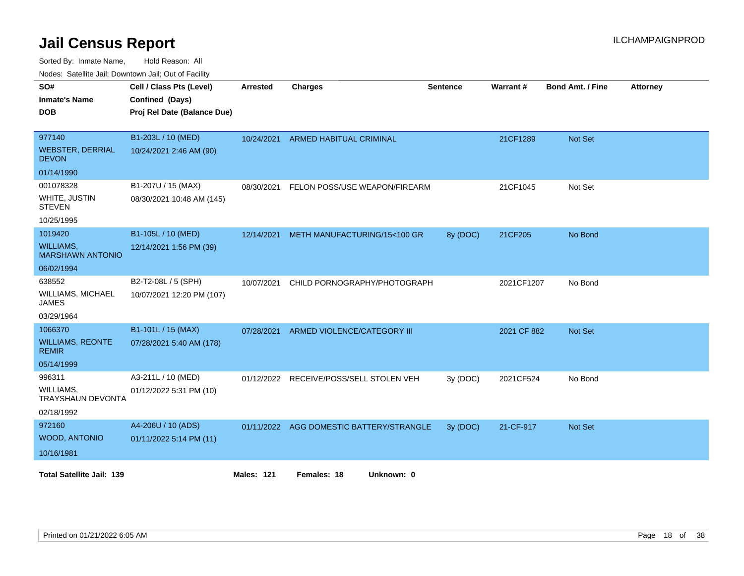Sorted By: Inmate Name, Hold Reason: All

Nodes: Satellite Jail; Downtown Jail; Out of Facility

| SO#<br><b>Inmate's Name</b><br><b>DOB</b>                                      | Cell / Class Pts (Level)<br>Confined (Days)<br>Proj Rel Date (Balance Due) | <b>Arrested</b>   | <b>Charges</b>                           | <b>Sentence</b> | Warrant#    | <b>Bond Amt. / Fine</b> | <b>Attorney</b> |
|--------------------------------------------------------------------------------|----------------------------------------------------------------------------|-------------------|------------------------------------------|-----------------|-------------|-------------------------|-----------------|
| 977140<br><b>WEBSTER, DERRIAL</b><br><b>DEVON</b>                              | B1-203L / 10 (MED)<br>10/24/2021 2:46 AM (90)                              | 10/24/2021        | <b>ARMED HABITUAL CRIMINAL</b>           |                 | 21CF1289    | <b>Not Set</b>          |                 |
| 01/14/1990<br>001078328<br>WHITE, JUSTIN<br><b>STEVEN</b><br>10/25/1995        | B1-207U / 15 (MAX)<br>08/30/2021 10:48 AM (145)                            | 08/30/2021        | FELON POSS/USE WEAPON/FIREARM            |                 | 21CF1045    | Not Set                 |                 |
| 1019420<br><b>WILLIAMS,</b><br><b>MARSHAWN ANTONIO</b>                         | B1-105L / 10 (MED)<br>12/14/2021 1:56 PM (39)                              | 12/14/2021        | METH MANUFACTURING/15<100 GR             | 8y (DOC)        | 21CF205     | No Bond                 |                 |
| 06/02/1994<br>638552<br><b>WILLIAMS, MICHAEL</b><br><b>JAMES</b><br>03/29/1964 | B2-T2-08L / 5 (SPH)<br>10/07/2021 12:20 PM (107)                           | 10/07/2021        | CHILD PORNOGRAPHY/PHOTOGRAPH             |                 | 2021CF1207  | No Bond                 |                 |
| 1066370<br><b>WILLIAMS, REONTE</b><br><b>REMIR</b><br>05/14/1999               | B1-101L / 15 (MAX)<br>07/28/2021 5:40 AM (178)                             | 07/28/2021        | ARMED VIOLENCE/CATEGORY III              |                 | 2021 CF 882 | Not Set                 |                 |
| 996311<br>WILLIAMS,<br><b>TRAYSHAUN DEVONTA</b><br>02/18/1992                  | A3-211L / 10 (MED)<br>01/12/2022 5:31 PM (10)                              | 01/12/2022        | RECEIVE/POSS/SELL STOLEN VEH             | 3y (DOC)        | 2021CF524   | No Bond                 |                 |
| 972160<br>WOOD, ANTONIO<br>10/16/1981                                          | A4-206U / 10 (ADS)<br>01/11/2022 5:14 PM (11)                              |                   | 01/11/2022 AGG DOMESTIC BATTERY/STRANGLE | 3y (DOC)        | 21-CF-917   | Not Set                 |                 |
| <b>Total Satellite Jail: 139</b>                                               |                                                                            | <b>Males: 121</b> | Females: 18<br>Unknown: 0                |                 |             |                         |                 |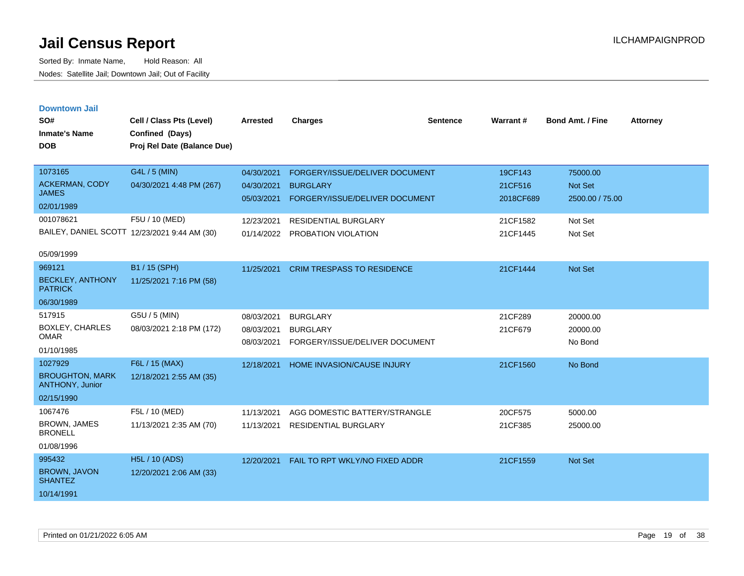| <b>Downtown Jail</b> |  |
|----------------------|--|
|                      |  |
|                      |  |

| SO#<br><b>Inmate's Name</b><br><b>DOB</b>                                       | Cell / Class Pts (Level)<br>Confined (Days)<br>Proj Rel Date (Balance Due) | <b>Arrested</b>                        | <b>Charges</b>                                                                      | <b>Sentence</b> | Warrant#                        | <b>Bond Amt. / Fine</b>                       | <b>Attorney</b> |
|---------------------------------------------------------------------------------|----------------------------------------------------------------------------|----------------------------------------|-------------------------------------------------------------------------------------|-----------------|---------------------------------|-----------------------------------------------|-----------------|
| 1073165<br><b>ACKERMAN, CODY</b><br><b>JAMES</b><br>02/01/1989                  | G4L / 5 (MIN)<br>04/30/2021 4:48 PM (267)                                  | 04/30/2021<br>04/30/2021<br>05/03/2021 | FORGERY/ISSUE/DELIVER DOCUMENT<br><b>BURGLARY</b><br>FORGERY/ISSUE/DELIVER DOCUMENT |                 | 19CF143<br>21CF516<br>2018CF689 | 75000.00<br><b>Not Set</b><br>2500.00 / 75.00 |                 |
| 001078621                                                                       | F5U / 10 (MED)<br>BAILEY, DANIEL SCOTT 12/23/2021 9:44 AM (30)             | 12/23/2021<br>01/14/2022               | <b>RESIDENTIAL BURGLARY</b><br>PROBATION VIOLATION                                  |                 | 21CF1582<br>21CF1445            | Not Set<br>Not Set                            |                 |
| 05/09/1999<br>969121<br><b>BECKLEY, ANTHONY</b><br><b>PATRICK</b><br>06/30/1989 | B1 / 15 (SPH)<br>11/25/2021 7:16 PM (58)                                   | 11/25/2021                             | <b>CRIM TRESPASS TO RESIDENCE</b>                                                   |                 | 21CF1444                        | <b>Not Set</b>                                |                 |
| 517915<br><b>BOXLEY, CHARLES</b><br><b>OMAR</b><br>01/10/1985                   | G5U / 5 (MIN)<br>08/03/2021 2:18 PM (172)                                  | 08/03/2021<br>08/03/2021<br>08/03/2021 | <b>BURGLARY</b><br><b>BURGLARY</b><br>FORGERY/ISSUE/DELIVER DOCUMENT                |                 | 21CF289<br>21CF679              | 20000.00<br>20000.00<br>No Bond               |                 |
| 1027929<br><b>BROUGHTON, MARK</b><br>ANTHONY, Junior<br>02/15/1990              | F6L / 15 (MAX)<br>12/18/2021 2:55 AM (35)                                  | 12/18/2021                             | <b>HOME INVASION/CAUSE INJURY</b>                                                   |                 | 21CF1560                        | No Bond                                       |                 |
| 1067476<br>BROWN, JAMES<br><b>BRONELL</b><br>01/08/1996                         | F5L / 10 (MED)<br>11/13/2021 2:35 AM (70)                                  | 11/13/2021<br>11/13/2021               | AGG DOMESTIC BATTERY/STRANGLE<br><b>RESIDENTIAL BURGLARY</b>                        |                 | 20CF575<br>21CF385              | 5000.00<br>25000.00                           |                 |
| 995432<br>BROWN, JAVON<br><b>SHANTEZ</b><br>10/14/1991                          | <b>H5L / 10 (ADS)</b><br>12/20/2021 2:06 AM (33)                           | 12/20/2021                             | FAIL TO RPT WKLY/NO FIXED ADDR                                                      |                 | 21CF1559                        | <b>Not Set</b>                                |                 |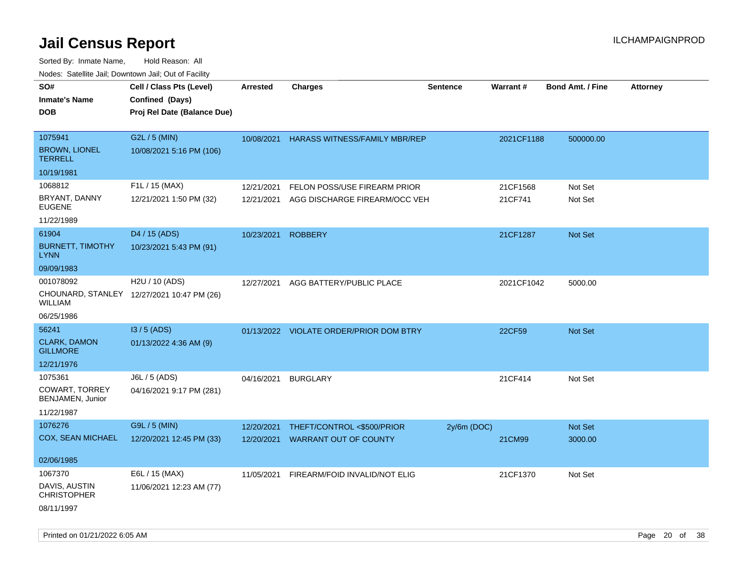| ivouss. Saleline Jali, Downtown Jali, Out of Facility |                                            |            |                                         |                 |                 |                         |                 |
|-------------------------------------------------------|--------------------------------------------|------------|-----------------------------------------|-----------------|-----------------|-------------------------|-----------------|
| SO#                                                   | Cell / Class Pts (Level)                   | Arrested   | <b>Charges</b>                          | <b>Sentence</b> | <b>Warrant#</b> | <b>Bond Amt. / Fine</b> | <b>Attorney</b> |
| Inmate's Name                                         | Confined (Days)                            |            |                                         |                 |                 |                         |                 |
| DOB                                                   | Proj Rel Date (Balance Due)                |            |                                         |                 |                 |                         |                 |
|                                                       |                                            |            |                                         |                 |                 |                         |                 |
| 1075941                                               | G2L / 5 (MIN)                              | 10/08/2021 | <b>HARASS WITNESS/FAMILY MBR/REP</b>    |                 | 2021CF1188      | 500000.00               |                 |
| <b>BROWN, LIONEL</b><br><b>TERRELL</b>                | 10/08/2021 5:16 PM (106)                   |            |                                         |                 |                 |                         |                 |
| 10/19/1981                                            |                                            |            |                                         |                 |                 |                         |                 |
| 1068812                                               | F1L / 15 (MAX)                             | 12/21/2021 | FELON POSS/USE FIREARM PRIOR            |                 | 21CF1568        | Not Set                 |                 |
| BRYANT, DANNY<br><b>EUGENE</b>                        | 12/21/2021 1:50 PM (32)                    | 12/21/2021 | AGG DISCHARGE FIREARM/OCC VEH           |                 | 21CF741         | Not Set                 |                 |
| 11/22/1989                                            |                                            |            |                                         |                 |                 |                         |                 |
| 61904                                                 | D <sub>4</sub> / 15 (ADS)                  | 10/23/2021 | <b>ROBBERY</b>                          |                 | 21CF1287        | <b>Not Set</b>          |                 |
| <b>BURNETT, TIMOTHY</b><br>LYNN                       | 10/23/2021 5:43 PM (91)                    |            |                                         |                 |                 |                         |                 |
| 09/09/1983                                            |                                            |            |                                         |                 |                 |                         |                 |
| 001078092                                             | H2U / 10 (ADS)                             | 12/27/2021 | AGG BATTERY/PUBLIC PLACE                |                 | 2021CF1042      | 5000.00                 |                 |
| WILLIAM                                               | CHOUNARD, STANLEY 12/27/2021 10:47 PM (26) |            |                                         |                 |                 |                         |                 |
| 06/25/1986                                            |                                            |            |                                         |                 |                 |                         |                 |
| 56241                                                 | $13/5$ (ADS)                               |            | 01/13/2022 VIOLATE ORDER/PRIOR DOM BTRY |                 | 22CF59          | Not Set                 |                 |
| <b>CLARK, DAMON</b><br><b>GILLMORE</b>                | 01/13/2022 4:36 AM (9)                     |            |                                         |                 |                 |                         |                 |
| 12/21/1976                                            |                                            |            |                                         |                 |                 |                         |                 |
| 1075361                                               | J6L / 5 (ADS)                              | 04/16/2021 | <b>BURGLARY</b>                         |                 | 21CF414         | Not Set                 |                 |
| COWART, TORREY<br>BENJAMEN, Junior                    | 04/16/2021 9:17 PM (281)                   |            |                                         |                 |                 |                         |                 |
| 11/22/1987                                            |                                            |            |                                         |                 |                 |                         |                 |
| 1076276                                               | G9L / 5 (MIN)                              | 12/20/2021 | THEFT/CONTROL <\$500/PRIOR              | $2y/6m$ (DOC)   |                 | <b>Not Set</b>          |                 |
| COX, SEAN MICHAEL                                     | 12/20/2021 12:45 PM (33)                   | 12/20/2021 | <b>WARRANT OUT OF COUNTY</b>            |                 | 21CM99          | 3000.00                 |                 |
|                                                       |                                            |            |                                         |                 |                 |                         |                 |
| 02/06/1985                                            |                                            |            |                                         |                 |                 |                         |                 |
| 1067370                                               | E6L / 15 (MAX)                             | 11/05/2021 | FIREARM/FOID INVALID/NOT ELIG           |                 | 21CF1370        | Not Set                 |                 |
| DAVIS, AUSTIN<br>CHRISTOPHER                          | 11/06/2021 12:23 AM (77)                   |            |                                         |                 |                 |                         |                 |
| 08/11/1997                                            |                                            |            |                                         |                 |                 |                         |                 |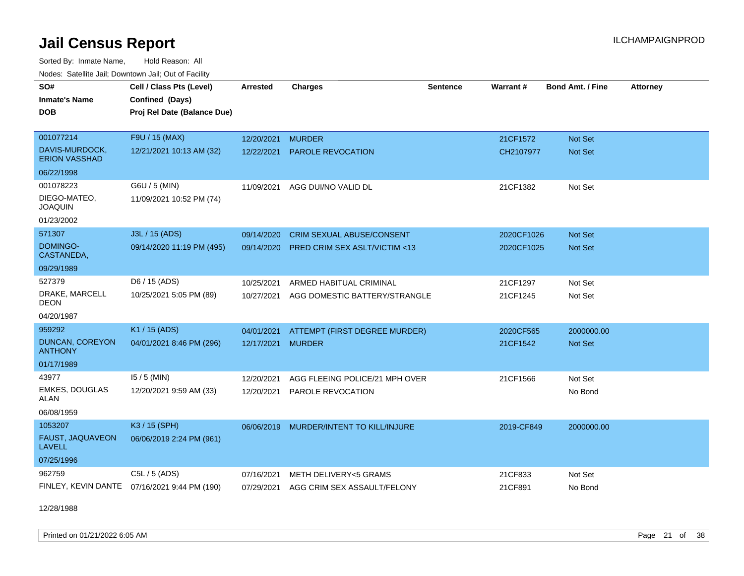Sorted By: Inmate Name, Hold Reason: All Nodes: Satellite Jail; Downtown Jail; Out of Facility

| SO#<br><b>Inmate's Name</b><br><b>DOB</b>                        | Cell / Class Pts (Level)<br>Confined (Days)<br>Proj Rel Date (Balance Due) | <b>Arrested</b>          | <b>Charges</b>                                                              | <b>Sentence</b> | Warrant#                 | <b>Bond Amt. / Fine</b>          | <b>Attorney</b> |
|------------------------------------------------------------------|----------------------------------------------------------------------------|--------------------------|-----------------------------------------------------------------------------|-----------------|--------------------------|----------------------------------|-----------------|
| 001077214<br>DAVIS-MURDOCK,<br><b>ERION VASSHAD</b>              | F9U / 15 (MAX)<br>12/21/2021 10:13 AM (32)                                 | 12/20/2021<br>12/22/2021 | <b>MURDER</b><br>PAROLE REVOCATION                                          |                 | 21CF1572<br>CH2107977    | <b>Not Set</b><br>Not Set        |                 |
| 06/22/1998                                                       |                                                                            |                          |                                                                             |                 |                          |                                  |                 |
| 001078223<br>DIEGO-MATEO,<br><b>JOAQUIN</b>                      | G6U / 5 (MIN)<br>11/09/2021 10:52 PM (74)                                  | 11/09/2021               | AGG DUI/NO VALID DL                                                         |                 | 21CF1382                 | Not Set                          |                 |
| 01/23/2002                                                       |                                                                            |                          |                                                                             |                 |                          |                                  |                 |
| 571307<br><b>DOMINGO-</b><br>CASTANEDA,                          | J3L / 15 (ADS)<br>09/14/2020 11:19 PM (495)                                | 09/14/2020<br>09/14/2020 | <b>CRIM SEXUAL ABUSE/CONSENT</b><br><b>PRED CRIM SEX ASLT/VICTIM &lt;13</b> |                 | 2020CF1026<br>2020CF1025 | <b>Not Set</b><br><b>Not Set</b> |                 |
| 09/29/1989                                                       |                                                                            |                          |                                                                             |                 |                          |                                  |                 |
| 527379<br>DRAKE, MARCELL<br>DEON<br>04/20/1987                   | D6 / 15 (ADS)<br>10/25/2021 5:05 PM (89)                                   | 10/25/2021<br>10/27/2021 | ARMED HABITUAL CRIMINAL<br>AGG DOMESTIC BATTERY/STRANGLE                    |                 | 21CF1297<br>21CF1245     | Not Set<br>Not Set               |                 |
| 959292<br><b>DUNCAN, COREYON</b><br><b>ANTHONY</b><br>01/17/1989 | K1 / 15 (ADS)<br>04/01/2021 8:46 PM (296)                                  | 04/01/2021<br>12/17/2021 | ATTEMPT (FIRST DEGREE MURDER)<br><b>MURDER</b>                              |                 | 2020CF565<br>21CF1542    | 2000000.00<br><b>Not Set</b>     |                 |
| 43977<br><b>EMKES, DOUGLAS</b><br><b>ALAN</b><br>06/08/1959      | $15/5$ (MIN)<br>12/20/2021 9:59 AM (33)                                    | 12/20/2021<br>12/20/2021 | AGG FLEEING POLICE/21 MPH OVER<br>PAROLE REVOCATION                         |                 | 21CF1566                 | Not Set<br>No Bond               |                 |
| 1053207<br>FAUST, JAQUAVEON<br><b>LAVELL</b><br>07/25/1996       | K3 / 15 (SPH)<br>06/06/2019 2:24 PM (961)                                  | 06/06/2019               | MURDER/INTENT TO KILL/INJURE                                                |                 | 2019-CF849               | 2000000.00                       |                 |
| 962759                                                           | C5L / 5 (ADS)<br>FINLEY, KEVIN DANTE 07/16/2021 9:44 PM (190)              | 07/16/2021<br>07/29/2021 | METH DELIVERY<5 GRAMS<br>AGG CRIM SEX ASSAULT/FELONY                        |                 | 21CF833<br>21CF891       | Not Set<br>No Bond               |                 |

12/28/1988

Printed on 01/21/2022 6:05 AM Page 21 of 38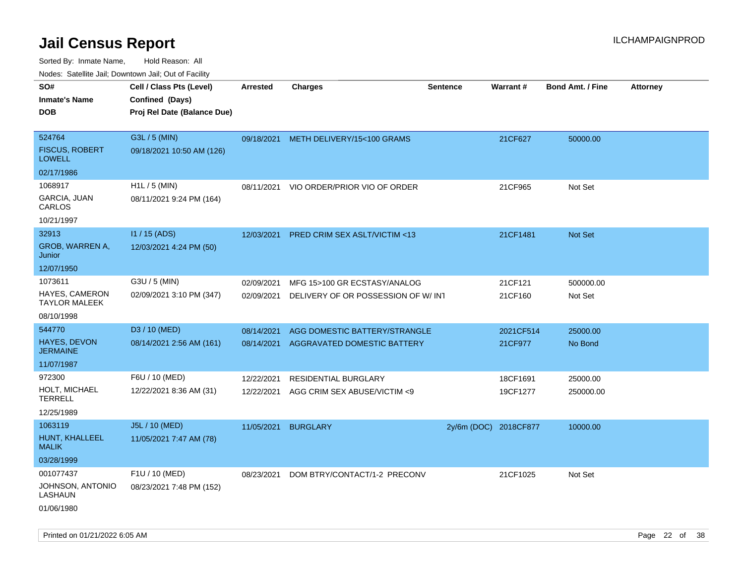Sorted By: Inmate Name, Hold Reason: All Nodes: Satellite Jail; Downtown Jail; Out of Facility

| Nodes. Satellite Jali, Downtown Jali, Out of Facility |                             |            |                                       |                       |           |                         |                 |
|-------------------------------------------------------|-----------------------------|------------|---------------------------------------|-----------------------|-----------|-------------------------|-----------------|
| SO#                                                   | Cell / Class Pts (Level)    | Arrested   | <b>Charges</b>                        | <b>Sentence</b>       | Warrant#  | <b>Bond Amt. / Fine</b> | <b>Attorney</b> |
| Inmate's Name                                         | Confined (Days)             |            |                                       |                       |           |                         |                 |
| DOB                                                   | Proj Rel Date (Balance Due) |            |                                       |                       |           |                         |                 |
|                                                       |                             |            |                                       |                       |           |                         |                 |
| 524764                                                | G3L / 5 (MIN)               |            | 09/18/2021 METH DELIVERY/15<100 GRAMS |                       | 21CF627   | 50000.00                |                 |
| <b>FISCUS, ROBERT</b><br><b>LOWELL</b>                | 09/18/2021 10:50 AM (126)   |            |                                       |                       |           |                         |                 |
| 02/17/1986                                            |                             |            |                                       |                       |           |                         |                 |
| 1068917                                               | H1L / 5 (MIN)               | 08/11/2021 | VIO ORDER/PRIOR VIO OF ORDER          |                       | 21CF965   | Not Set                 |                 |
| GARCIA, JUAN<br>CARLOS                                | 08/11/2021 9:24 PM (164)    |            |                                       |                       |           |                         |                 |
| 10/21/1997                                            |                             |            |                                       |                       |           |                         |                 |
| 32913                                                 | $11/15$ (ADS)               | 12/03/2021 | PRED CRIM SEX ASLT/VICTIM <13         |                       | 21CF1481  | <b>Not Set</b>          |                 |
| GROB, WARREN A,<br>Junior                             | 12/03/2021 4:24 PM (50)     |            |                                       |                       |           |                         |                 |
| 12/07/1950                                            |                             |            |                                       |                       |           |                         |                 |
| 1073611                                               | G3U / 5 (MIN)               | 02/09/2021 | MFG 15>100 GR ECSTASY/ANALOG          |                       | 21CF121   | 500000.00               |                 |
| <b>HAYES, CAMERON</b><br>TAYLOR MALEEK                | 02/09/2021 3:10 PM (347)    | 02/09/2021 | DELIVERY OF OR POSSESSION OF W/INT    |                       | 21CF160   | Not Set                 |                 |
| 08/10/1998                                            |                             |            |                                       |                       |           |                         |                 |
| 544770                                                | D3 / 10 (MED)               | 08/14/2021 | AGG DOMESTIC BATTERY/STRANGLE         |                       | 2021CF514 | 25000.00                |                 |
| HAYES, DEVON<br>JERMAINE                              | 08/14/2021 2:56 AM (161)    | 08/14/2021 | AGGRAVATED DOMESTIC BATTERY           |                       | 21CF977   | No Bond                 |                 |
| 11/07/1987                                            |                             |            |                                       |                       |           |                         |                 |
| 972300                                                | F6U / 10 (MED)              | 12/22/2021 | <b>RESIDENTIAL BURGLARY</b>           |                       | 18CF1691  | 25000.00                |                 |
| HOLT, MICHAEL<br>TERRELL                              | 12/22/2021 8:36 AM (31)     | 12/22/2021 | AGG CRIM SEX ABUSE/VICTIM <9          |                       | 19CF1277  | 250000.00               |                 |
| 12/25/1989                                            |                             |            |                                       |                       |           |                         |                 |
| 1063119                                               | J5L / 10 (MED)              | 11/05/2021 | <b>BURGLARY</b>                       | 2y/6m (DOC) 2018CF877 |           | 10000.00                |                 |
| HUNT, KHALLEEL<br>MALIK                               | 11/05/2021 7:47 AM (78)     |            |                                       |                       |           |                         |                 |
| 03/28/1999                                            |                             |            |                                       |                       |           |                         |                 |
| 001077437                                             | F1U / 10 (MED)              | 08/23/2021 | DOM BTRY/CONTACT/1-2 PRECONV          |                       | 21CF1025  | Not Set                 |                 |
| JOHNSON, ANTONIO<br>LASHAUN                           | 08/23/2021 7:48 PM (152)    |            |                                       |                       |           |                         |                 |
| 01/06/1980                                            |                             |            |                                       |                       |           |                         |                 |

Printed on 01/21/2022 6:05 AM Page 22 of 38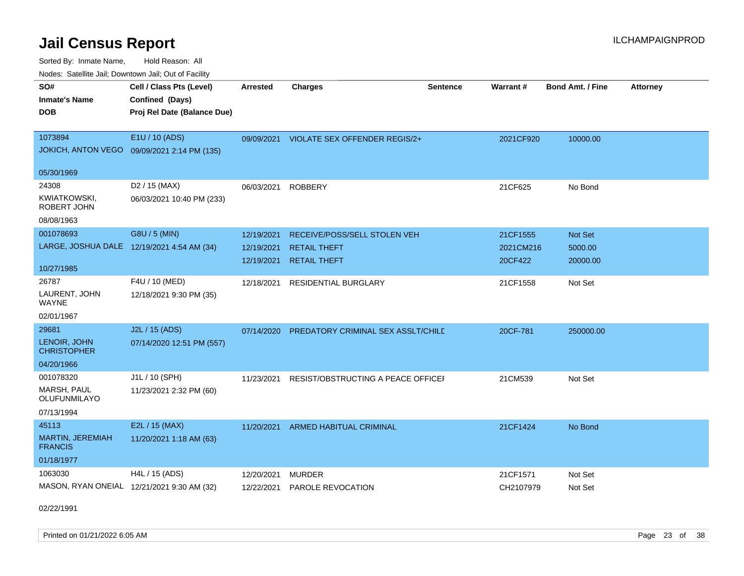Sorted By: Inmate Name, Hold Reason: All Nodes: Satellite Jail; Downtown Jail; Out of Facility

| rougs. Calcing Jan, Downtown Jan, Out of Facility |                                             |                 |                                          |                 |                 |                         |                 |
|---------------------------------------------------|---------------------------------------------|-----------------|------------------------------------------|-----------------|-----------------|-------------------------|-----------------|
| SO#                                               | Cell / Class Pts (Level)                    | <b>Arrested</b> | <b>Charges</b>                           | <b>Sentence</b> | <b>Warrant#</b> | <b>Bond Amt. / Fine</b> | <b>Attorney</b> |
| <b>Inmate's Name</b>                              | Confined (Days)                             |                 |                                          |                 |                 |                         |                 |
| <b>DOB</b>                                        | Proj Rel Date (Balance Due)                 |                 |                                          |                 |                 |                         |                 |
|                                                   |                                             |                 |                                          |                 |                 |                         |                 |
| 1073894                                           | E1U / 10 (ADS)                              |                 | 09/09/2021 VIOLATE SEX OFFENDER REGIS/2+ |                 | 2021CF920       | 10000.00                |                 |
|                                                   | JOKICH, ANTON VEGO 09/09/2021 2:14 PM (135) |                 |                                          |                 |                 |                         |                 |
| 05/30/1969                                        |                                             |                 |                                          |                 |                 |                         |                 |
| 24308                                             | D2 / 15 (MAX)                               | 06/03/2021      | <b>ROBBERY</b>                           |                 | 21CF625         | No Bond                 |                 |
| KWIATKOWSKI,<br>ROBERT JOHN                       | 06/03/2021 10:40 PM (233)                   |                 |                                          |                 |                 |                         |                 |
| 08/08/1963                                        |                                             |                 |                                          |                 |                 |                         |                 |
| 001078693                                         | G8U / 5 (MIN)                               | 12/19/2021      | RECEIVE/POSS/SELL STOLEN VEH             |                 | 21CF1555        | Not Set                 |                 |
|                                                   | LARGE, JOSHUA DALE 12/19/2021 4:54 AM (34)  | 12/19/2021      | <b>RETAIL THEFT</b>                      |                 | 2021CM216       | 5000.00                 |                 |
|                                                   |                                             | 12/19/2021      | <b>RETAIL THEFT</b>                      |                 | 20CF422         | 20000.00                |                 |
| 10/27/1985                                        |                                             |                 |                                          |                 |                 |                         |                 |
| 26787                                             | F4U / 10 (MED)                              | 12/18/2021      | <b>RESIDENTIAL BURGLARY</b>              |                 | 21CF1558        | Not Set                 |                 |
| LAURENT, JOHN<br>WAYNE                            | 12/18/2021 9:30 PM (35)                     |                 |                                          |                 |                 |                         |                 |
| 02/01/1967                                        |                                             |                 |                                          |                 |                 |                         |                 |
| 29681                                             | J2L / 15 (ADS)                              | 07/14/2020      | PREDATORY CRIMINAL SEX ASSLT/CHILD       |                 | 20CF-781        | 250000.00               |                 |
| LENOIR, JOHN<br><b>CHRISTOPHER</b>                | 07/14/2020 12:51 PM (557)                   |                 |                                          |                 |                 |                         |                 |
| 04/20/1966                                        |                                             |                 |                                          |                 |                 |                         |                 |
| 001078320                                         | J1L / 10 (SPH)                              | 11/23/2021      | RESIST/OBSTRUCTING A PEACE OFFICEL       |                 | 21CM539         | Not Set                 |                 |
| MARSH, PAUL<br><b>OLUFUNMILAYO</b>                | 11/23/2021 2:32 PM (60)                     |                 |                                          |                 |                 |                         |                 |
| 07/13/1994                                        |                                             |                 |                                          |                 |                 |                         |                 |
| 45113                                             | E2L / 15 (MAX)                              | 11/20/2021      | ARMED HABITUAL CRIMINAL                  |                 | 21CF1424        | No Bond                 |                 |
| <b>MARTIN, JEREMIAH</b><br><b>FRANCIS</b>         | 11/20/2021 1:18 AM (63)                     |                 |                                          |                 |                 |                         |                 |
| 01/18/1977                                        |                                             |                 |                                          |                 |                 |                         |                 |
| 1063030                                           | H4L / 15 (ADS)                              | 12/20/2021      | <b>MURDER</b>                            |                 | 21CF1571        | Not Set                 |                 |
|                                                   | MASON, RYAN ONEIAL 12/21/2021 9:30 AM (32)  | 12/22/2021      | PAROLE REVOCATION                        |                 | CH2107979       | Not Set                 |                 |

02/22/1991

Printed on 01/21/2022 6:05 AM Page 23 of 38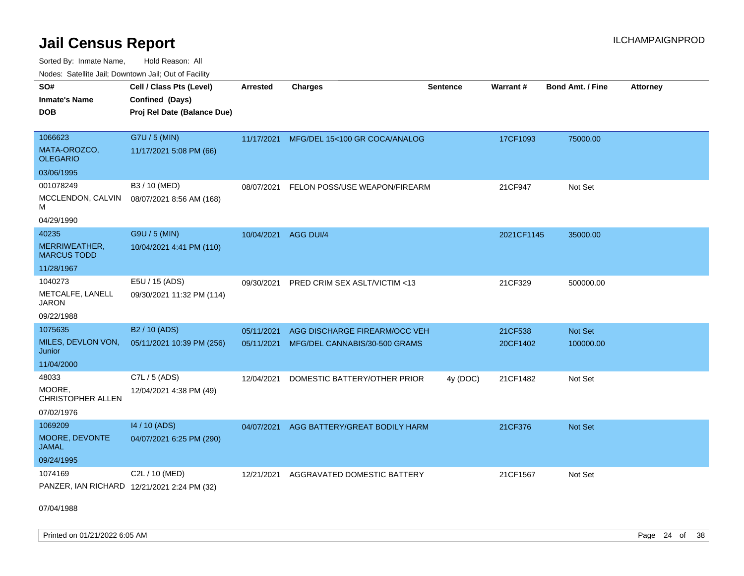Sorted By: Inmate Name, Hold Reason: All

|  |  |  | Nodes: Satellite Jail; Downtown Jail; Out of Facility |  |
|--|--|--|-------------------------------------------------------|--|
|--|--|--|-------------------------------------------------------|--|

| SO#<br><b>Inmate's Name</b><br><b>DOB</b>                  | Cell / Class Pts (Level)<br>Confined (Days)<br>Proj Rel Date (Balance Due) | Arrested   | <b>Charges</b>                                                            | <b>Sentence</b> | <b>Warrant#</b>     | <b>Bond Amt. / Fine</b> | <b>Attorney</b> |
|------------------------------------------------------------|----------------------------------------------------------------------------|------------|---------------------------------------------------------------------------|-----------------|---------------------|-------------------------|-----------------|
| 1066623<br>MATA-OROZCO,<br><b>OLEGARIO</b><br>03/06/1995   | G7U / 5 (MIN)<br>11/17/2021 5:08 PM (66)                                   |            | 11/17/2021 MFG/DEL 15<100 GR COCA/ANALOG                                  |                 | 17CF1093            | 75000.00                |                 |
| 001078249<br>MCCLENDON, CALVIN<br>м<br>04/29/1990          | B3 / 10 (MED)<br>08/07/2021 8:56 AM (168)                                  | 08/07/2021 | FELON POSS/USE WEAPON/FIREARM                                             |                 | 21CF947             | Not Set                 |                 |
| 40235<br>MERRIWEATHER,<br><b>MARCUS TODD</b><br>11/28/1967 | G9U / 5 (MIN)<br>10/04/2021 4:41 PM (110)                                  |            | 10/04/2021 AGG DUI/4                                                      |                 | 2021CF1145          | 35000.00                |                 |
| 1040273<br>METCALFE, LANELL<br><b>JARON</b><br>09/22/1988  | E5U / 15 (ADS)<br>09/30/2021 11:32 PM (114)                                | 09/30/2021 | PRED CRIM SEX ASLT/VICTIM <13                                             |                 | 21CF329             | 500000.00               |                 |
| 1075635<br>MILES, DEVLON VON,<br>Junior<br>11/04/2000      | B2 / 10 (ADS)<br>05/11/2021 10:39 PM (256)                                 | 05/11/2021 | AGG DISCHARGE FIREARM/OCC VEH<br>05/11/2021 MFG/DEL CANNABIS/30-500 GRAMS |                 | 21CF538<br>20CF1402 | Not Set<br>100000.00    |                 |
| 48033<br>MOORE,<br><b>CHRISTOPHER ALLEN</b><br>07/02/1976  | C7L / 5 (ADS)<br>12/04/2021 4:38 PM (49)                                   | 12/04/2021 | DOMESTIC BATTERY/OTHER PRIOR                                              | 4y (DOC)        | 21CF1482            | Not Set                 |                 |
| 1069209<br>MOORE, DEVONTE<br><b>JAMAL</b><br>09/24/1995    | 14 / 10 (ADS)<br>04/07/2021 6:25 PM (290)                                  | 04/07/2021 | AGG BATTERY/GREAT BODILY HARM                                             |                 | 21CF376             | Not Set                 |                 |
| 1074169                                                    | C2L / 10 (MED)<br>PANZER, IAN RICHARD 12/21/2021 2:24 PM (32)              | 12/21/2021 | AGGRAVATED DOMESTIC BATTERY                                               |                 | 21CF1567            | Not Set                 |                 |

07/04/1988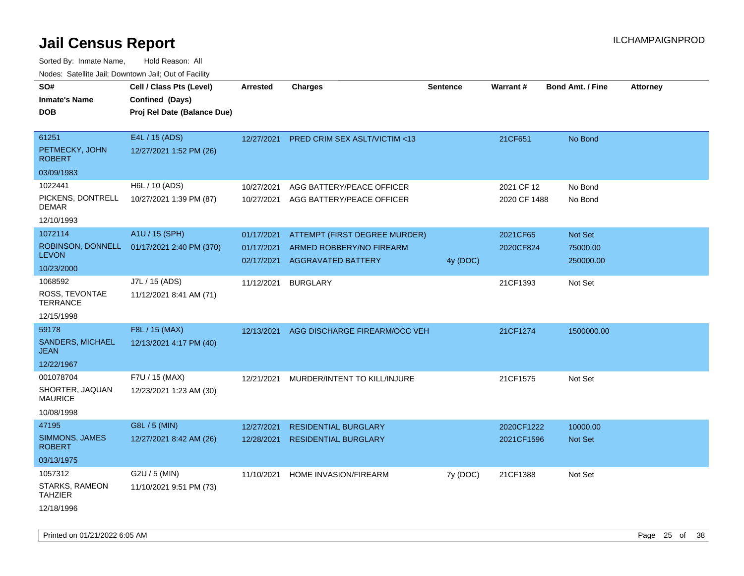| rouco. Calcinic Jan, Downtown Jan, Out of Facility    |                                                                            |                                        |                                                                                        |                 |                            |                                         |                 |
|-------------------------------------------------------|----------------------------------------------------------------------------|----------------------------------------|----------------------------------------------------------------------------------------|-----------------|----------------------------|-----------------------------------------|-----------------|
| SO#<br>Inmate's Name<br><b>DOB</b>                    | Cell / Class Pts (Level)<br>Confined (Days)<br>Proj Rel Date (Balance Due) | <b>Arrested</b>                        | <b>Charges</b>                                                                         | <b>Sentence</b> | <b>Warrant#</b>            | <b>Bond Amt. / Fine</b>                 | <b>Attorney</b> |
| 61251<br>PETMECKY, JOHN<br><b>ROBERT</b>              | E4L / 15 (ADS)<br>12/27/2021 1:52 PM (26)                                  | 12/27/2021                             | <b>PRED CRIM SEX ASLT/VICTIM &lt;13</b>                                                |                 | 21CF651                    | No Bond                                 |                 |
| 03/09/1983                                            |                                                                            |                                        |                                                                                        |                 |                            |                                         |                 |
| 1022441<br>PICKENS, DONTRELL<br>DEMAR                 | H6L / 10 (ADS)<br>10/27/2021 1:39 PM (87)                                  | 10/27/2021<br>10/27/2021               | AGG BATTERY/PEACE OFFICER<br>AGG BATTERY/PEACE OFFICER                                 |                 | 2021 CF 12<br>2020 CF 1488 | No Bond<br>No Bond                      |                 |
| 12/10/1993                                            |                                                                            |                                        |                                                                                        |                 |                            |                                         |                 |
| 1072114<br><b>LEVON</b><br>10/23/2000                 | A1U / 15 (SPH)<br>ROBINSON, DONNELL 01/17/2021 2:40 PM (370)               | 01/17/2021<br>01/17/2021<br>02/17/2021 | ATTEMPT (FIRST DEGREE MURDER)<br>ARMED ROBBERY/NO FIREARM<br><b>AGGRAVATED BATTERY</b> | 4y (DOC)        | 2021CF65<br>2020CF824      | <b>Not Set</b><br>75000.00<br>250000.00 |                 |
| 1068592<br>ROSS, TEVONTAE<br>TERRANCE                 | J7L / 15 (ADS)<br>11/12/2021 8:41 AM (71)                                  | 11/12/2021                             | <b>BURGLARY</b>                                                                        |                 | 21CF1393                   | Not Set                                 |                 |
| 12/15/1998                                            |                                                                            |                                        |                                                                                        |                 |                            |                                         |                 |
| 59178<br><b>SANDERS, MICHAEL</b><br>JEAN              | F8L / 15 (MAX)<br>12/13/2021 4:17 PM (40)                                  | 12/13/2021                             | AGG DISCHARGE FIREARM/OCC VEH                                                          |                 | 21CF1274                   | 1500000.00                              |                 |
| 12/22/1967                                            |                                                                            |                                        |                                                                                        |                 |                            |                                         |                 |
| 001078704<br>SHORTER, JAQUAN<br>MAURICE<br>10/08/1998 | F7U / 15 (MAX)<br>12/23/2021 1:23 AM (30)                                  | 12/21/2021                             | MURDER/INTENT TO KILL/INJURE                                                           |                 | 21CF1575                   | Not Set                                 |                 |
| 47195<br>SIMMONS, JAMES<br>ROBERT<br>03/13/1975       | G8L / 5 (MIN)<br>12/27/2021 8:42 AM (26)                                   | 12/27/2021<br>12/28/2021               | <b>RESIDENTIAL BURGLARY</b><br><b>RESIDENTIAL BURGLARY</b>                             |                 | 2020CF1222<br>2021CF1596   | 10000.00<br><b>Not Set</b>              |                 |
| 1057312<br>STARKS, RAMEON<br>TAHZIER<br>12/18/1996    | G2U / 5 (MIN)<br>11/10/2021 9:51 PM (73)                                   | 11/10/2021                             | HOME INVASION/FIREARM                                                                  | 7y (DOC)        | 21CF1388                   | Not Set                                 |                 |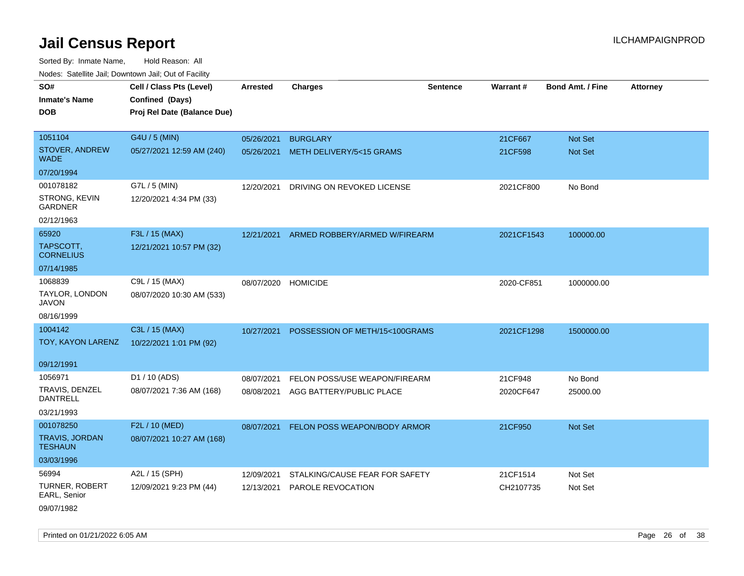Sorted By: Inmate Name, Hold Reason: All Nodes: Satellite Jail; Downtown Jail; Out of Facility

| ivouss. Saleling Jali, Downtown Jali, Out of Facility |                             |            |                                |                 |            |                         |                 |
|-------------------------------------------------------|-----------------------------|------------|--------------------------------|-----------------|------------|-------------------------|-----------------|
| SO#                                                   | Cell / Class Pts (Level)    | Arrested   | <b>Charges</b>                 | <b>Sentence</b> | Warrant#   | <b>Bond Amt. / Fine</b> | <b>Attorney</b> |
| <b>Inmate's Name</b>                                  | Confined (Days)             |            |                                |                 |            |                         |                 |
| <b>DOB</b>                                            | Proj Rel Date (Balance Due) |            |                                |                 |            |                         |                 |
|                                                       |                             |            |                                |                 |            |                         |                 |
| 1051104                                               | G4U / 5 (MIN)               | 05/26/2021 | <b>BURGLARY</b>                |                 | 21CF667    | Not Set                 |                 |
| STOVER, ANDREW<br><b>WADE</b>                         | 05/27/2021 12:59 AM (240)   | 05/26/2021 | METH DELIVERY/5<15 GRAMS       |                 | 21CF598    | Not Set                 |                 |
| 07/20/1994                                            |                             |            |                                |                 |            |                         |                 |
| 001078182                                             | G7L / 5 (MIN)               | 12/20/2021 | DRIVING ON REVOKED LICENSE     |                 | 2021CF800  | No Bond                 |                 |
| STRONG, KEVIN<br><b>GARDNER</b>                       | 12/20/2021 4:34 PM (33)     |            |                                |                 |            |                         |                 |
| 02/12/1963                                            |                             |            |                                |                 |            |                         |                 |
| 65920                                                 | F3L / 15 (MAX)              | 12/21/2021 | ARMED ROBBERY/ARMED W/FIREARM  |                 | 2021CF1543 | 100000.00               |                 |
| TAPSCOTT,<br><b>CORNELIUS</b>                         | 12/21/2021 10:57 PM (32)    |            |                                |                 |            |                         |                 |
| 07/14/1985                                            |                             |            |                                |                 |            |                         |                 |
| 1068839                                               | C9L / 15 (MAX)              | 08/07/2020 | <b>HOMICIDE</b>                |                 | 2020-CF851 | 1000000.00              |                 |
| TAYLOR, LONDON<br><b>JAVON</b>                        | 08/07/2020 10:30 AM (533)   |            |                                |                 |            |                         |                 |
| 08/16/1999                                            |                             |            |                                |                 |            |                         |                 |
| 1004142                                               | C3L / 15 (MAX)              | 10/27/2021 | POSSESSION OF METH/15<100GRAMS |                 | 2021CF1298 | 1500000.00              |                 |
| TOY, KAYON LARENZ                                     | 10/22/2021 1:01 PM (92)     |            |                                |                 |            |                         |                 |
| 09/12/1991                                            |                             |            |                                |                 |            |                         |                 |
| 1056971                                               | D1 / 10 (ADS)               | 08/07/2021 | FELON POSS/USE WEAPON/FIREARM  |                 | 21CF948    | No Bond                 |                 |
| TRAVIS, DENZEL<br><b>DANTRELL</b>                     | 08/07/2021 7:36 AM (168)    | 08/08/2021 | AGG BATTERY/PUBLIC PLACE       |                 | 2020CF647  | 25000.00                |                 |
| 03/21/1993                                            |                             |            |                                |                 |            |                         |                 |
| 001078250                                             | F2L / 10 (MED)              | 08/07/2021 | FELON POSS WEAPON/BODY ARMOR   |                 | 21CF950    | Not Set                 |                 |
| <b>TRAVIS, JORDAN</b><br><b>TESHAUN</b>               | 08/07/2021 10:27 AM (168)   |            |                                |                 |            |                         |                 |
| 03/03/1996                                            |                             |            |                                |                 |            |                         |                 |
| 56994                                                 | A2L / 15 (SPH)              | 12/09/2021 | STALKING/CAUSE FEAR FOR SAFETY |                 | 21CF1514   | Not Set                 |                 |
| <b>TURNER, ROBERT</b><br>EARL, Senior                 | 12/09/2021 9:23 PM (44)     | 12/13/2021 | <b>PAROLE REVOCATION</b>       |                 | CH2107735  | Not Set                 |                 |
| 09/07/1982                                            |                             |            |                                |                 |            |                         |                 |

Printed on 01/21/2022 6:05 AM Page 26 of 38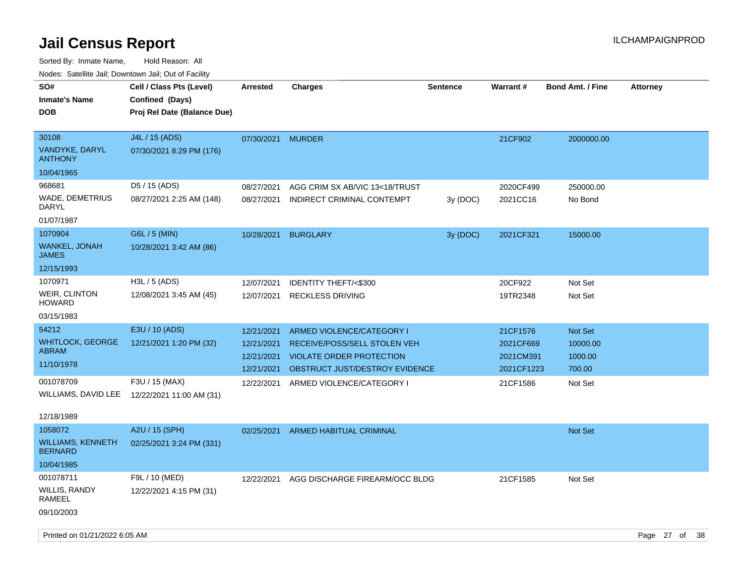Sorted By: Inmate Name, Hold Reason: All Nodes: Satellite Jail; Downtown Jail; Out of Facility

| Nodes. Satellite Jali, Downtown Jali, Out of Facility |                                              |                 |                                 |                 |            |                  |                 |
|-------------------------------------------------------|----------------------------------------------|-----------------|---------------------------------|-----------------|------------|------------------|-----------------|
| SO#                                                   | Cell / Class Pts (Level)                     | <b>Arrested</b> | <b>Charges</b>                  | <b>Sentence</b> | Warrant#   | Bond Amt. / Fine | <b>Attorney</b> |
| <b>Inmate's Name</b>                                  | Confined (Days)                              |                 |                                 |                 |            |                  |                 |
| <b>DOB</b>                                            | Proj Rel Date (Balance Due)                  |                 |                                 |                 |            |                  |                 |
|                                                       |                                              |                 |                                 |                 |            |                  |                 |
| 30108                                                 | J4L / 15 (ADS)                               | 07/30/2021      | <b>MURDER</b>                   |                 | 21CF902    | 2000000.00       |                 |
| VANDYKE, DARYL<br><b>ANTHONY</b>                      | 07/30/2021 8:29 PM (176)                     |                 |                                 |                 |            |                  |                 |
| 10/04/1965                                            |                                              |                 |                                 |                 |            |                  |                 |
| 968681                                                | D5 / 15 (ADS)                                | 08/27/2021      | AGG CRIM SX AB/VIC 13<18/TRUST  |                 | 2020CF499  | 250000.00        |                 |
| WADE, DEMETRIUS<br>DARYL                              | 08/27/2021 2:25 AM (148)                     | 08/27/2021      | INDIRECT CRIMINAL CONTEMPT      | 3y(DOC)         | 2021CC16   | No Bond          |                 |
| 01/07/1987                                            |                                              |                 |                                 |                 |            |                  |                 |
| 1070904                                               | G6L / 5 (MIN)                                | 10/28/2021      | <b>BURGLARY</b>                 | 3y (DOC)        | 2021CF321  | 15000.00         |                 |
| <b>WANKEL, JONAH</b><br><b>JAMES</b>                  | 10/28/2021 3:42 AM (86)                      |                 |                                 |                 |            |                  |                 |
| 12/15/1993                                            |                                              |                 |                                 |                 |            |                  |                 |
| 1070971                                               | H3L / 5 (ADS)                                | 12/07/2021      | <b>IDENTITY THEFT/&lt;\$300</b> |                 | 20CF922    | Not Set          |                 |
| WEIR, CLINTON<br><b>HOWARD</b>                        | 12/08/2021 3:45 AM (45)                      | 12/07/2021      | <b>RECKLESS DRIVING</b>         |                 | 19TR2348   | Not Set          |                 |
| 03/15/1983                                            |                                              |                 |                                 |                 |            |                  |                 |
| 54212                                                 | E3U / 10 (ADS)                               | 12/21/2021      | ARMED VIOLENCE/CATEGORY I       |                 | 21CF1576   | Not Set          |                 |
| <b>WHITLOCK, GEORGE</b>                               | 12/21/2021 1:20 PM (32)                      | 12/21/2021      | RECEIVE/POSS/SELL STOLEN VEH    |                 | 2021CF669  | 10000.00         |                 |
| <b>ABRAM</b>                                          |                                              | 12/21/2021      | <b>VIOLATE ORDER PROTECTION</b> |                 | 2021CM391  | 1000.00          |                 |
| 11/10/1978                                            |                                              | 12/21/2021      | OBSTRUCT JUST/DESTROY EVIDENCE  |                 | 2021CF1223 | 700.00           |                 |
| 001078709                                             | F3U / 15 (MAX)                               | 12/22/2021      | ARMED VIOLENCE/CATEGORY I       |                 | 21CF1586   | Not Set          |                 |
|                                                       | WILLIAMS, DAVID LEE 12/22/2021 11:00 AM (31) |                 |                                 |                 |            |                  |                 |
| 12/18/1989                                            |                                              |                 |                                 |                 |            |                  |                 |
| 1058072                                               | A2U / 15 (SPH)                               | 02/25/2021      | ARMED HABITUAL CRIMINAL         |                 |            | Not Set          |                 |
| <b>WILLIAMS, KENNETH</b><br><b>BERNARD</b>            | 02/25/2021 3:24 PM (331)                     |                 |                                 |                 |            |                  |                 |
| 10/04/1985                                            |                                              |                 |                                 |                 |            |                  |                 |
| 001078711                                             | F9L / 10 (MED)                               | 12/22/2021      | AGG DISCHARGE FIREARM/OCC BLDG  |                 | 21CF1585   | Not Set          |                 |
| WILLIS, RANDY<br><b>RAMEEL</b>                        | 12/22/2021 4:15 PM (31)                      |                 |                                 |                 |            |                  |                 |

09/10/2003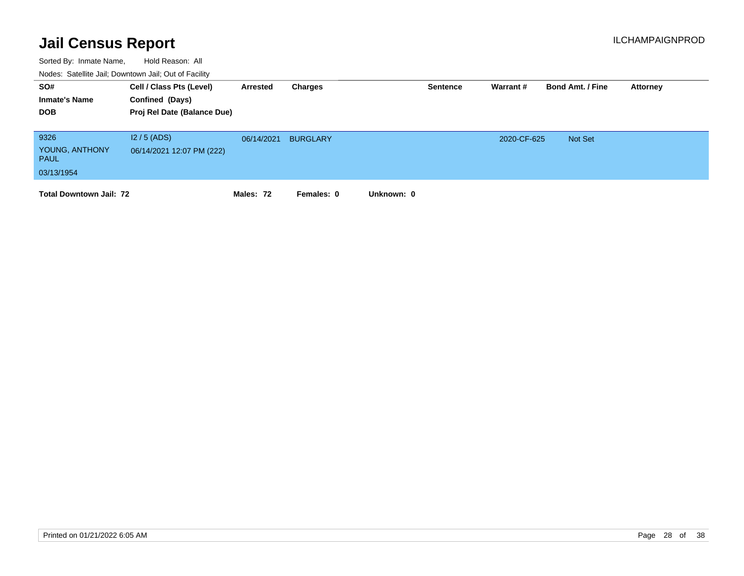| SO#<br><b>Inmate's Name</b><br><b>DOB</b>           | Cell / Class Pts (Level)<br>Confined (Days)<br>Proj Rel Date (Balance Due) | Arrested   | Charges         |            | <b>Sentence</b> | Warrant #   | <b>Bond Amt. / Fine</b> | Attorney |
|-----------------------------------------------------|----------------------------------------------------------------------------|------------|-----------------|------------|-----------------|-------------|-------------------------|----------|
| 9326<br>YOUNG, ANTHONY<br><b>PAUL</b><br>03/13/1954 | $12/5$ (ADS)<br>06/14/2021 12:07 PM (222)                                  | 06/14/2021 | <b>BURGLARY</b> |            |                 | 2020-CF-625 | Not Set                 |          |
| <b>Total Downtown Jail: 72</b>                      |                                                                            | Males: 72  | Females: 0      | Unknown: 0 |                 |             |                         |          |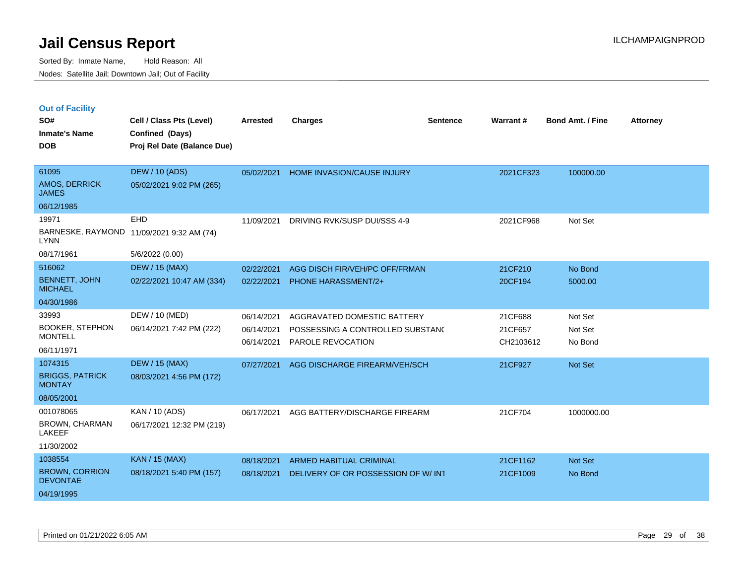|  |  | <b>Out of Facility</b> |
|--|--|------------------------|
|  |  |                        |

| SO#<br><b>Inmate's Name</b><br><b>DOB</b>                         | Cell / Class Pts (Level)<br>Confined (Days)<br>Proj Rel Date (Balance Due) | Arrested                               | <b>Charges</b>                                                                       | <b>Sentence</b> | Warrant#                        | <b>Bond Amt. / Fine</b>       | <b>Attorney</b> |
|-------------------------------------------------------------------|----------------------------------------------------------------------------|----------------------------------------|--------------------------------------------------------------------------------------|-----------------|---------------------------------|-------------------------------|-----------------|
| 61095<br>AMOS, DERRICK<br><b>JAMES</b>                            | <b>DEW / 10 (ADS)</b><br>05/02/2021 9:02 PM (265)                          | 05/02/2021                             | HOME INVASION/CAUSE INJURY                                                           |                 | 2021CF323                       | 100000.00                     |                 |
| 06/12/1985                                                        |                                                                            |                                        |                                                                                      |                 |                                 |                               |                 |
| 19971<br><b>LYNN</b>                                              | EHD<br>BARNESKE, RAYMOND 11/09/2021 9:32 AM (74)                           | 11/09/2021                             | DRIVING RVK/SUSP DUI/SSS 4-9                                                         |                 | 2021CF968                       | Not Set                       |                 |
| 08/17/1961                                                        | 5/6/2022 (0.00)                                                            |                                        |                                                                                      |                 |                                 |                               |                 |
| 516062                                                            | <b>DEW / 15 (MAX)</b>                                                      | 02/22/2021                             | AGG DISCH FIR/VEH/PC OFF/FRMAN                                                       |                 | 21CF210                         | No Bond                       |                 |
| <b>BENNETT, JOHN</b><br><b>MICHAEL</b>                            | 02/22/2021 10:47 AM (334)                                                  | 02/22/2021                             | <b>PHONE HARASSMENT/2+</b>                                                           |                 | 20CF194                         | 5000.00                       |                 |
| 04/30/1986                                                        |                                                                            |                                        |                                                                                      |                 |                                 |                               |                 |
| 33993<br><b>BOOKER, STEPHON</b><br><b>MONTELL</b><br>06/11/1971   | DEW / 10 (MED)<br>06/14/2021 7:42 PM (222)                                 | 06/14/2021<br>06/14/2021<br>06/14/2021 | AGGRAVATED DOMESTIC BATTERY<br>POSSESSING A CONTROLLED SUBSTAND<br>PAROLE REVOCATION |                 | 21CF688<br>21CF657<br>CH2103612 | Not Set<br>Not Set<br>No Bond |                 |
| 1074315                                                           | <b>DEW / 15 (MAX)</b>                                                      | 07/27/2021                             | AGG DISCHARGE FIREARM/VEH/SCH                                                        |                 | 21CF927                         | Not Set                       |                 |
| <b>BRIGGS, PATRICK</b><br><b>MONTAY</b>                           | 08/03/2021 4:56 PM (172)                                                   |                                        |                                                                                      |                 |                                 |                               |                 |
| 08/05/2001                                                        |                                                                            |                                        |                                                                                      |                 |                                 |                               |                 |
| 001078065<br><b>BROWN, CHARMAN</b><br><b>LAKEEF</b><br>11/30/2002 | KAN / 10 (ADS)<br>06/17/2021 12:32 PM (219)                                | 06/17/2021                             | AGG BATTERY/DISCHARGE FIREARM                                                        |                 | 21CF704                         | 1000000.00                    |                 |
| 1038554                                                           | <b>KAN / 15 (MAX)</b>                                                      | 08/18/2021                             | <b>ARMED HABITUAL CRIMINAL</b>                                                       |                 | 21CF1162                        | Not Set                       |                 |
| <b>BROWN, CORRION</b><br><b>DEVONTAE</b>                          | 08/18/2021 5:40 PM (157)                                                   | 08/18/2021                             | DELIVERY OF OR POSSESSION OF W/ INT                                                  |                 | 21CF1009                        | No Bond                       |                 |
| 04/19/1995                                                        |                                                                            |                                        |                                                                                      |                 |                                 |                               |                 |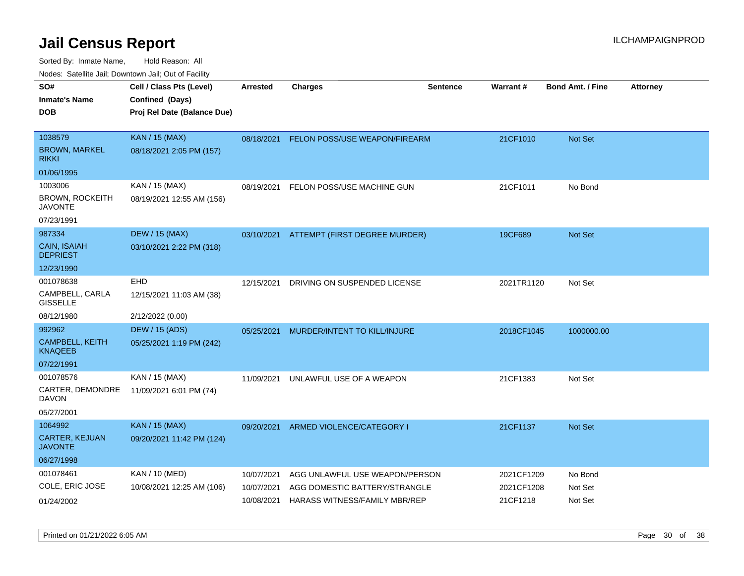| ivouss. Saleline Jali, Downtown Jali, Out of Facility |                             |                 |                                |                 |                 |                         |                 |
|-------------------------------------------------------|-----------------------------|-----------------|--------------------------------|-----------------|-----------------|-------------------------|-----------------|
| SO#                                                   | Cell / Class Pts (Level)    | <b>Arrested</b> | <b>Charges</b>                 | <b>Sentence</b> | <b>Warrant#</b> | <b>Bond Amt. / Fine</b> | <b>Attorney</b> |
| <b>Inmate's Name</b>                                  | Confined (Days)             |                 |                                |                 |                 |                         |                 |
| <b>DOB</b>                                            | Proj Rel Date (Balance Due) |                 |                                |                 |                 |                         |                 |
|                                                       |                             |                 |                                |                 |                 |                         |                 |
| 1038579                                               | <b>KAN / 15 (MAX)</b>       | 08/18/2021      | FELON POSS/USE WEAPON/FIREARM  |                 | 21CF1010        | Not Set                 |                 |
| <b>BROWN, MARKEL</b><br><b>RIKKI</b>                  | 08/18/2021 2:05 PM (157)    |                 |                                |                 |                 |                         |                 |
| 01/06/1995                                            |                             |                 |                                |                 |                 |                         |                 |
| 1003006                                               | KAN / 15 (MAX)              | 08/19/2021      | FELON POSS/USE MACHINE GUN     |                 | 21CF1011        | No Bond                 |                 |
| <b>BROWN, ROCKEITH</b><br>JAVONTE                     | 08/19/2021 12:55 AM (156)   |                 |                                |                 |                 |                         |                 |
| 07/23/1991                                            |                             |                 |                                |                 |                 |                         |                 |
| 987334                                                | <b>DEW / 15 (MAX)</b>       | 03/10/2021      | ATTEMPT (FIRST DEGREE MURDER)  |                 | 19CF689         | Not Set                 |                 |
| <b>CAIN, ISAIAH</b><br><b>DEPRIEST</b>                | 03/10/2021 2:22 PM (318)    |                 |                                |                 |                 |                         |                 |
| 12/23/1990                                            |                             |                 |                                |                 |                 |                         |                 |
| 001078638                                             | EHD                         | 12/15/2021      | DRIVING ON SUSPENDED LICENSE   |                 | 2021TR1120      | Not Set                 |                 |
| CAMPBELL, CARLA<br><b>GISSELLE</b>                    | 12/15/2021 11:03 AM (38)    |                 |                                |                 |                 |                         |                 |
| 08/12/1980                                            | 2/12/2022 (0.00)            |                 |                                |                 |                 |                         |                 |
| 992962                                                | DEW / 15 (ADS)              | 05/25/2021      | MURDER/INTENT TO KILL/INJURE   |                 | 2018CF1045      | 1000000.00              |                 |
| <b>CAMPBELL, KEITH</b><br><b>KNAQEEB</b>              | 05/25/2021 1:19 PM (242)    |                 |                                |                 |                 |                         |                 |
| 07/22/1991                                            |                             |                 |                                |                 |                 |                         |                 |
| 001078576                                             | KAN / 15 (MAX)              | 11/09/2021      | UNLAWFUL USE OF A WEAPON       |                 | 21CF1383        | Not Set                 |                 |
| CARTER, DEMONDRE<br>DAVON                             | 11/09/2021 6:01 PM (74)     |                 |                                |                 |                 |                         |                 |
| 05/27/2001                                            |                             |                 |                                |                 |                 |                         |                 |
| 1064992                                               | <b>KAN / 15 (MAX)</b>       | 09/20/2021      | ARMED VIOLENCE/CATEGORY I      |                 | 21CF1137        | <b>Not Set</b>          |                 |
| CARTER, KEJUAN<br><b>JAVONTE</b>                      | 09/20/2021 11:42 PM (124)   |                 |                                |                 |                 |                         |                 |
| 06/27/1998                                            |                             |                 |                                |                 |                 |                         |                 |
| 001078461                                             | <b>KAN / 10 (MED)</b>       | 10/07/2021      | AGG UNLAWFUL USE WEAPON/PERSON |                 | 2021CF1209      | No Bond                 |                 |
| COLE, ERIC JOSE                                       | 10/08/2021 12:25 AM (106)   | 10/07/2021      | AGG DOMESTIC BATTERY/STRANGLE  |                 | 2021CF1208      | Not Set                 |                 |
| 01/24/2002                                            |                             | 10/08/2021      | HARASS WITNESS/FAMILY MBR/REP  |                 | 21CF1218        | Not Set                 |                 |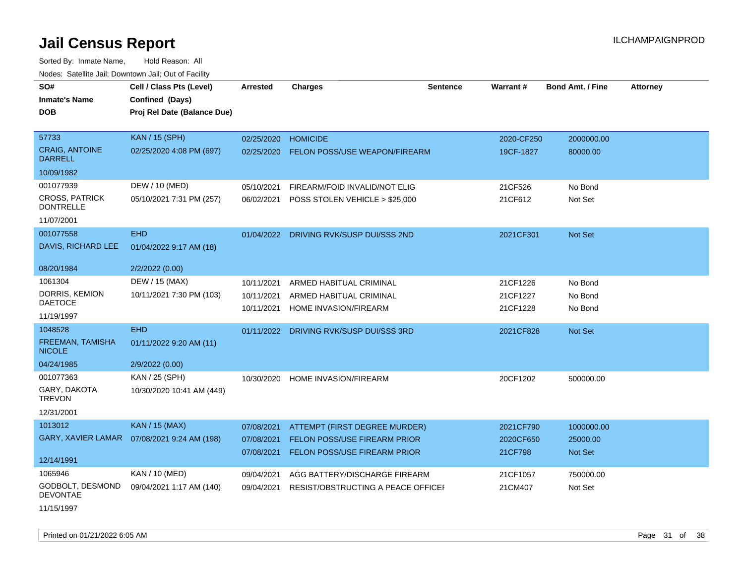Sorted By: Inmate Name, Hold Reason: All Nodes: Satellite Jail; Downtown Jail; Out of Facility

| Noucs. Calcillic Jail, Downtown Jail, Out of Facility |                                              |            |                                         |                 |                 |                         |                 |
|-------------------------------------------------------|----------------------------------------------|------------|-----------------------------------------|-----------------|-----------------|-------------------------|-----------------|
| SO#                                                   | Cell / Class Pts (Level)                     | Arrested   | <b>Charges</b>                          | <b>Sentence</b> | <b>Warrant#</b> | <b>Bond Amt. / Fine</b> | <b>Attorney</b> |
| <b>Inmate's Name</b>                                  | Confined (Days)                              |            |                                         |                 |                 |                         |                 |
| <b>DOB</b>                                            | Proj Rel Date (Balance Due)                  |            |                                         |                 |                 |                         |                 |
|                                                       |                                              |            |                                         |                 |                 |                         |                 |
| 57733                                                 | KAN / 15 (SPH)                               | 02/25/2020 | <b>HOMICIDE</b>                         |                 | 2020-CF250      | 2000000.00              |                 |
| <b>CRAIG, ANTOINE</b><br><b>DARRELL</b>               | 02/25/2020 4:08 PM (697)                     | 02/25/2020 | <b>FELON POSS/USE WEAPON/FIREARM</b>    |                 | 19CF-1827       | 80000.00                |                 |
| 10/09/1982                                            |                                              |            |                                         |                 |                 |                         |                 |
| 001077939                                             | DEW / 10 (MED)                               | 05/10/2021 | FIREARM/FOID INVALID/NOT ELIG           |                 | 21CF526         | No Bond                 |                 |
| <b>CROSS, PATRICK</b><br><b>DONTRELLE</b>             | 05/10/2021 7:31 PM (257)                     | 06/02/2021 | POSS STOLEN VEHICLE > \$25,000          |                 | 21CF612         | Not Set                 |                 |
| 11/07/2001                                            |                                              |            |                                         |                 |                 |                         |                 |
| 001077558                                             | <b>EHD</b>                                   |            | 01/04/2022 DRIVING RVK/SUSP DUI/SSS 2ND |                 | 2021CF301       | Not Set                 |                 |
| DAVIS, RICHARD LEE                                    | 01/04/2022 9:17 AM (18)                      |            |                                         |                 |                 |                         |                 |
| 08/20/1984                                            | 2/2/2022 (0.00)                              |            |                                         |                 |                 |                         |                 |
| 1061304                                               | DEW / 15 (MAX)                               | 10/11/2021 | <b>ARMED HABITUAL CRIMINAL</b>          |                 | 21CF1226        | No Bond                 |                 |
| DORRIS, KEMION                                        | 10/11/2021 7:30 PM (103)                     | 10/11/2021 | ARMED HABITUAL CRIMINAL                 |                 | 21CF1227        | No Bond                 |                 |
| <b>DAETOCE</b>                                        |                                              | 10/11/2021 | HOME INVASION/FIREARM                   |                 | 21CF1228        | No Bond                 |                 |
| 11/19/1997                                            |                                              |            |                                         |                 |                 |                         |                 |
| 1048528                                               | <b>EHD</b>                                   | 01/11/2022 | DRIVING RVK/SUSP DUI/SSS 3RD            |                 | 2021CF828       | Not Set                 |                 |
| FREEMAN, TAMISHA<br><b>NICOLE</b>                     | 01/11/2022 9:20 AM (11)                      |            |                                         |                 |                 |                         |                 |
| 04/24/1985                                            | 2/9/2022 (0.00)                              |            |                                         |                 |                 |                         |                 |
| 001077363                                             | KAN / 25 (SPH)                               | 10/30/2020 | HOME INVASION/FIREARM                   |                 | 20CF1202        | 500000.00               |                 |
| GARY, DAKOTA<br><b>TREVON</b>                         | 10/30/2020 10:41 AM (449)                    |            |                                         |                 |                 |                         |                 |
| 12/31/2001                                            |                                              |            |                                         |                 |                 |                         |                 |
| 1013012                                               | <b>KAN / 15 (MAX)</b>                        | 07/08/2021 | ATTEMPT (FIRST DEGREE MURDER)           |                 | 2021CF790       | 1000000.00              |                 |
|                                                       | GARY, XAVIER LAMAR  07/08/2021 9:24 AM (198) | 07/08/2021 | <b>FELON POSS/USE FIREARM PRIOR</b>     |                 | 2020CF650       | 25000.00                |                 |
|                                                       |                                              | 07/08/2021 | FELON POSS/USE FIREARM PRIOR            |                 | 21CF798         | <b>Not Set</b>          |                 |
| 12/14/1991                                            |                                              |            |                                         |                 |                 |                         |                 |
| 1065946                                               | KAN / 10 (MED)                               | 09/04/2021 | AGG BATTERY/DISCHARGE FIREARM           |                 | 21CF1057        | 750000.00               |                 |
| GODBOLT, DESMOND<br><b>DEVONTAE</b>                   | 09/04/2021 1:17 AM (140)                     | 09/04/2021 | RESIST/OBSTRUCTING A PEACE OFFICEF      |                 | 21CM407         | Not Set                 |                 |
|                                                       |                                              |            |                                         |                 |                 |                         |                 |

11/15/1997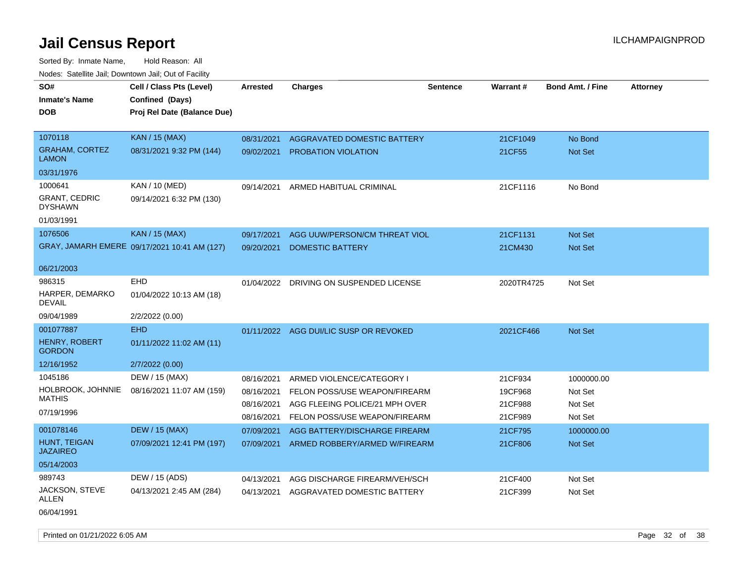| vouco. Catolino cali, Downtown cali, Out of Facility |                                              |                 |                                        |                 |                 |                         |                 |
|------------------------------------------------------|----------------------------------------------|-----------------|----------------------------------------|-----------------|-----------------|-------------------------|-----------------|
| SO#                                                  | Cell / Class Pts (Level)                     | <b>Arrested</b> | <b>Charges</b>                         | <b>Sentence</b> | <b>Warrant#</b> | <b>Bond Amt. / Fine</b> | <b>Attorney</b> |
| <b>Inmate's Name</b>                                 | Confined (Days)                              |                 |                                        |                 |                 |                         |                 |
| <b>DOB</b>                                           | Proj Rel Date (Balance Due)                  |                 |                                        |                 |                 |                         |                 |
|                                                      |                                              |                 |                                        |                 |                 |                         |                 |
| 1070118                                              | <b>KAN / 15 (MAX)</b>                        | 08/31/2021      | AGGRAVATED DOMESTIC BATTERY            |                 | 21CF1049        | No Bond                 |                 |
| <b>GRAHAM, CORTEZ</b><br><b>LAMON</b>                | 08/31/2021 9:32 PM (144)                     | 09/02/2021      | <b>PROBATION VIOLATION</b>             |                 | 21CF55          | Not Set                 |                 |
| 03/31/1976                                           |                                              |                 |                                        |                 |                 |                         |                 |
| 1000641                                              | KAN / 10 (MED)                               | 09/14/2021      | ARMED HABITUAL CRIMINAL                |                 | 21CF1116        | No Bond                 |                 |
| <b>GRANT, CEDRIC</b><br><b>DYSHAWN</b>               | 09/14/2021 6:32 PM (130)                     |                 |                                        |                 |                 |                         |                 |
| 01/03/1991                                           |                                              |                 |                                        |                 |                 |                         |                 |
| 1076506                                              | <b>KAN / 15 (MAX)</b>                        | 09/17/2021      | AGG UUW/PERSON/CM THREAT VIOL          |                 | 21CF1131        | Not Set                 |                 |
|                                                      | GRAY, JAMARH EMERE 09/17/2021 10:41 AM (127) | 09/20/2021      | <b>DOMESTIC BATTERY</b>                |                 | 21CM430         | Not Set                 |                 |
|                                                      |                                              |                 |                                        |                 |                 |                         |                 |
| 06/21/2003                                           |                                              |                 |                                        |                 |                 |                         |                 |
| 986315                                               | EHD                                          | 01/04/2022      | DRIVING ON SUSPENDED LICENSE           |                 | 2020TR4725      | Not Set                 |                 |
| HARPER, DEMARKO<br>DEVAIL                            | 01/04/2022 10:13 AM (18)                     |                 |                                        |                 |                 |                         |                 |
| 09/04/1989                                           | 2/2/2022 (0.00)                              |                 |                                        |                 |                 |                         |                 |
| 001077887                                            | <b>EHD</b>                                   |                 | 01/11/2022 AGG DUI/LIC SUSP OR REVOKED |                 | 2021CF466       | <b>Not Set</b>          |                 |
| HENRY, ROBERT<br><b>GORDON</b>                       | 01/11/2022 11:02 AM (11)                     |                 |                                        |                 |                 |                         |                 |
| 12/16/1952                                           | 2/7/2022 (0.00)                              |                 |                                        |                 |                 |                         |                 |
| 1045186                                              | DEW / 15 (MAX)                               | 08/16/2021      | ARMED VIOLENCE/CATEGORY I              |                 | 21CF934         | 1000000.00              |                 |
| HOLBROOK, JOHNNIE                                    | 08/16/2021 11:07 AM (159)                    | 08/16/2021      | FELON POSS/USE WEAPON/FIREARM          |                 | 19CF968         | Not Set                 |                 |
| MATHIS                                               |                                              | 08/16/2021      | AGG FLEEING POLICE/21 MPH OVER         |                 | 21CF988         | Not Set                 |                 |
| 07/19/1996                                           |                                              | 08/16/2021      | FELON POSS/USE WEAPON/FIREARM          |                 | 21CF989         | Not Set                 |                 |
| 001078146                                            | <b>DEW / 15 (MAX)</b>                        | 07/09/2021      | AGG BATTERY/DISCHARGE FIREARM          |                 | 21CF795         | 1000000.00              |                 |
| <b>HUNT, TEIGAN</b><br><b>JAZAIREO</b>               | 07/09/2021 12:41 PM (197)                    | 07/09/2021      | ARMED ROBBERY/ARMED W/FIREARM          |                 | 21CF806         | Not Set                 |                 |
| 05/14/2003                                           |                                              |                 |                                        |                 |                 |                         |                 |
| 989743                                               | DEW / 15 (ADS)                               | 04/13/2021      | AGG DISCHARGE FIREARM/VEH/SCH          |                 | 21CF400         | Not Set                 |                 |
| JACKSON, STEVE<br>ALLEN                              | 04/13/2021 2:45 AM (284)                     | 04/13/2021      | AGGRAVATED DOMESTIC BATTERY            |                 | 21CF399         | Not Set                 |                 |
| 06/04/1991                                           |                                              |                 |                                        |                 |                 |                         |                 |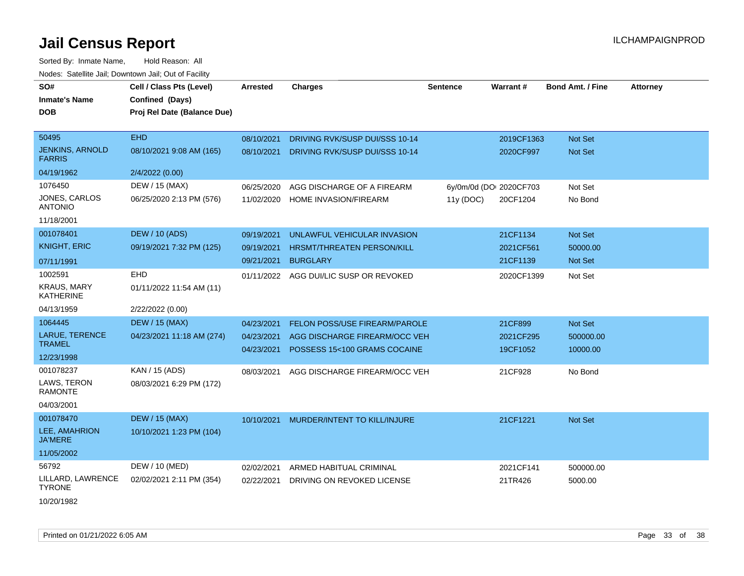| SO#                                     | Cell / Class Pts (Level)    | <b>Arrested</b> | <b>Charges</b>                       | <b>Sentence</b> | Warrant#                | <b>Bond Amt. / Fine</b> | <b>Attorney</b> |
|-----------------------------------------|-----------------------------|-----------------|--------------------------------------|-----------------|-------------------------|-------------------------|-----------------|
| <b>Inmate's Name</b>                    | Confined (Days)             |                 |                                      |                 |                         |                         |                 |
| <b>DOB</b>                              | Proj Rel Date (Balance Due) |                 |                                      |                 |                         |                         |                 |
| 50495                                   | <b>EHD</b>                  |                 |                                      |                 |                         |                         |                 |
|                                         |                             | 08/10/2021      | DRIVING RVK/SUSP DUI/SSS 10-14       |                 | 2019CF1363              | <b>Not Set</b>          |                 |
| <b>JENKINS, ARNOLD</b><br><b>FARRIS</b> | 08/10/2021 9:08 AM (165)    | 08/10/2021      | DRIVING RVK/SUSP DUI/SSS 10-14       |                 | 2020CF997               | <b>Not Set</b>          |                 |
| 04/19/1962                              | 2/4/2022 (0.00)             |                 |                                      |                 |                         |                         |                 |
| 1076450                                 | DEW / 15 (MAX)              | 06/25/2020      | AGG DISCHARGE OF A FIREARM           |                 | 6y/0m/0d (DOI 2020CF703 | Not Set                 |                 |
| JONES, CARLOS<br><b>ANTONIO</b>         | 06/25/2020 2:13 PM (576)    | 11/02/2020      | <b>HOME INVASION/FIREARM</b>         | 11y (DOC)       | 20CF1204                | No Bond                 |                 |
| 11/18/2001                              |                             |                 |                                      |                 |                         |                         |                 |
| 001078401                               | <b>DEW / 10 (ADS)</b>       | 09/19/2021      | UNLAWFUL VEHICULAR INVASION          |                 | 21CF1134                | Not Set                 |                 |
| <b>KNIGHT, ERIC</b>                     | 09/19/2021 7:32 PM (125)    | 09/19/2021      | HRSMT/THREATEN PERSON/KILL           |                 | 2021CF561               | 50000.00                |                 |
| 07/11/1991                              |                             | 09/21/2021      | <b>BURGLARY</b>                      |                 | 21CF1139                | <b>Not Set</b>          |                 |
| 1002591                                 | EHD                         | 01/11/2022      | AGG DUI/LIC SUSP OR REVOKED          |                 | 2020CF1399              | Not Set                 |                 |
| <b>KRAUS, MARY</b><br><b>KATHERINE</b>  | 01/11/2022 11:54 AM (11)    |                 |                                      |                 |                         |                         |                 |
| 04/13/1959                              | 2/22/2022 (0.00)            |                 |                                      |                 |                         |                         |                 |
| 1064445                                 | <b>DEW / 15 (MAX)</b>       | 04/23/2021      | <b>FELON POSS/USE FIREARM/PAROLE</b> |                 | 21CF899                 | Not Set                 |                 |
| <b>LARUE, TERENCE</b>                   | 04/23/2021 11:18 AM (274)   | 04/23/2021      | AGG DISCHARGE FIREARM/OCC VEH        |                 | 2021CF295               | 500000.00               |                 |
| <b>TRAMEL</b>                           |                             | 04/23/2021      | POSSESS 15<100 GRAMS COCAINE         |                 | 19CF1052                | 10000.00                |                 |
| 12/23/1998                              |                             |                 |                                      |                 |                         |                         |                 |
| 001078237                               | KAN / 15 (ADS)              | 08/03/2021      | AGG DISCHARGE FIREARM/OCC VEH        |                 | 21CF928                 | No Bond                 |                 |
| LAWS, TERON<br><b>RAMONTE</b>           | 08/03/2021 6:29 PM (172)    |                 |                                      |                 |                         |                         |                 |
| 04/03/2001                              |                             |                 |                                      |                 |                         |                         |                 |
| 001078470                               | <b>DEW / 15 (MAX)</b>       | 10/10/2021      | MURDER/INTENT TO KILL/INJURE         |                 | 21CF1221                | <b>Not Set</b>          |                 |
| LEE, AMAHRION<br><b>JA'MERE</b>         | 10/10/2021 1:23 PM (104)    |                 |                                      |                 |                         |                         |                 |
| 11/05/2002                              |                             |                 |                                      |                 |                         |                         |                 |
| 56792                                   | DEW / 10 (MED)              | 02/02/2021      | ARMED HABITUAL CRIMINAL              |                 | 2021CF141               | 500000.00               |                 |
| LILLARD, LAWRENCE<br><b>TYRONE</b>      | 02/02/2021 2:11 PM (354)    | 02/22/2021      | DRIVING ON REVOKED LICENSE           |                 | 21TR426                 | 5000.00                 |                 |
| 10/20/1982                              |                             |                 |                                      |                 |                         |                         |                 |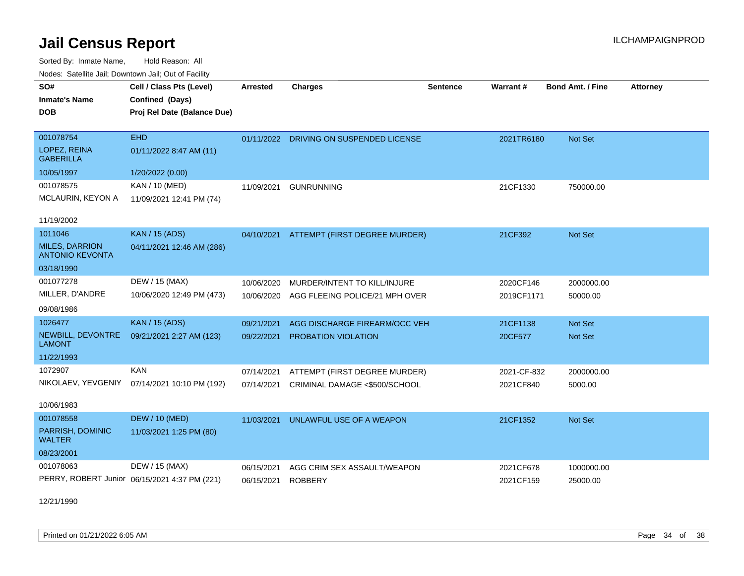Sorted By: Inmate Name, Hold Reason: All Nodes: Satellite Jail; Downtown Jail; Out of Facility

| Nuuts. Saltiille Jali, Duwilluwii Jali, Oul of Facility |                                               |                 |                                         |                 |                 |                         |                 |  |
|---------------------------------------------------------|-----------------------------------------------|-----------------|-----------------------------------------|-----------------|-----------------|-------------------------|-----------------|--|
| SO#                                                     | Cell / Class Pts (Level)                      | <b>Arrested</b> | <b>Charges</b>                          | <b>Sentence</b> | <b>Warrant#</b> | <b>Bond Amt. / Fine</b> | <b>Attorney</b> |  |
| <b>Inmate's Name</b>                                    | Confined (Days)                               |                 |                                         |                 |                 |                         |                 |  |
| DOB                                                     | Proj Rel Date (Balance Due)                   |                 |                                         |                 |                 |                         |                 |  |
|                                                         |                                               |                 |                                         |                 |                 |                         |                 |  |
| 001078754                                               | <b>EHD</b>                                    |                 | 01/11/2022 DRIVING ON SUSPENDED LICENSE |                 | 2021TR6180      | Not Set                 |                 |  |
| LOPEZ, REINA<br><b>GABERILLA</b>                        | 01/11/2022 8:47 AM (11)                       |                 |                                         |                 |                 |                         |                 |  |
| 10/05/1997                                              | 1/20/2022 (0.00)                              |                 |                                         |                 |                 |                         |                 |  |
| 001078575                                               | KAN / 10 (MED)                                | 11/09/2021      | <b>GUNRUNNING</b>                       |                 | 21CF1330        | 750000.00               |                 |  |
| MCLAURIN, KEYON A                                       | 11/09/2021 12:41 PM (74)                      |                 |                                         |                 |                 |                         |                 |  |
| 11/19/2002                                              |                                               |                 |                                         |                 |                 |                         |                 |  |
| 1011046                                                 | <b>KAN / 15 (ADS)</b>                         | 04/10/2021      | ATTEMPT (FIRST DEGREE MURDER)           |                 | 21CF392         | Not Set                 |                 |  |
| <b>MILES, DARRION</b><br><b>ANTONIO KEVONTA</b>         | 04/11/2021 12:46 AM (286)                     |                 |                                         |                 |                 |                         |                 |  |
| 03/18/1990                                              |                                               |                 |                                         |                 |                 |                         |                 |  |
| 001077278                                               | DEW / 15 (MAX)                                | 10/06/2020      | MURDER/INTENT TO KILL/INJURE            |                 | 2020CF146       | 2000000.00              |                 |  |
| MILLER, D'ANDRE                                         | 10/06/2020 12:49 PM (473)                     | 10/06/2020      | AGG FLEEING POLICE/21 MPH OVER          |                 | 2019CF1171      | 50000.00                |                 |  |
| 09/08/1986                                              |                                               |                 |                                         |                 |                 |                         |                 |  |
| 1026477                                                 | <b>KAN / 15 (ADS)</b>                         | 09/21/2021      | AGG DISCHARGE FIREARM/OCC VEH           |                 | 21CF1138        | Not Set                 |                 |  |
| NEWBILL, DEVONTRE<br><b>LAMONT</b>                      | 09/21/2021 2:27 AM (123)                      | 09/22/2021      | PROBATION VIOLATION                     |                 | 20CF577         | <b>Not Set</b>          |                 |  |
| 11/22/1993                                              |                                               |                 |                                         |                 |                 |                         |                 |  |
| 1072907                                                 | <b>KAN</b>                                    | 07/14/2021      | ATTEMPT (FIRST DEGREE MURDER)           |                 | 2021-CF-832     | 2000000.00              |                 |  |
| NIKOLAEV, YEVGENIY                                      | 07/14/2021 10:10 PM (192)                     | 07/14/2021      | CRIMINAL DAMAGE <\$500/SCHOOL           |                 | 2021CF840       | 5000.00                 |                 |  |
|                                                         |                                               |                 |                                         |                 |                 |                         |                 |  |
| 10/06/1983                                              |                                               |                 |                                         |                 |                 |                         |                 |  |
| 001078558                                               | <b>DEW / 10 (MED)</b>                         | 11/03/2021      | UNLAWFUL USE OF A WEAPON                |                 | 21CF1352        | Not Set                 |                 |  |
| PARRISH, DOMINIC<br><b>WALTER</b>                       | 11/03/2021 1:25 PM (80)                       |                 |                                         |                 |                 |                         |                 |  |
| 08/23/2001                                              |                                               |                 |                                         |                 |                 |                         |                 |  |
| 001078063                                               | DEW / 15 (MAX)                                | 06/15/2021      | AGG CRIM SEX ASSAULT/WEAPON             |                 | 2021CF678       | 1000000.00              |                 |  |
|                                                         | PERRY, ROBERT Junior 06/15/2021 4:37 PM (221) | 06/15/2021      | <b>ROBBERY</b>                          |                 | 2021CF159       | 25000.00                |                 |  |

12/21/1990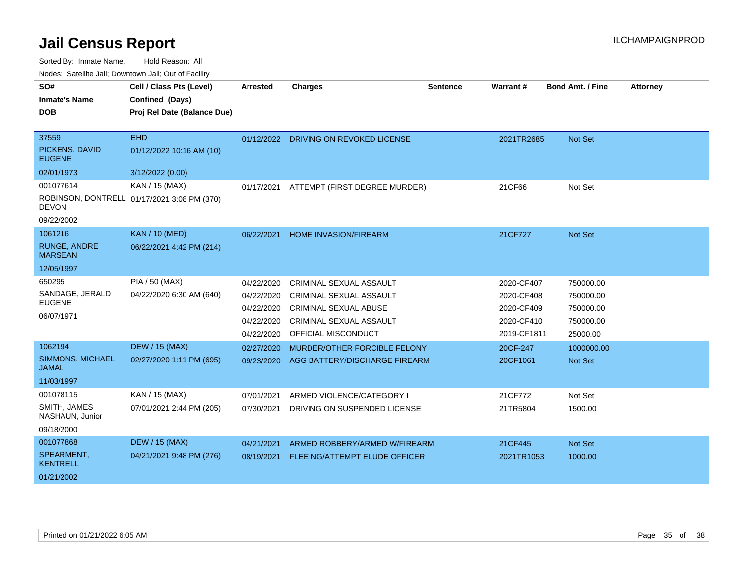Sorted By: Inmate Name, Hold Reason: All

| Nodes: Satellite Jail; Downtown Jail; Out of Facility |                                             |            |                                      |                 |             |                         |                 |
|-------------------------------------------------------|---------------------------------------------|------------|--------------------------------------|-----------------|-------------|-------------------------|-----------------|
| SO#                                                   | Cell / Class Pts (Level)                    | Arrested   | <b>Charges</b>                       | <b>Sentence</b> | Warrant#    | <b>Bond Amt. / Fine</b> | <b>Attorney</b> |
| <b>Inmate's Name</b>                                  | Confined (Days)                             |            |                                      |                 |             |                         |                 |
| <b>DOB</b>                                            | Proj Rel Date (Balance Due)                 |            |                                      |                 |             |                         |                 |
|                                                       |                                             |            |                                      |                 |             |                         |                 |
| 37559                                                 | <b>EHD</b>                                  | 01/12/2022 | DRIVING ON REVOKED LICENSE           |                 | 2021TR2685  | <b>Not Set</b>          |                 |
| PICKENS, DAVID<br><b>EUGENE</b>                       | 01/12/2022 10:16 AM (10)                    |            |                                      |                 |             |                         |                 |
| 02/01/1973                                            | 3/12/2022 (0.00)                            |            |                                      |                 |             |                         |                 |
| 001077614                                             | KAN / 15 (MAX)                              | 01/17/2021 | ATTEMPT (FIRST DEGREE MURDER)        |                 | 21CF66      | Not Set                 |                 |
| <b>DEVON</b>                                          | ROBINSON, DONTRELL 01/17/2021 3:08 PM (370) |            |                                      |                 |             |                         |                 |
| 09/22/2002                                            |                                             |            |                                      |                 |             |                         |                 |
| 1061216                                               | <b>KAN / 10 (MED)</b>                       | 06/22/2021 | <b>HOME INVASION/FIREARM</b>         |                 | 21CF727     | Not Set                 |                 |
| <b>RUNGE, ANDRE</b><br><b>MARSEAN</b>                 | 06/22/2021 4:42 PM (214)                    |            |                                      |                 |             |                         |                 |
| 12/05/1997                                            |                                             |            |                                      |                 |             |                         |                 |
| 650295                                                | PIA / 50 (MAX)                              | 04/22/2020 | CRIMINAL SEXUAL ASSAULT              |                 | 2020-CF407  | 750000.00               |                 |
| SANDAGE, JERALD                                       | 04/22/2020 6:30 AM (640)                    | 04/22/2020 | CRIMINAL SEXUAL ASSAULT              |                 | 2020-CF408  | 750000.00               |                 |
| <b>EUGENE</b>                                         |                                             | 04/22/2020 | <b>CRIMINAL SEXUAL ABUSE</b>         |                 | 2020-CF409  | 750000.00               |                 |
| 06/07/1971                                            |                                             | 04/22/2020 | CRIMINAL SEXUAL ASSAULT              |                 | 2020-CF410  | 750000.00               |                 |
|                                                       |                                             | 04/22/2020 | OFFICIAL MISCONDUCT                  |                 | 2019-CF1811 | 25000.00                |                 |
| 1062194                                               | <b>DEW / 15 (MAX)</b>                       | 02/27/2020 | MURDER/OTHER FORCIBLE FELONY         |                 | 20CF-247    | 1000000.00              |                 |
| <b>SIMMONS, MICHAEL</b><br><b>JAMAL</b>               | 02/27/2020 1:11 PM (695)                    | 09/23/2020 | AGG BATTERY/DISCHARGE FIREARM        |                 | 20CF1061    | <b>Not Set</b>          |                 |
| 11/03/1997                                            |                                             |            |                                      |                 |             |                         |                 |
| 001078115                                             | KAN / 15 (MAX)                              | 07/01/2021 | ARMED VIOLENCE/CATEGORY I            |                 | 21CF772     | Not Set                 |                 |
| SMITH, JAMES<br>NASHAUN, Junior                       | 07/01/2021 2:44 PM (205)                    | 07/30/2021 | DRIVING ON SUSPENDED LICENSE         |                 | 21TR5804    | 1500.00                 |                 |
| 09/18/2000                                            |                                             |            |                                      |                 |             |                         |                 |
| 001077868                                             | <b>DEW / 15 (MAX)</b>                       | 04/21/2021 | ARMED ROBBERY/ARMED W/FIREARM        |                 | 21CF445     | <b>Not Set</b>          |                 |
| SPEARMENT,<br><b>KENTRELL</b>                         | 04/21/2021 9:48 PM (276)                    | 08/19/2021 | <b>FLEEING/ATTEMPT ELUDE OFFICER</b> |                 | 2021TR1053  | 1000.00                 |                 |
| 01/21/2002                                            |                                             |            |                                      |                 |             |                         |                 |
|                                                       |                                             |            |                                      |                 |             |                         |                 |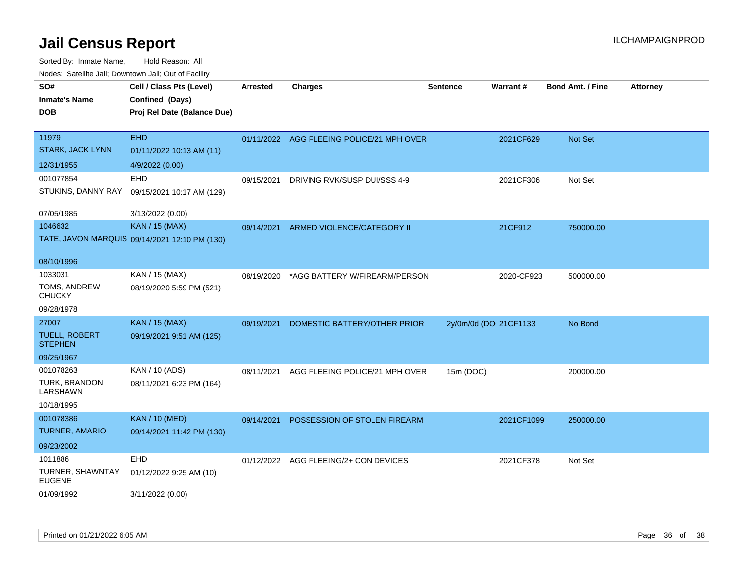| SO#<br><b>Inmate's Name</b><br><b>DOB</b> | Cell / Class Pts (Level)<br>Confined (Days)<br>Proj Rel Date (Balance Due) | Arrested   | <b>Charges</b>                            | <b>Sentence</b>        | <b>Warrant#</b> | <b>Bond Amt. / Fine</b> | <b>Attorney</b> |
|-------------------------------------------|----------------------------------------------------------------------------|------------|-------------------------------------------|------------------------|-----------------|-------------------------|-----------------|
| 11979<br>STARK, JACK LYNN                 | <b>EHD</b><br>01/11/2022 10:13 AM (11)                                     |            | 01/11/2022 AGG FLEEING POLICE/21 MPH OVER |                        | 2021CF629       | Not Set                 |                 |
| 12/31/1955                                | 4/9/2022 (0.00)                                                            |            |                                           |                        |                 |                         |                 |
| 001077854                                 | <b>EHD</b>                                                                 | 09/15/2021 | DRIVING RVK/SUSP DUI/SSS 4-9              |                        | 2021CF306       | Not Set                 |                 |
| STUKINS, DANNY RAY                        | 09/15/2021 10:17 AM (129)                                                  |            |                                           |                        |                 |                         |                 |
| 07/05/1985                                | 3/13/2022 (0.00)                                                           |            |                                           |                        |                 |                         |                 |
| 1046632                                   | <b>KAN / 15 (MAX)</b>                                                      | 09/14/2021 | ARMED VIOLENCE/CATEGORY II                |                        | 21CF912         | 750000.00               |                 |
|                                           | TATE, JAVON MARQUIS 09/14/2021 12:10 PM (130)                              |            |                                           |                        |                 |                         |                 |
| 08/10/1996                                |                                                                            |            |                                           |                        |                 |                         |                 |
| 1033031                                   | KAN / 15 (MAX)                                                             | 08/19/2020 | *AGG BATTERY W/FIREARM/PERSON             |                        | 2020-CF923      | 500000.00               |                 |
| TOMS, ANDREW<br><b>CHUCKY</b>             | 08/19/2020 5:59 PM (521)                                                   |            |                                           |                        |                 |                         |                 |
| 09/28/1978                                |                                                                            |            |                                           |                        |                 |                         |                 |
| 27007                                     | KAN / 15 (MAX)                                                             | 09/19/2021 | DOMESTIC BATTERY/OTHER PRIOR              | 2y/0m/0d (DOI 21CF1133 |                 | No Bond                 |                 |
| <b>TUELL, ROBERT</b><br><b>STEPHEN</b>    | 09/19/2021 9:51 AM (125)                                                   |            |                                           |                        |                 |                         |                 |
| 09/25/1967                                |                                                                            |            |                                           |                        |                 |                         |                 |
| 001078263                                 | KAN / 10 (ADS)                                                             | 08/11/2021 | AGG FLEEING POLICE/21 MPH OVER            | 15m (DOC)              |                 | 200000.00               |                 |
| TURK, BRANDON<br>LARSHAWN                 | 08/11/2021 6:23 PM (164)                                                   |            |                                           |                        |                 |                         |                 |
| 10/18/1995                                |                                                                            |            |                                           |                        |                 |                         |                 |
| 001078386                                 | <b>KAN / 10 (MED)</b>                                                      | 09/14/2021 | POSSESSION OF STOLEN FIREARM              |                        | 2021CF1099      | 250000.00               |                 |
| <b>TURNER, AMARIO</b>                     | 09/14/2021 11:42 PM (130)                                                  |            |                                           |                        |                 |                         |                 |
| 09/23/2002                                |                                                                            |            |                                           |                        |                 |                         |                 |
| 1011886                                   | <b>EHD</b>                                                                 |            | 01/12/2022 AGG FLEEING/2+ CON DEVICES     |                        | 2021CF378       | Not Set                 |                 |
| TURNER, SHAWNTAY<br><b>EUGENE</b>         | 01/12/2022 9:25 AM (10)                                                    |            |                                           |                        |                 |                         |                 |
| 01/09/1992                                | 3/11/2022 (0.00)                                                           |            |                                           |                        |                 |                         |                 |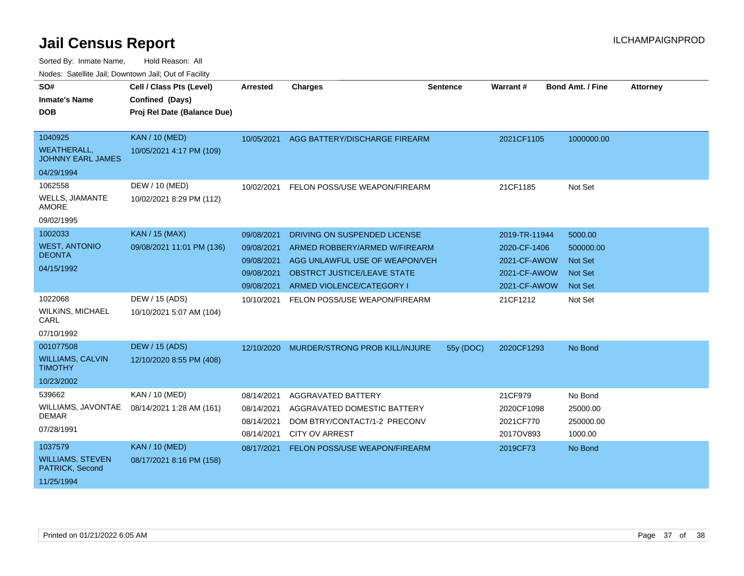| SO#<br><b>Inmate's Name</b><br><b>DOB</b>                               | Cell / Class Pts (Level)<br>Confined (Days)<br>Proj Rel Date (Balance Due) | <b>Arrested</b>                                                    | <b>Charges</b>                                                                                                                                                     | Sentence  | Warrant#                                                                      | <b>Bond Amt. / Fine</b>                                                    | <b>Attorney</b> |
|-------------------------------------------------------------------------|----------------------------------------------------------------------------|--------------------------------------------------------------------|--------------------------------------------------------------------------------------------------------------------------------------------------------------------|-----------|-------------------------------------------------------------------------------|----------------------------------------------------------------------------|-----------------|
| 1040925<br><b>WEATHERALL,</b><br><b>JOHNNY EARL JAMES</b><br>04/29/1994 | <b>KAN / 10 (MED)</b><br>10/05/2021 4:17 PM (109)                          | 10/05/2021                                                         | AGG BATTERY/DISCHARGE FIREARM                                                                                                                                      |           | 2021CF1105                                                                    | 1000000.00                                                                 |                 |
| 1062558<br><b>WELLS, JIAMANTE</b><br><b>AMORE</b><br>09/02/1995         | DEW / 10 (MED)<br>10/02/2021 8:29 PM (112)                                 | 10/02/2021                                                         | FELON POSS/USE WEAPON/FIREARM                                                                                                                                      |           | 21CF1185                                                                      | Not Set                                                                    |                 |
| 1002033<br><b>WEST, ANTONIO</b><br><b>DEONTA</b><br>04/15/1992          | <b>KAN / 15 (MAX)</b><br>09/08/2021 11:01 PM (136)                         | 09/08/2021<br>09/08/2021<br>09/08/2021<br>09/08/2021<br>09/08/2021 | DRIVING ON SUSPENDED LICENSE<br>ARMED ROBBERY/ARMED W/FIREARM<br>AGG UNLAWFUL USE OF WEAPON/VEH<br><b>OBSTRCT JUSTICE/LEAVE STATE</b><br>ARMED VIOLENCE/CATEGORY I |           | 2019-TR-11944<br>2020-CF-1406<br>2021-CF-AWOW<br>2021-CF-AWOW<br>2021-CF-AWOW | 5000.00<br>500000.00<br><b>Not Set</b><br><b>Not Set</b><br><b>Not Set</b> |                 |
| 1022068<br><b>WILKINS, MICHAEL</b><br>CARL<br>07/10/1992                | DEW / 15 (ADS)<br>10/10/2021 5:07 AM (104)                                 | 10/10/2021                                                         | FELON POSS/USE WEAPON/FIREARM                                                                                                                                      |           | 21CF1212                                                                      | Not Set                                                                    |                 |
| 001077508<br><b>WILLIAMS, CALVIN</b><br><b>TIMOTHY</b><br>10/23/2002    | <b>DEW / 15 (ADS)</b><br>12/10/2020 8:55 PM (408)                          | 12/10/2020                                                         | MURDER/STRONG PROB KILL/INJURE                                                                                                                                     | 55y (DOC) | 2020CF1293                                                                    | No Bond                                                                    |                 |
| 539662<br>WILLIAMS, JAVONTAE<br><b>DEMAR</b><br>07/28/1991              | KAN / 10 (MED)<br>08/14/2021 1:28 AM (161)                                 | 08/14/2021<br>08/14/2021<br>08/14/2021<br>08/14/2021               | AGGRAVATED BATTERY<br>AGGRAVATED DOMESTIC BATTERY<br>DOM BTRY/CONTACT/1-2 PRECONV<br><b>CITY OV ARREST</b>                                                         |           | 21CF979<br>2020CF1098<br>2021CF770<br>2017OV893                               | No Bond<br>25000.00<br>250000.00<br>1000.00                                |                 |
| 1037579<br><b>WILLIAMS, STEVEN</b><br>PATRICK, Second<br>11/25/1994     | <b>KAN / 10 (MED)</b><br>08/17/2021 8:16 PM (158)                          | 08/17/2021                                                         | FELON POSS/USE WEAPON/FIREARM                                                                                                                                      |           | 2019CF73                                                                      | No Bond                                                                    |                 |